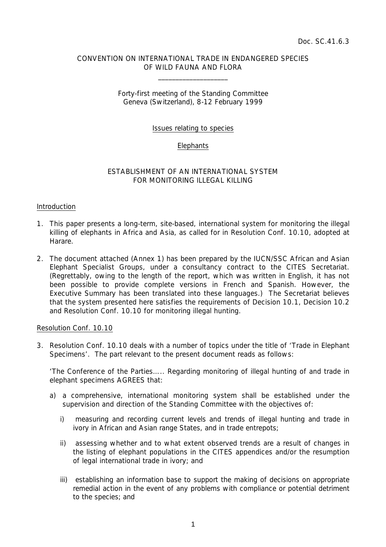#### CONVENTION ON INTERNATIONAL TRADE IN ENDANGERED SPECIES OF WILD FAUNA AND FLORA

 $\overline{\phantom{a}}$  , which is a set of the set of the set of the set of the set of the set of the set of the set of the set of the set of the set of the set of the set of the set of the set of the set of the set of the set of th

#### Forty-first meeting of the Standing Committee Geneva (Switzerland), 8-12 February 1999

#### Issues relating to species

#### **Elephants**

#### ESTABLISHMENT OF AN INTERNATIONAL SYSTEM FOR MONITORING ILLEGAL KILLING

#### Introduction

- 1. This paper presents a long-term, site-based, international system for monitoring the illegal killing of elephants in Africa and Asia, as called for in Resolution Conf. 10.10, adopted at Harare.
- 2. The document attached (Annex 1) has been prepared by the IUCN/SSC African and Asian Elephant Specialist Groups, under a consultancy contract to the CITES Secretariat. (Regrettably, owing to the length of the report, which was written in English, it has not been possible to provide complete versions in French and Spanish. However, the Executive Summary has been translated into these languages.) The Secretariat believes that the system presented here satisfies the requirements of Decision 10.1, Decision 10.2 and Resolution Conf. 10.10 for monitoring illegal hunting.

#### Resolution Conf. 10.10

3. Resolution Conf. 10.10 deals with a number of topics under the title of 'Trade in Elephant Specimens'. The part relevant to the present document reads as follows:

 '*The Conference of the Parties….. Regarding monitoring of illegal hunting of and trade in elephant specimens AGREES that:*

- *a) a comprehensive, international monitoring system shall be established under the supervision and direction of the Standing Committee with the objectives of:* 
	- *i) measuring and recording current levels and trends of illegal hunting and trade in ivory in African and Asian range States, and in trade entrepots;*
	- *ii) assessing whether and to what extent observed trends are a result of changes in the listing of elephant populations in the CITES appendices and/or the resumption of legal international trade in ivory; and*
	- *iii) establishing an information base to support the making of decisions on appropriate remedial action in the event of any problems with compliance or potential detriment to the species; and*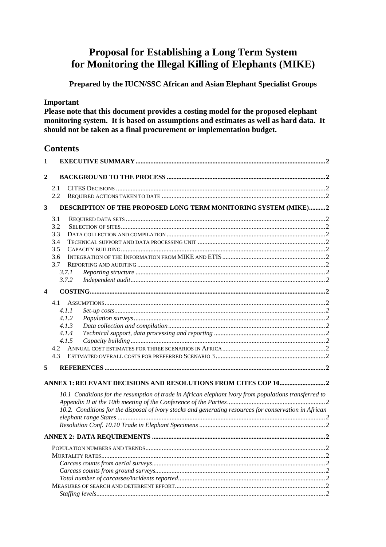### **Proposal for Establishing a Long Term System** for Monitoring the Illegal Killing of Elephants (MIKE)

Prepared by the IUCN/SSC African and Asian Elephant Specialist Groups

#### Important

Please note that this document provides a costing model for the proposed elephant monitoring system. It is based on assumptions and estimates as well as hard data. It should not be taken as a final procurement or implementation budget.

### **Contents**

| $\mathbf{1}$            |                                                                                                        |  |
|-------------------------|--------------------------------------------------------------------------------------------------------|--|
| $\mathbf{2}$            |                                                                                                        |  |
|                         | 2.1                                                                                                    |  |
|                         | 2.2                                                                                                    |  |
| 3                       | DESCRIPTION OF THE PROPOSED LONG TERM MONITORING SYSTEM (MIKE)2                                        |  |
|                         | 3.1                                                                                                    |  |
|                         | 3.2                                                                                                    |  |
|                         | 3.3                                                                                                    |  |
|                         | 3.4                                                                                                    |  |
|                         | 3.5                                                                                                    |  |
|                         | 3.6                                                                                                    |  |
|                         | 3.7                                                                                                    |  |
|                         | 3.7.1                                                                                                  |  |
|                         | 3.7.2                                                                                                  |  |
| $\overline{\mathbf{4}}$ |                                                                                                        |  |
|                         | 4.1                                                                                                    |  |
|                         | 4.1.1                                                                                                  |  |
|                         | 4.1.2                                                                                                  |  |
|                         | 4.1.3                                                                                                  |  |
|                         | 4.1.4                                                                                                  |  |
|                         | 4.1.5                                                                                                  |  |
|                         | 4.2                                                                                                    |  |
|                         | 43                                                                                                     |  |
| 5                       |                                                                                                        |  |
|                         |                                                                                                        |  |
|                         | 10.1 Conditions for the resumption of trade in African elephant ivory from populations transferred to  |  |
|                         |                                                                                                        |  |
|                         | 10.2. Conditions for the disposal of ivory stocks and generating resources for conservation in African |  |
|                         |                                                                                                        |  |
|                         |                                                                                                        |  |
|                         |                                                                                                        |  |
|                         |                                                                                                        |  |
|                         |                                                                                                        |  |
|                         |                                                                                                        |  |
|                         |                                                                                                        |  |
|                         |                                                                                                        |  |
|                         |                                                                                                        |  |
|                         | $\overline{2}$<br>Staffing levels                                                                      |  |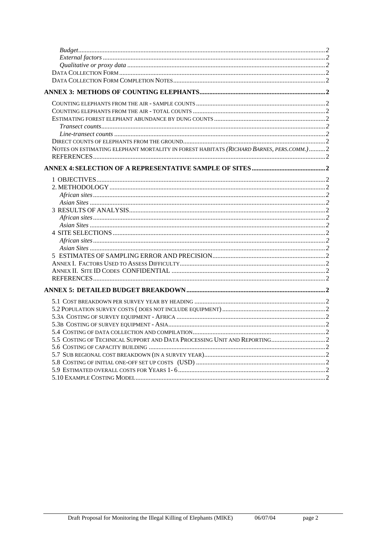| NOTES ON ESTIMATING ELEPHANT MORTALITY IN FOREST HABITATS (RICHARD BARNES, PERS.COMM.)2 |  |
|-----------------------------------------------------------------------------------------|--|
|                                                                                         |  |
|                                                                                         |  |
|                                                                                         |  |
|                                                                                         |  |
|                                                                                         |  |
|                                                                                         |  |
|                                                                                         |  |
|                                                                                         |  |
|                                                                                         |  |
|                                                                                         |  |
|                                                                                         |  |
|                                                                                         |  |
|                                                                                         |  |
|                                                                                         |  |
|                                                                                         |  |
|                                                                                         |  |
|                                                                                         |  |
|                                                                                         |  |
|                                                                                         |  |
|                                                                                         |  |
|                                                                                         |  |
|                                                                                         |  |
|                                                                                         |  |
|                                                                                         |  |
|                                                                                         |  |
|                                                                                         |  |
|                                                                                         |  |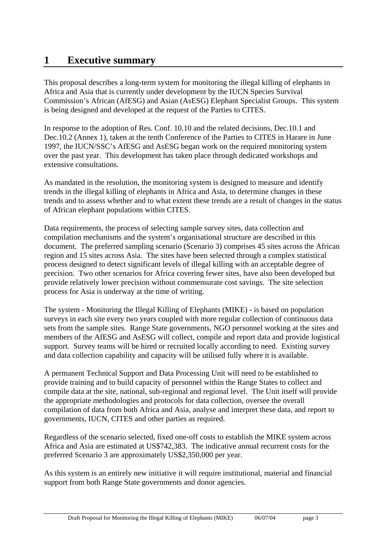## **1 Executive summary**

This proposal describes a long-term system for monitoring the illegal killing of elephants in Africa and Asia that is currently under development by the IUCN Species Survival Commission's African (AfESG) and Asian (AsESG) Elephant Specialist Groups. This system is being designed and developed at the request of the Parties to CITES.

In response to the adoption of Res. Conf. 10.10 and the related decisions, Dec.10.1 and Dec.10.2 (Annex 1), taken at the tenth Conference of the Parties to CITES in Harare in June 1997, the IUCN/SSC's AfESG and AsESG began work on the required monitoring system over the past year. This development has taken place through dedicated workshops and extensive consultations.

As mandated in the resolution, the monitoring system is designed to measure and identify trends in the illegal killing of elephants in Africa and Asia, to determine changes in these trends and to assess whether and to what extent these trends are a result of changes in the status of African elephant populations within CITES.

Data requirements, the process of selecting sample survey sites, data collection and compilation mechanisms and the system's organisational structure are described in this document. The preferred sampling scenario (Scenario 3) comprises 45 sites across the African region and 15 sites across Asia. The sites have been selected through a complex statistical process designed to detect significant levels of illegal killing with an acceptable degree of precision. Two other scenarios for Africa covering fewer sites, have also been developed but provide relatively lower precision without commensurate cost savings. The site selection process for Asia is underway at the time of writing.

The system - Monitoring the Illegal Killing of Elephants (MIKE) - is based on population surveys in each site every two years coupled with more regular collection of continuous data sets from the sample sites. Range State governments, NGO personnel working at the sites and members of the AfESG and AsESG will collect, compile and report data and provide logistical support. Survey teams will be hired or recruited locally according to need. Existing survey and data collection capability and capacity will be utilised fully where it is available.

A permanent Technical Support and Data Processing Unit will need to be established to provide training and to build capacity of personnel within the Range States to collect and compile data at the site, national, sub-regional and regional level. The Unit itself will provide the appropriate methodologies and protocols for data collection, oversee the overall compilation of data from both Africa and Asia, analyse and interpret these data, and report to governments, IUCN, CITES and other parties as required.

Regardless of the scenario selected, fixed one-off costs to establish the MIKE system across Africa and Asia are estimated at US\$742,383. The indicative annual recurrent costs for the preferred Scenario 3 are approximately US\$2,350,000 per year.

As this system is an entirely new initiative it will require institutional, material and financial support from both Range State governments and donor agencies.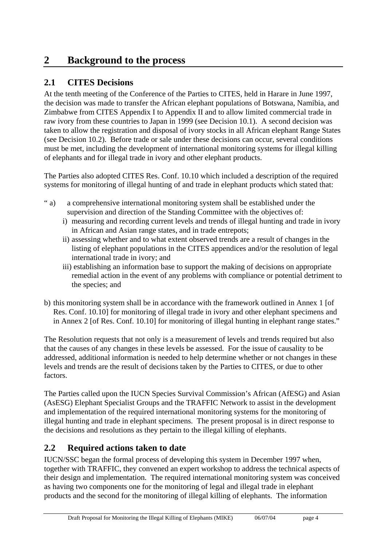### **2 Background to the process**

### **2.1 CITES Decisions**

At the tenth meeting of the Conference of the Parties to CITES, held in Harare in June 1997, the decision was made to transfer the African elephant populations of Botswana, Namibia, and Zimbabwe from CITES Appendix I to Appendix II and to allow limited commercial trade in raw ivory from these countries to Japan in 1999 (see Decision 10.1). A second decision was taken to allow the registration and disposal of ivory stocks in all African elephant Range States (see Decision 10.2). Before trade or sale under these decisions can occur, several conditions must be met, including the development of international monitoring systems for illegal killing of elephants and for illegal trade in ivory and other elephant products.

The Parties also adopted CITES Res. Conf. 10.10 which included a description of the required systems for monitoring of illegal hunting of and trade in elephant products which stated that:

- " a) a comprehensive international monitoring system shall be established under the supervision and direction of the Standing Committee with the objectives of:
	- i) measuring and recording current levels and trends of illegal hunting and trade in ivory in African and Asian range states, and in trade entrepots;
	- ii) assessing whether and to what extent observed trends are a result of changes in the listing of elephant populations in the CITES appendices and/or the resolution of legal international trade in ivory; and
	- iii) establishing an information base to support the making of decisions on appropriate remedial action in the event of any problems with compliance or potential detriment to the species; and
- b) this monitoring system shall be in accordance with the framework outlined in Annex 1 [of Res. Conf. 10.10] for monitoring of illegal trade in ivory and other elephant specimens and in Annex 2 [of Res. Conf. 10.10] for monitoring of illegal hunting in elephant range states."

The Resolution requests that not only is a measurement of levels and trends required but also that the causes of any changes in these levels be assessed. For the issue of causality to be addressed, additional information is needed to help determine whether or not changes in these levels and trends are the result of decisions taken by the Parties to CITES, or due to other factors.

The Parties called upon the IUCN Species Survival Commission's African (AfESG) and Asian (AsESG) Elephant Specialist Groups and the TRAFFIC Network to assist in the development and implementation of the required international monitoring systems for the monitoring of illegal hunting and trade in elephant specimens. The present proposal is in direct response to the decisions and resolutions as they pertain to the illegal killing of elephants.

### **2.2 Required actions taken to date**

IUCN/SSC began the formal process of developing this system in December 1997 when, together with TRAFFIC, they convened an expert workshop to address the technical aspects of their design and implementation. The required international monitoring system was conceived as having two components one for the monitoring of legal and illegal trade in elephant products and the second for the monitoring of illegal killing of elephants. The information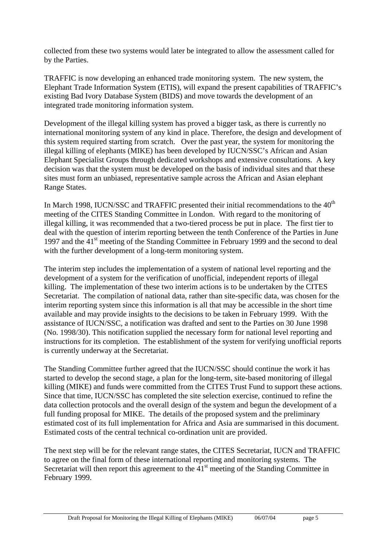collected from these two systems would later be integrated to allow the assessment called for by the Parties.

TRAFFIC is now developing an enhanced trade monitoring system. The new system, the Elephant Trade Information System (ETIS), will expand the present capabilities of TRAFFIC's existing Bad Ivory Database System (BIDS) and move towards the development of an integrated trade monitoring information system.

Development of the illegal killing system has proved a bigger task, as there is currently no international monitoring system of any kind in place. Therefore, the design and development of this system required starting from scratch. Over the past year, the system for monitoring the illegal killing of elephants (MIKE) has been developed by IUCN/SSC's African and Asian Elephant Specialist Groups through dedicated workshops and extensive consultations. A key decision was that the system must be developed on the basis of individual sites and that these sites must form an unbiased, representative sample across the African and Asian elephant Range States.

In March 1998, IUCN/SSC and TRAFFIC presented their initial recommendations to the  $40<sup>th</sup>$ meeting of the CITES Standing Committee in London. With regard to the monitoring of illegal killing, it was recommended that a two-tiered process be put in place. The first tier to deal with the question of interim reporting between the tenth Conference of the Parties in June 1997 and the 41<sup>st</sup> meeting of the Standing Committee in February 1999 and the second to deal with the further development of a long-term monitoring system.

The interim step includes the implementation of a system of national level reporting and the development of a system for the verification of unofficial, independent reports of illegal killing. The implementation of these two interim actions is to be undertaken by the CITES Secretariat. The compilation of national data, rather than site-specific data, was chosen for the interim reporting system since this information is all that may be accessible in the short time available and may provide insights to the decisions to be taken in February 1999. With the assistance of IUCN/SSC, a notification was drafted and sent to the Parties on 30 June 1998 (No. 1998/30). This notification supplied the necessary form for national level reporting and instructions for its completion. The establishment of the system for verifying unofficial reports is currently underway at the Secretariat.

The Standing Committee further agreed that the IUCN/SSC should continue the work it has started to develop the second stage, a plan for the long-term, site-based monitoring of illegal killing (MIKE) and funds were committed from the CITES Trust Fund to support these actions. Since that time, IUCN/SSC has completed the site selection exercise, continued to refine the data collection protocols and the overall design of the system and begun the development of a full funding proposal for MIKE. The details of the proposed system and the preliminary estimated cost of its full implementation for Africa and Asia are summarised in this document. Estimated costs of the central technical co-ordination unit are provided.

The next step will be for the relevant range states, the CITES Secretariat, IUCN and TRAFFIC to agree on the final form of these international reporting and monitoring systems. The Secretariat will then report this agreement to the  $41<sup>st</sup>$  meeting of the Standing Committee in February 1999.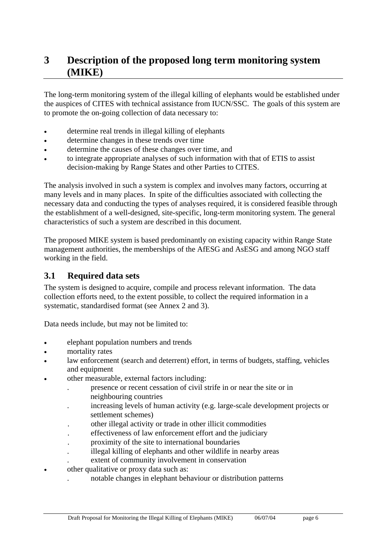### **3 Description of the proposed long term monitoring system (MIKE)**

The long-term monitoring system of the illegal killing of elephants would be established under the auspices of CITES with technical assistance from IUCN/SSC. The goals of this system are to promote the on-going collection of data necessary to:

- determine real trends in illegal killing of elephants
- determine changes in these trends over time
- determine the causes of these changes over time, and
- to integrate appropriate analyses of such information with that of ETIS to assist decision-making by Range States and other Parties to CITES.

The analysis involved in such a system is complex and involves many factors, occurring at many levels and in many places. In spite of the difficulties associated with collecting the necessary data and conducting the types of analyses required, it is considered feasible through the establishment of a well-designed, site-specific, long-term monitoring system. The general characteristics of such a system are described in this document.

The proposed MIKE system is based predominantly on existing capacity within Range State management authorities, the memberships of the AfESG and AsESG and among NGO staff working in the field.

### **3.1 Required data sets**

The system is designed to acquire, compile and process relevant information. The data collection efforts need, to the extent possible, to collect the required information in a systematic, standardised format (see Annex 2 and 3).

Data needs include, but may not be limited to:

- elephant population numbers and trends
- mortality rates
- law enforcement (search and deterrent) effort, in terms of budgets, staffing, vehicles and equipment
- other measurable, external factors including:
	- . presence or recent cessation of civil strife in or near the site or in neighbouring countries
	- . increasing levels of human activity (e.g. large-scale development projects or settlement schemes)
	- . other illegal activity or trade in other illicit commodities
	- . effectiveness of law enforcement effort and the judiciary
	- . proximity of the site to international boundaries
	- . illegal killing of elephants and other wildlife in nearby areas
	- . extent of community involvement in conservation
- other qualitative or proxy data such as:
	- . notable changes in elephant behaviour or distribution patterns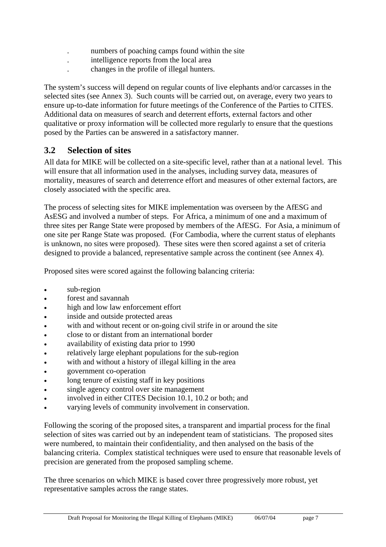- . numbers of poaching camps found within the site
- . intelligence reports from the local area
- . changes in the profile of illegal hunters.

The system's success will depend on regular counts of live elephants and/or carcasses in the selected sites (see Annex 3). Such counts will be carried out, on average, every two years to ensure up-to-date information for future meetings of the Conference of the Parties to CITES. Additional data on measures of search and deterrent efforts, external factors and other qualitative or proxy information will be collected more regularly to ensure that the questions posed by the Parties can be answered in a satisfactory manner.

### **3.2 Selection of sites**

All data for MIKE will be collected on a site-specific level, rather than at a national level. This will ensure that all information used in the analyses, including survey data, measures of mortality, measures of search and deterrence effort and measures of other external factors, are closely associated with the specific area.

The process of selecting sites for MIKE implementation was overseen by the AfESG and AsESG and involved a number of steps. For Africa, a minimum of one and a maximum of three sites per Range State were proposed by members of the AfESG. For Asia, a minimum of one site per Range State was proposed. (For Cambodia, where the current status of elephants is unknown, no sites were proposed). These sites were then scored against a set of criteria designed to provide a balanced, representative sample across the continent (see Annex 4).

Proposed sites were scored against the following balancing criteria:

- sub-region
- forest and savannah
- high and low law enforcement effort
- inside and outside protected areas
- with and without recent or on-going civil strife in or around the site
- close to or distant from an international border
- availability of existing data prior to 1990
- relatively large elephant populations for the sub-region
- with and without a history of illegal killing in the area
- government co-operation
- long tenure of existing staff in key positions
- single agency control over site management
- involved in either CITES Decision 10.1, 10.2 or both; and
- varying levels of community involvement in conservation.

Following the scoring of the proposed sites, a transparent and impartial process for the final selection of sites was carried out by an independent team of statisticians. The proposed sites were numbered, to maintain their confidentiality, and then analysed on the basis of the balancing criteria. Complex statistical techniques were used to ensure that reasonable levels of precision are generated from the proposed sampling scheme.

The three scenarios on which MIKE is based cover three progressively more robust, yet representative samples across the range states.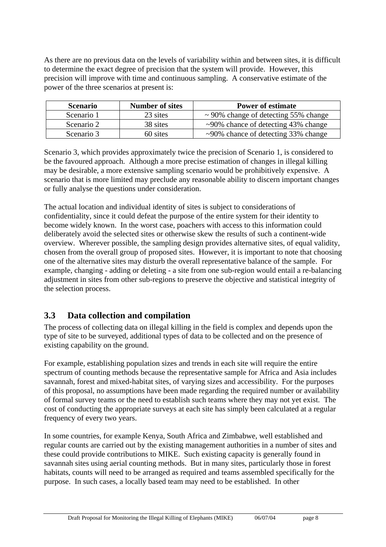As there are no previous data on the levels of variability within and between sites, it is difficult to determine the exact degree of precision that the system will provide. However, this precision will improve with time and continuous sampling. A conservative estimate of the power of the three scenarios at present is:

| <b>Number of sites</b><br><b>Scenario</b> |          | <b>Power of estimate</b>                  |  |
|-------------------------------------------|----------|-------------------------------------------|--|
| Scenario 1                                | 23 sites | $\sim$ 90% change of detecting 55% change |  |
| Scenario 2                                | 38 sites | $\sim$ 90% chance of detecting 43% change |  |
| Scenario 3                                | 60 sites | $\sim$ 90% chance of detecting 33% change |  |

Scenario 3, which provides approximately twice the precision of Scenario 1, is considered to be the favoured approach. Although a more precise estimation of changes in illegal killing may be desirable, a more extensive sampling scenario would be prohibitively expensive. A scenario that is more limited may preclude any reasonable ability to discern important changes or fully analyse the questions under consideration.

The actual location and individual identity of sites is subject to considerations of confidentiality, since it could defeat the purpose of the entire system for their identity to become widely known. In the worst case, poachers with access to this information could deliberately avoid the selected sites or otherwise skew the results of such a continent-wide overview. Wherever possible, the sampling design provides alternative sites, of equal validity, chosen from the overall group of proposed sites. However, it is important to note that choosing one of the alternative sites may disturb the overall representative balance of the sample. For example, changing - adding or deleting - a site from one sub-region would entail a re-balancing adjustment in sites from other sub-regions to preserve the objective and statistical integrity of the selection process.

### **3.3 Data collection and compilation**

The process of collecting data on illegal killing in the field is complex and depends upon the type of site to be surveyed, additional types of data to be collected and on the presence of existing capability on the ground.

For example, establishing population sizes and trends in each site will require the entire spectrum of counting methods because the representative sample for Africa and Asia includes savannah, forest and mixed-habitat sites, of varying sizes and accessibility. For the purposes of this proposal, no assumptions have been made regarding the required number or availability of formal survey teams or the need to establish such teams where they may not yet exist. The cost of conducting the appropriate surveys at each site has simply been calculated at a regular frequency of every two years.

In some countries, for example Kenya, South Africa and Zimbabwe, well established and regular counts are carried out by the existing management authorities in a number of sites and these could provide contributions to MIKE. Such existing capacity is generally found in savannah sites using aerial counting methods. But in many sites, particularly those in forest habitats, counts will need to be arranged as required and teams assembled specifically for the purpose. In such cases, a locally based team may need to be established. In other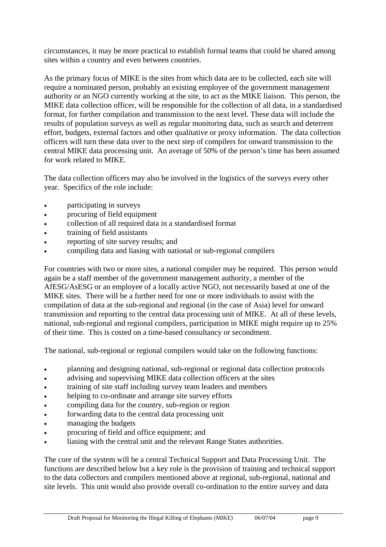circumstances, it may be more practical to establish formal teams that could be shared among sites within a country and even between countries.

As the primary focus of MIKE is the sites from which data are to be collected, each site will require a nominated person, probably an existing employee of the government management authority or an NGO currently working at the site, to act as the MIKE liaison. This person, the MIKE data collection officer, will be responsible for the collection of all data, in a standardised format, for further compilation and transmission to the next level. These data will include the results of population surveys as well as regular monitoring data, such as search and deterrent effort, budgets, external factors and other qualitative or proxy information. The data collection officers will turn these data over to the next step of compilers for onward transmission to the central MIKE data processing unit. An average of 50% of the person's time has been assumed for work related to MIKE.

The data collection officers may also be involved in the logistics of the surveys every other year. Specifics of the role include:

- participating in surveys
- procuring of field equipment
- collection of all required data in a standardised format
- training of field assistants
- reporting of site survey results; and
- compiling data and liasing with national or sub-regional compilers

For countries with two or more sites, a national compiler may be required. This person would again be a staff member of the government management authority, a member of the AfESG/AsESG or an employee of a locally active NGO, not necessarily based at one of the MIKE sites. There will be a further need for one or more individuals to assist with the compilation of data at the sub-regional and regional (in the case of Asia) level for onward transmission and reporting to the central data processing unit of MIKE. At all of these levels, national, sub-regional and regional compilers, participation in MIKE might require up to 25% of their time. This is costed on a time-based consultancy or secondment.

The national, sub-regional or regional compilers would take on the following functions:

- planning and designing national, sub-regional or regional data collection protocols
- advising and supervising MIKE data collection officers at the sites
- training of site staff including survey team leaders and members
- helping to co-ordinate and arrange site survey efforts
- compiling data for the country, sub-region or region
- forwarding data to the central data processing unit
- managing the budgets
- procuring of field and office equipment; and
- liasing with the central unit and the relevant Range States authorities.

The core of the system will be a central Technical Support and Data Processing Unit. The functions are described below but a key role is the provision of training and technical support to the data collectors and compilers mentioned above at regional, sub-regional, national and site levels. This unit would also provide overall co-ordination to the entire survey and data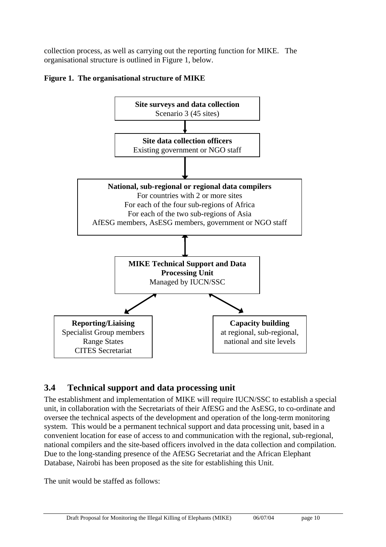collection process, as well as carrying out the reporting function for MIKE. The organisational structure is outlined in Figure 1, below.





### **3.4 Technical support and data processing unit**

The establishment and implementation of MIKE will require IUCN/SSC to establish a special unit, in collaboration with the Secretariats of their AfESG and the AsESG, to co-ordinate and oversee the technical aspects of the development and operation of the long-term monitoring system. This would be a permanent technical support and data processing unit, based in a convenient location for ease of access to and communication with the regional, sub-regional, national compilers and the site-based officers involved in the data collection and compilation. Due to the long-standing presence of the AfESG Secretariat and the African Elephant Database, Nairobi has been proposed as the site for establishing this Unit.

The unit would be staffed as follows: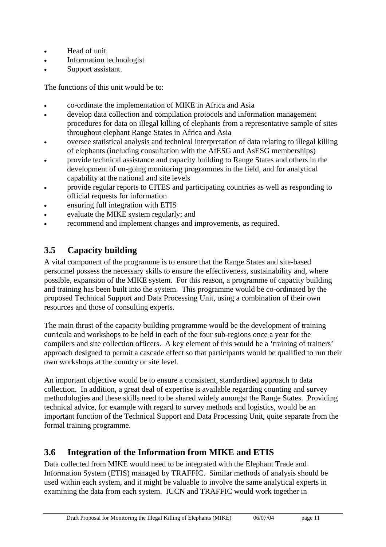- Head of unit
- Information technologist
- Support assistant.

The functions of this unit would be to:

- co-ordinate the implementation of MIKE in Africa and Asia
- develop data collection and compilation protocols and information management procedures for data on illegal killing of elephants from a representative sample of sites throughout elephant Range States in Africa and Asia
- oversee statistical analysis and technical interpretation of data relating to illegal killing of elephants (including consultation with the AfESG and AsESG memberships)
- provide technical assistance and capacity building to Range States and others in the development of on-going monitoring programmes in the field, and for analytical capability at the national and site levels
- provide regular reports to CITES and participating countries as well as responding to official requests for information
- ensuring full integration with ETIS
- evaluate the MIKE system regularly; and
- recommend and implement changes and improvements, as required.

### **3.5 Capacity building**

A vital component of the programme is to ensure that the Range States and site-based personnel possess the necessary skills to ensure the effectiveness, sustainability and, where possible, expansion of the MIKE system. For this reason, a programme of capacity building and training has been built into the system. This programme would be co-ordinated by the proposed Technical Support and Data Processing Unit, using a combination of their own resources and those of consulting experts.

The main thrust of the capacity building programme would be the development of training curricula and workshops to be held in each of the four sub-regions once a year for the compilers and site collection officers. A key element of this would be a 'training of trainers' approach designed to permit a cascade effect so that participants would be qualified to run their own workshops at the country or site level.

An important objective would be to ensure a consistent, standardised approach to data collection. In addition, a great deal of expertise is available regarding counting and survey methodologies and these skills need to be shared widely amongst the Range States. Providing technical advice, for example with regard to survey methods and logistics, would be an important function of the Technical Support and Data Processing Unit, quite separate from the formal training programme.

### **3.6 Integration of the Information from MIKE and ETIS**

Data collected from MIKE would need to be integrated with the Elephant Trade and Information System (ETIS) managed by TRAFFIC. Similar methods of analysis should be used within each system, and it might be valuable to involve the same analytical experts in examining the data from each system. IUCN and TRAFFIC would work together in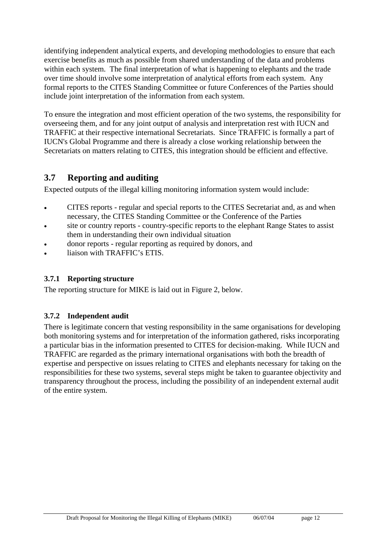identifying independent analytical experts, and developing methodologies to ensure that each exercise benefits as much as possible from shared understanding of the data and problems within each system. The final interpretation of what is happening to elephants and the trade over time should involve some interpretation of analytical efforts from each system. Any formal reports to the CITES Standing Committee or future Conferences of the Parties should include joint interpretation of the information from each system.

To ensure the integration and most efficient operation of the two systems, the responsibility for overseeing them, and for any joint output of analysis and interpretation rest with IUCN and TRAFFIC at their respective international Secretariats. Since TRAFFIC is formally a part of IUCN's Global Programme and there is already a close working relationship between the Secretariats on matters relating to CITES, this integration should be efficient and effective.

### **3.7 Reporting and auditing**

Expected outputs of the illegal killing monitoring information system would include:

- CITES reports regular and special reports to the CITES Secretariat and, as and when necessary, the CITES Standing Committee or the Conference of the Parties
- site or country reports country-specific reports to the elephant Range States to assist them in understanding their own individual situation
- donor reports regular reporting as required by donors, and
- liaison with TRAFFIC's ETIS.

### **3.7.1 Reporting structure**

The reporting structure for MIKE is laid out in Figure 2, below.

### **3.7.2 Independent audit**

There is legitimate concern that vesting responsibility in the same organisations for developing both monitoring systems and for interpretation of the information gathered, risks incorporating a particular bias in the information presented to CITES for decision-making. While IUCN and TRAFFIC are regarded as the primary international organisations with both the breadth of expertise and perspective on issues relating to CITES and elephants necessary for taking on the responsibilities for these two systems, several steps might be taken to guarantee objectivity and transparency throughout the process, including the possibility of an independent external audit of the entire system.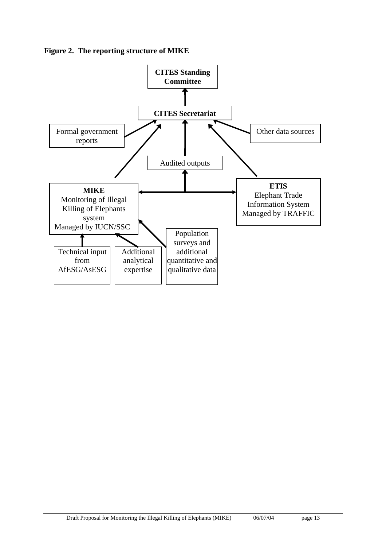**Figure 2. The reporting structure of MIKE** 

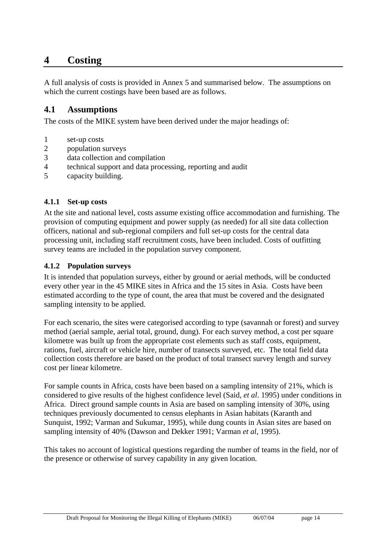### **4 Costing**

A full analysis of costs is provided in Annex 5 and summarised below. The assumptions on which the current costings have been based are as follows.

### **4.1 Assumptions**

The costs of the MIKE system have been derived under the major headings of:

- 1 set-up costs
- 2 population surveys
- 3 data collection and compilation
- 4 technical support and data processing, reporting and audit
- 5 capacity building.

### **4.1.1 Set-up costs**

At the site and national level, costs assume existing office accommodation and furnishing. The provision of computing equipment and power supply (as needed) for all site data collection officers, national and sub-regional compilers and full set-up costs for the central data processing unit, including staff recruitment costs, have been included. Costs of outfitting survey teams are included in the population survey component.

### **4.1.2 Population surveys**

It is intended that population surveys, either by ground or aerial methods, will be conducted every other year in the 45 MIKE sites in Africa and the 15 sites in Asia. Costs have been estimated according to the type of count, the area that must be covered and the designated sampling intensity to be applied.

For each scenario, the sites were categorised according to type (savannah or forest) and survey method (aerial sample, aerial total, ground, dung). For each survey method, a cost per square kilometre was built up from the appropriate cost elements such as staff costs, equipment, rations, fuel, aircraft or vehicle hire, number of transects surveyed, etc. The total field data collection costs therefore are based on the product of total transect survey length and survey cost per linear kilometre.

For sample counts in Africa, costs have been based on a sampling intensity of 21%, which is considered to give results of the highest confidence level (Said, *et al*. 1995) under conditions in Africa. Direct ground sample counts in Asia are based on sampling intensity of 30%, using techniques previously documented to census elephants in Asian habitats (Karanth and Sunquist, 1992; Varman and Sukumar, 1995), while dung counts in Asian sites are based on sampling intensity of 40% (Dawson and Dekker 1991; Varman *et al*, 1995).

This takes no account of logistical questions regarding the number of teams in the field, nor of the presence or otherwise of survey capability in any given location.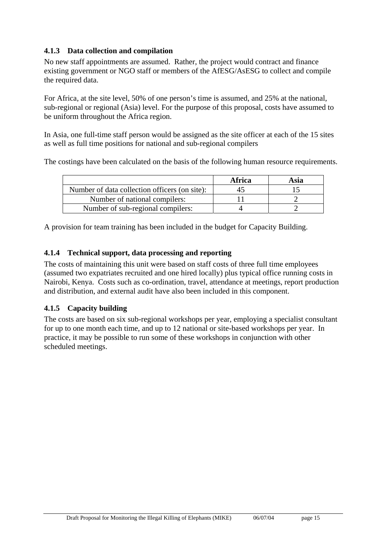### **4.1.3 Data collection and compilation**

No new staff appointments are assumed. Rather, the project would contract and finance existing government or NGO staff or members of the AfESG/AsESG to collect and compile the required data.

For Africa, at the site level, 50% of one person's time is assumed, and 25% at the national, sub-regional or regional (Asia) level. For the purpose of this proposal, costs have assumed to be uniform throughout the Africa region.

In Asia, one full-time staff person would be assigned as the site officer at each of the 15 sites as well as full time positions for national and sub-regional compilers

The costings have been calculated on the basis of the following human resource requirements.

|                                               | Africa | Asia |
|-----------------------------------------------|--------|------|
| Number of data collection officers (on site): |        |      |
| Number of national compilers:                 |        |      |
| Number of sub-regional compilers:             |        |      |

A provision for team training has been included in the budget for Capacity Building.

### **4.1.4 Technical support, data processing and reporting**

The costs of maintaining this unit were based on staff costs of three full time employees (assumed two expatriates recruited and one hired locally) plus typical office running costs in Nairobi, Kenya. Costs such as co-ordination, travel, attendance at meetings, report production and distribution, and external audit have also been included in this component.

#### **4.1.5 Capacity building**

The costs are based on six sub-regional workshops per year, employing a specialist consultant for up to one month each time, and up to 12 national or site-based workshops per year. In practice, it may be possible to run some of these workshops in conjunction with other scheduled meetings.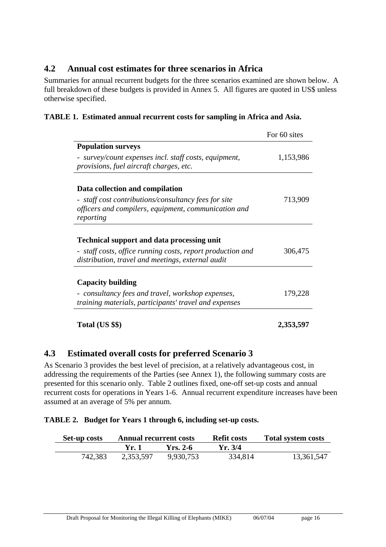### **4.2 Annual cost estimates for three scenarios in Africa**

Summaries for annual recurrent budgets for the three scenarios examined are shown below. A full breakdown of these budgets is provided in Annex 5. All figures are quoted in US\$ unless otherwise specified.

| TABLE 1. Estimated annual recurrent costs for sampling in Africa and Asia. |  |
|----------------------------------------------------------------------------|--|
|----------------------------------------------------------------------------|--|

|                                                                                                                           | For 60 sites |
|---------------------------------------------------------------------------------------------------------------------------|--------------|
| <b>Population surveys</b>                                                                                                 |              |
| - survey/count expenses incl. staff costs, equipment,<br>provisions, fuel aircraft charges, etc.                          | 1,153,986    |
| Data collection and compilation                                                                                           |              |
| - staff cost contributions/consultancy fees for site<br>officers and compilers, equipment, communication and<br>reporting | 713,909      |
| <b>Technical support and data processing unit</b>                                                                         |              |
| - staff costs, office running costs, report production and<br>distribution, travel and meetings, external audit           | 306,475      |
| <b>Capacity building</b>                                                                                                  |              |
| - consultancy fees and travel, workshop expenses,<br>training materials, participants' travel and expenses                | 179,228      |
| Total (US \$\$)                                                                                                           | 2,353,597    |

### **4.3 Estimated overall costs for preferred Scenario 3**

As Scenario 3 provides the best level of precision, at a relatively advantageous cost, in addressing the requirements of the Parties (see Annex 1), the following summary costs are presented for this scenario only. Table 2 outlines fixed, one-off set-up costs and annual recurrent costs for operations in Years 1-6. Annual recurrent expenditure increases have been assumed at an average of 5% per annum.

### **TABLE 2. Budget for Years 1 through 6, including set-up costs.**

| <b>Set-up costs</b> | <b>Annual recurrent costs</b> |            | <b>Refit costs</b> | <b>Total system costs</b> |
|---------------------|-------------------------------|------------|--------------------|---------------------------|
|                     | Yr. 1                         | $Yrs. 2-6$ | Yr. 3/4            |                           |
| 742,383             | 2,353,597                     | 9,930,753  | 334,814            | 13,361,547                |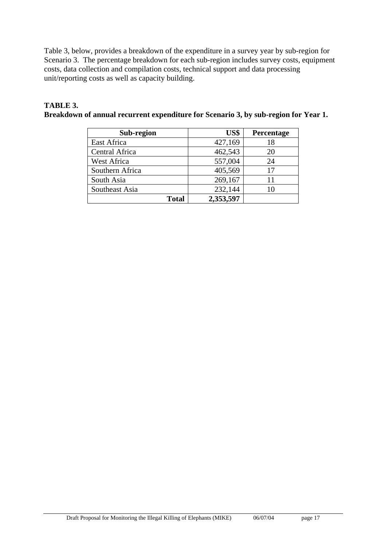Table 3, below, provides a breakdown of the expenditure in a survey year by sub-region for Scenario 3. The percentage breakdown for each sub-region includes survey costs, equipment costs, data collection and compilation costs, technical support and data processing unit/reporting costs as well as capacity building.

#### **TABLE 3. Breakdown of annual recurrent expenditure for Scenario 3, by sub-region for Year 1.**

| Sub-region      | US\$      | Percentage |
|-----------------|-----------|------------|
| East Africa     | 427,169   | 18         |
| Central Africa  | 462,543   | 20         |
| West Africa     | 557,004   | 24         |
| Southern Africa | 405,569   | 17         |
| South Asia      | 269,167   | 11         |
| Southeast Asia  | 232,144   |            |
| <b>Total</b>    | 2,353,597 |            |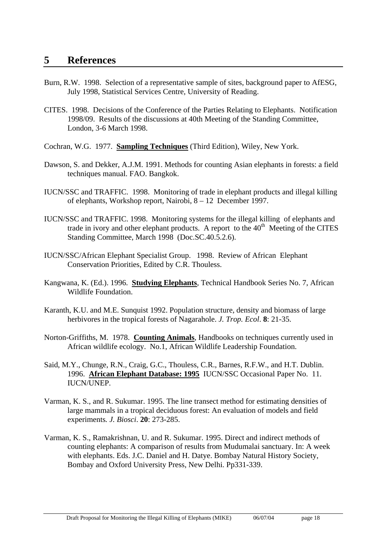- Burn, R.W. 1998. Selection of a representative sample of sites, background paper to AfESG, July 1998, Statistical Services Centre, University of Reading.
- CITES. 1998. Decisions of the Conference of the Parties Relating to Elephants. Notification 1998/09. Results of the discussions at 40th Meeting of the Standing Committee, London, 3-6 March 1998.
- Cochran, W.G. 1977. **Sampling Techniques** (Third Edition), Wiley, New York.
- Dawson, S. and Dekker, A.J.M. 1991. Methods for counting Asian elephants in forests: a field techniques manual. FAO. Bangkok.
- IUCN/SSC and TRAFFIC. 1998. Monitoring of trade in elephant products and illegal killing of elephants, Workshop report, Nairobi, 8 – 12 December 1997.
- IUCN/SSC and TRAFFIC. 1998. Monitoring systems for the illegal killing of elephants and trade in ivory and other elephant products. A report to the  $40<sup>th</sup>$  Meeting of the CITES Standing Committee, March 1998 (Doc.SC.40.5.2.6).
- IUCN/SSC/African Elephant Specialist Group. 1998. Review of African Elephant Conservation Priorities, Edited by C.R. Thouless.
- Kangwana, K. (Ed.). 1996. **Studying Elephants**, Technical Handbook Series No. 7, African Wildlife Foundation.
- Karanth, K.U. and M.E. Sunquist 1992. Population structure, density and biomass of large herbivores in the tropical forests of Nagarahole. *J. Trop. Ecol*. **8**: 21-35.
- Norton-Griffiths, M. 1978. **Counting Animals**, Handbooks on techniques currently used in African wildlife ecology. No.1, African Wildlife Leadership Foundation.
- Said, M.Y., Chunge, R.N., Craig, G.C., Thouless, C.R., Barnes, R.F.W., and H.T. Dublin. 1996. **African Elephant Database: 1995** IUCN/SSC Occasional Paper No. 11. IUCN/UNEP.
- Varman, K. S., and R. Sukumar. 1995. The line transect method for estimating densities of large mammals in a tropical deciduous forest: An evaluation of models and field experiments*. J. Biosci*. **20**: 273-285.
- Varman, K. S., Ramakrishnan, U. and R. Sukumar. 1995. Direct and indirect methods of counting elephants: A comparison of results from Mudumalai sanctuary. In: A week with elephants. Eds. J.C. Daniel and H. Datye. Bombay Natural History Society, Bombay and Oxford University Press, New Delhi. Pp331-339.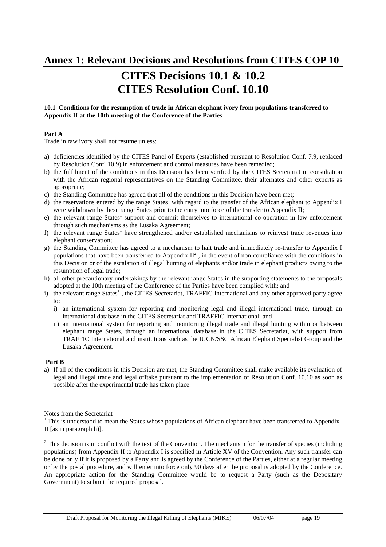**Annex 1: Relevant Decisions and Resolutions from CITES COP 10** 

## **CITES Decisions 10.1 & 10.2 CITES Resolution Conf. 10.10**

#### **10.1 Conditions for the resumption of trade in African elephant ivory from populations transferred to Appendix II at the 10th meeting of the Conference of the Parties**

#### **Part A**

Trade in raw ivory shall not resume unless:

- a) deficiencies identified by the CITES Panel of Experts (established pursuant to Resolution Conf. 7.9, replaced by Resolution Conf. 10.9) in enforcement and control measures have been remedied;
- b) the fulfilment of the conditions in this Decision has been verified by the CITES Secretariat in consultation with the African regional representatives on the Standing Committee, their alternates and other experts as appropriate;
- c) the Standing Committee has agreed that all of the conditions in this Decision have been met;
- d) the reservations entered by the range States<sup>1</sup> with regard to the transfer of the African elephant to Appendix I were withdrawn by these range States prior to the entry into force of the transfer to Appendix II;
- e) the relevant range States<sup>1</sup> support and commit themselves to international co-operation in law enforcement through such mechanisms as the Lusaka Agreement;
- f) the relevant range States<sup>1</sup> have strengthened and/or established mechanisms to reinvest trade revenues into elephant conservation;
- g) the Standing Committee has agreed to a mechanism to halt trade and immediately re-transfer to Appendix I populations that have been transferred to Appendix  $II^2$ , in the event of non-compliance with the conditions in this Decision or of the escalation of illegal hunting of elephants and/or trade in elephant products owing to the resumption of legal trade;
- h) all other precautionary undertakings by the relevant range States in the supporting statements to the proposals adopted at the 10th meeting of the Conference of the Parties have been complied with; and
- i) the relevant range States<sup>1</sup>, the CITES Secretariat, TRAFFIC International and any other approved party agree to:
	- i) an international system for reporting and monitoring legal and illegal international trade, through an international database in the CITES Secretariat and TRAFFIC International; and
	- ii) an international system for reporting and monitoring illegal trade and illegal hunting within or between elephant range States, through an international database in the CITES Secretariat, with support from TRAFFIC International and institutions such as the IUCN/SSC African Elephant Specialist Group and the Lusaka Agreement.

#### **Part B**

 $\overline{a}$ 

a) If all of the conditions in this Decision are met, the Standing Committee shall make available its evaluation of legal and illegal trade and legal offtake pursuant to the implementation of Resolution Conf. 10.10 as soon as possible after the experimental trade has taken place.

Notes from the Secretariat

 $1$  This is understood to mean the States whose populations of African elephant have been transferred to Appendix II [as in paragraph h)].

 $2^2$  This decision is in conflict with the text of the Convention. The mechanism for the transfer of species (including populations) from Appendix II to Appendix I is specified in Article XV of the Convention. Any such transfer can be done only if it is proposed by a Party and is agreed by the Conference of the Parties, either at a regular meeting or by the postal procedure, and will enter into force only 90 days after the proposal is adopted by the Conference. An appropriate action for the Standing Committee would be to request a Party (such as the Depositary Government) to submit the required proposal.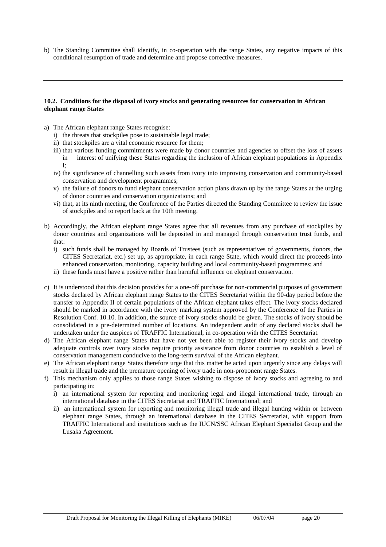b) The Standing Committee shall identify, in co-operation with the range States, any negative impacts of this conditional resumption of trade and determine and propose corrective measures.

#### **10.2. Conditions for the disposal of ivory stocks and generating resources for conservation in African elephant range States**

- a) The African elephant range States recognise:
	- i) the threats that stockpiles pose to sustainable legal trade;
	- ii) that stockpiles are a vital economic resource for them;
	- iii) that various funding commitments were made by donor countries and agencies to offset the loss of assets in interest of unifying these States regarding the inclusion of African elephant populations in Appendix I;
	- iv) the significance of channelling such assets from ivory into improving conservation and community-based conservation and development programmes;
	- v) the failure of donors to fund elephant conservation action plans drawn up by the range States at the urging of donor countries and conservation organizations; and
	- vi) that, at its ninth meeting, the Conference of the Parties directed the Standing Committee to review the issue of stockpiles and to report back at the 10th meeting.
- b) Accordingly, the African elephant range States agree that all revenues from any purchase of stockpiles by donor countries and organizations will be deposited in and managed through conservation trust funds, and that:
	- i) such funds shall be managed by Boards of Trustees (such as representatives of governments, donors, the CITES Secretariat, etc.) set up, as appropriate, in each range State, which would direct the proceeds into enhanced conservation, monitoring, capacity building and local community-based programmes; and
	- ii) these funds must have a positive rather than harmful influence on elephant conservation.
- c) It is understood that this decision provides for a one-off purchase for non-commercial purposes of government stocks declared by African elephant range States to the CITES Secretariat within the 90-day period before the transfer to Appendix II of certain populations of the African elephant takes effect. The ivory stocks declared should be marked in accordance with the ivory marking system approved by the Conference of the Parties in Resolution Conf. 10.10. In addition, the source of ivory stocks should be given. The stocks of ivory should be consolidated in a pre-determined number of locations. An independent audit of any declared stocks shall be undertaken under the auspices of TRAFFIC International, in co-operation with the CITES Secretariat.
- d) The African elephant range States that have not yet been able to register their ivory stocks and develop adequate controls over ivory stocks require priority assistance from donor countries to establish a level of conservation management conducive to the long-term survival of the African elephant.
- e) The African elephant range States therefore urge that this matter be acted upon urgently since any delays will result in illegal trade and the premature opening of ivory trade in non-proponent range States.
- f) This mechanism only applies to those range States wishing to dispose of ivory stocks and agreeing to and participating in:
	- i) an international system for reporting and monitoring legal and illegal international trade, through an international database in the CITES Secretariat and TRAFFIC International; and
	- ii) an international system for reporting and monitoring illegal trade and illegal hunting within or between elephant range States, through an international database in the CITES Secretariat, with support from TRAFFIC International and institutions such as the IUCN/SSC African Elephant Specialist Group and the Lusaka Agreement.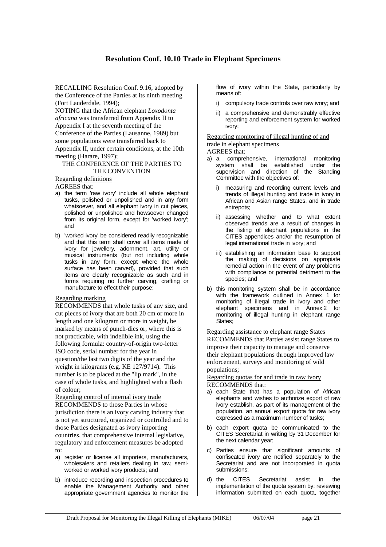#### **Resolution Conf. 10.10 Trade in Elephant Specimens**

RECALLING Resolution Conf. 9.16, adopted by the Conference of the Parties at its ninth meeting (Fort Lauderdale, 1994);

NOTING that the African elephant *Loxodonta africana* was transferred from Appendix II to Appendix I at the seventh meeting of the Conference of the Parties (Lausanne, 1989) but some populations were transferred back to Appendix II, under certain conditions, at the 10th meeting (Harare, 1997);

#### THE CONFERENCE OF THE PARTIES TO THE CONVENTION

#### Regarding definitions

AGREES that:

- a) the term 'raw ivory' include all whole elephant tusks, polished or unpolished and in any form whatsoever, and all elephant ivory in cut pieces, polished or unpolished and howsoever changed from its original form, except for 'worked ivory'; and
- b) 'worked ivory' be considered readily recognizable and that this term shall cover all items made of ivory for jewellery, adornment, art, utility or musical instruments (but not including whole tusks in any form, except where the whole surface has been carved), provided that such items are clearly recognizable as such and in forms requiring no further carving, crafting or manufacture to effect their purpose;

#### Regarding marking

RECOMMENDS that whole tusks of any size, and cut pieces of ivory that are both 20 cm or more in length and one kilogram or more in weight, be marked by means of punch-dies or, where this is not practicable, with indelible ink, using the following formula: country-of-origin two-letter ISO code, serial number for the year in question/the last two digits of the year and the weight in kilograms (e.g. KE 127/9714). This number is to be placed at the "lip mark", in the case of whole tusks, and highlighted with a flash of colour;

Regarding control of internal ivory trade RECOMMENDS to those Parties in whose jurisdiction there is an ivory carving industry that is not yet structured, organized or controlled and to those Parties designated as ivory importing countries, that comprehensive internal legislative, regulatory and enforcement measures be adopted to:

- a) register or license all importers, manufacturers, wholesalers and retailers dealing in raw, semiworked or worked ivory products; and
- b) introduce recording and inspection procedures to enable the Management Authority and other appropriate government agencies to monitor the

flow of ivory within the State, particularly by means of:

- i) compulsory trade controls over raw ivory; and
- ii) a comprehensive and demonstrably effective reporting and enforcement system for worked ivory;

Regarding monitoring of illegal hunting of and trade in elephant specimens AGREES that:

- 
- a) a comprehensive, international monitoring system shall be established under the supervision and direction of the Standing Committee with the objectives of:
	- i) measuring and recording current levels and trends of illegal hunting and trade in ivory in African and Asian range States, and in trade entrepots;
	- ii) assessing whether and to what extent observed trends are a result of changes in the listing of elephant populations in the CITES appendices and/or the resumption of legal international trade in ivory; and
	- iii) establishing an information base to support the making of decisions on appropiate remedial action in the event of any problems with compliance or potential detriment to the species; and
- b) this monitoring system shall be in accordance with the framework outlined in Annex 1 for monitoring of illegal trade in ivory and other elephant specimens and in Annex 2 for monitoring of illegal hunting in elephant range States:

Regarding assistance to elephant range States

RECOMMENDS that Parties assist range States to improve their capacity to manage and conserve their elephant populations through improved law enforcement, surveys and monitoring of wild populations;

Regarding quotas for and trade in raw ivory RECOMMENDS that:

- a) each State that has a population of African elephants and wishes to authorize export of raw ivory establish, as part of its management of the population, an annual export quota for raw ivory expressed as a maximum number of tusks;
- b) each export quota be communicated to the CITES Secretariat in writing by 31 December for the next calendar year;
- c) Parties ensure that significant amounts of confiscated ivory are notified separately to the Secretariat and are not incorporated in quota submissions;
- d) the CITES Secretariat assist in the implementation of the quota system by: reviewing information submitted on each quota, together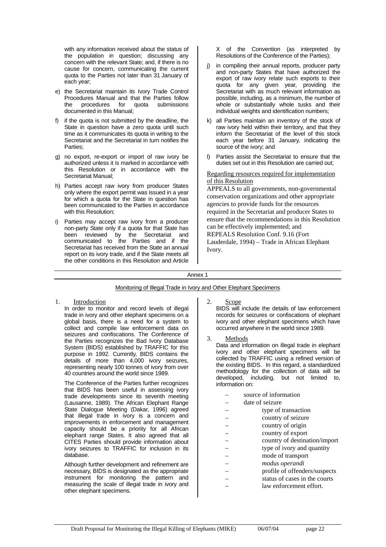with any information received about the status of the population in question; discussing any concern with the relevant State; and, if there is no cause for concern, communicating the current quota to the Parties not later than 31 January of each year;

- e) the Secretariat maintain its Ivory Trade Control Procedures Manual and that the Parties follow the procedures for quota submissions documented in this Manual;
- f) if the quota is not submitted by the deadline, the State in question have a zero quota until such time as it communicates its quota in writing to the Secretariat and the Secretariat in turn notifies the Parties;
- g) no export, re-export or import of raw ivory be authorized unless it is marked in accordance with this Resolution or in accordance with the Secretariat Manual;
- h) Parties accept raw ivory from producer States only where the export permit was issued in a year for which a quota for the State in question has been communicated to the Parties in accordance with this Resolution;
- i) Parties may accept raw ivory from a producer non-party State only if a quota for that State has been reviewed by the Secretariat and communicated to the Parties and if the Secretariat has received from the State an annual report on its ivory trade, and if the State meets all the other conditions in this Resolution and Article

X of the Convention (as interpreted by Resolutions of the Conference of the Parties);

- j) in compiling their annual reports, producer party and non-party States that have authorized the export of raw ivory relate such exports to their quota for any given year, providing the Secretariat with as much relevant information as possible, including, as a minimum, the number of whole or substantially whole tusks and their individual weights and identification numbers;
- k) all Parties maintain an inventory of the stock of raw ivory held within their territory, and that they inform the Secretariat of the level of this stock each year before 31 January, indicating the source of the ivory; and
- Parties assist the Secretariat to ensure that the duties set out in this Resolution are carried out;

Regarding resources required for implementation of this Resolution

APPEALS to all governments, non-governmental conservation organizations and other appropriate agencies to provide funds for the resources required in the Secretariat and producer States to ensure that the recommendations in this Resolution can be effectively implemented; and REPEALS Resolution Conf. 9.16 (Fort Lauderdale, 1994) – Trade in African Elephant Ivory.

#### Annex 1

#### Monitoring of Illegal Trade in Ivory and Other Elephant Specimens

1. Introduction

 In order to monitor and record levels of illegal trade in ivory and other elephant specimens on a global basis, there is a need for a system to collect and compile law enforcement data on seizures and confiscations. The Conference of the Parties recognizes the Bad Ivory Database System (BIDS) established by TRAFFIC for this purpose in 1992. Currently, BIDS contains the details of more than 4,000 ivory seizures, representing nearly 100 tonnes of ivory from over 40 countries around the world since 1989.

 The Conference of the Parties further recognizes that BIDS has been useful in assessing ivory trade developments since its seventh meeting (Lausanne, 1989). The African Elephant Range State Dialogue Meeting (Dakar, 1996) agreed that illegal trade in ivory is a concern and improvements in enforcement and management capacity should be a priority for all African elephant range States. It also agreed that all CITES Parties should provide information about ivory seizures to TRAFFIC for inclusion in its database.

 Although further development and refinement are necessary, BIDS is designated as the appropriate instrument for monitoring the pattern and measuring the scale of illegal trade in ivory and other elephant specimens.

2. Scope

 BIDS will include the details of law enforcement records for seizures or confiscations of elephant ivory and other elephant specimens which have occurred anywhere in the world since 1989.

3. Methods

 Data and information on illegal trade in elephant ivory and other elephant specimens will be collected by TRAFFIC using a refined version of the existing BIDS. In this regard, a standardized methodology for the collection of data will be developed, including, but not limited to, information on:

- source of information
- date of seizure
- type of transaction
- country of seizure
- country of origin
- country of export
- country of destination/import
- type of ivory and quantity
- mode of transport
- *modus operandi*
- profile of offenders/suspects
- status of cases in the courts
	- law enforcement effort.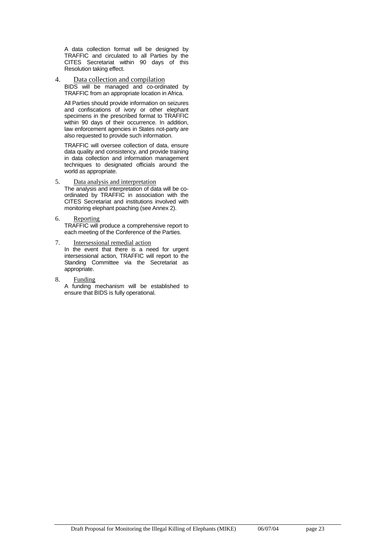A data collection format will be designed by TRAFFIC and circulated to all Parties by the CITES Secretariat within 90 days of this Resolution taking effect.

4. Data collection and compilation BIDS will be managed and co-ordinated by TRAFFIC from an appropriate location in Africa.

 All Parties should provide information on seizures and confiscations of ivory or other elephant specimens in the prescribed format to TRAFFIC within 90 days of their occurrence. In addition, law enforcement agencies in States not-party are also requested to provide such information.

 TRAFFIC will oversee collection of data, ensure data quality and consistency, and provide training in data collection and information management techniques to designated officials around the world as appropriate.

5. Data analysis and interpretation The analysis and interpretation of data will be coordinated by TRAFFIC in association with the CITES Secretariat and institutions involved with monitoring elephant poaching (see Annex 2).

#### 6. Reporting

 TRAFFIC will produce a comprehensive report to each meeting of the Conference of the Parties.

- 7. Intersessional remedial action In the event that there is a need for urgent intersessional action, TRAFFIC will report to the Standing Committee via the Secretariat as appropriate.
- 8. Funding A funding mechanism will be established to ensure that BIDS is fully operational.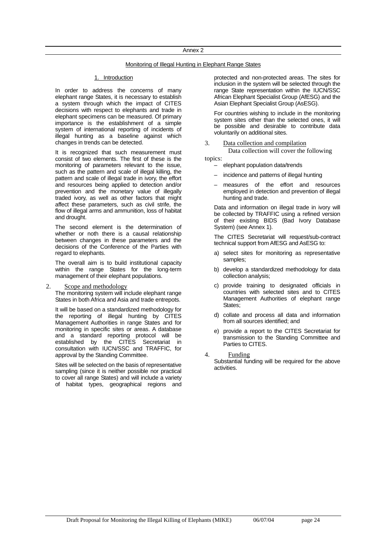#### Monitoring of Illegal Hunting in Elephant Range States

#### 1. Introduction

 In order to address the concerns of many elephant range States, it is necessary to establish a system through which the impact of CITES decisions with respect to elephants and trade in elephant specimens can be measured. Of primary importance is the establishment of a simple system of international reporting of incidents of illegal hunting as a baseline against which changes in trends can be detected.

 It is recognized that such measurement must consist of two elements. The first of these is the monitoring of parameters relevant to the issue, such as the pattern and scale of illegal killing, the pattern and scale of illegal trade in ivory, the effort and resources being applied to detection and/or prevention and the monetary value of illegally traded ivory, as well as other factors that might affect these parameters, such as civil strife. the flow of illegal arms and ammunition, loss of habitat and drought.

 The second element is the determination of whether or noth there is a causal relationship between changes in these parameters and the decisions of the Conference of the Parties with regard to elephants.

 The overall aim is to build institutional capacity within the range States for the long-term management of their elephant populations.

#### 2. Scope and methodology

 The monitoring system will include elephant range States in both Africa and Asia and trade entrepots.

 It will be based on a standardized methodology for the reporting of illegal hunting by CITES Management Authorities in range States and for monitoring in specific sites or areas. A database and a standard reporting protocol will be established by the CITES Secretariat in consultation with IUCN/SSC and TRAFFIC, for approval by the Standing Committee.

 Sites will be selected on the basis of representative sampling (since it is neither possible nor practical to cover all range States) and will include a variety of habitat types, geographical regions and protected and non-protected areas. The sites for inclusion in the system will be selected through the range State representation within the IUCN/SSC African Elephant Specialist Group (AfESG) and the Asian Elephant Specialist Group (AsESG).

 For countries wishing to include in the monitoring system sites other than the selected ones, it will be possible and desirable to contribute data voluntarily on additional sites.

3. Data collection and compilation

Data collection will cover the following

topics: – elephant population data/trends

- incidence and patterns of illegal hunting
- measures of the effort and resources employed in detection and prevention of illegal hunting and trade.

 Data and information on illegal trade in ivory will be collected by TRAFFIC using a refined version of their existing BIDS (Bad Ivory Database System) (see Annex 1).

 The CITES Secretariat will request/sub-contract technical support from AfESG and AsESG to:

- a) select sites for monitoring as representative samples;
- b) develop a standardized methodology for data collection analysis;
- c) provide training to designated officials in countries with selected sites and to CITES Management Authorities of elephant range States:
- d) collate and process all data and information from all sources identified; and
- e) provide a report to the CITES Secretariat for transmission to the Standing Committee and Parties to CITES.

4. Funding

 Substantial funding will be required for the above activities.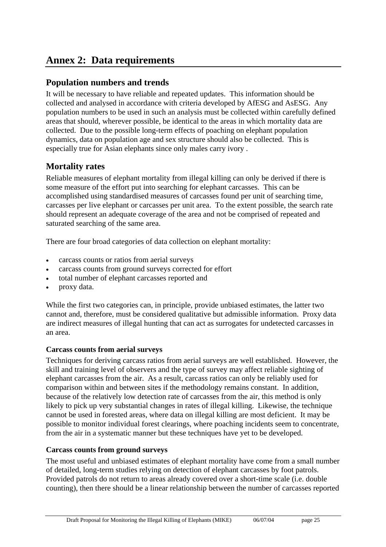## **Annex 2: Data requirements**

### **Population numbers and trends**

It will be necessary to have reliable and repeated updates. This information should be collected and analysed in accordance with criteria developed by AfESG and AsESG. Any population numbers to be used in such an analysis must be collected within carefully defined areas that should, wherever possible, be identical to the areas in which mortality data are collected. Due to the possible long-term effects of poaching on elephant population dynamics, data on population age and sex structure should also be collected. This is especially true for Asian elephants since only males carry ivory .

### **Mortality rates**

Reliable measures of elephant mortality from illegal killing can only be derived if there is some measure of the effort put into searching for elephant carcasses. This can be accomplished using standardised measures of carcasses found per unit of searching time, carcasses per live elephant or carcasses per unit area. To the extent possible, the search rate should represent an adequate coverage of the area and not be comprised of repeated and saturated searching of the same area.

There are four broad categories of data collection on elephant mortality:

- carcass counts or ratios from aerial surveys
- carcass counts from ground surveys corrected for effort
- total number of elephant carcasses reported and
- proxy data.

While the first two categories can, in principle, provide unbiased estimates, the latter two cannot and, therefore, must be considered qualitative but admissible information. Proxy data are indirect measures of illegal hunting that can act as surrogates for undetected carcasses in an area.

### **Carcass counts from aerial surveys**

Techniques for deriving carcass ratios from aerial surveys are well established. However, the skill and training level of observers and the type of survey may affect reliable sighting of elephant carcasses from the air. As a result, carcass ratios can only be reliably used for comparison within and between sites if the methodology remains constant. In addition, because of the relatively low detection rate of carcasses from the air, this method is only likely to pick up very substantial changes in rates of illegal killing. Likewise, the technique cannot be used in forested areas, where data on illegal killing are most deficient. It may be possible to monitor individual forest clearings, where poaching incidents seem to concentrate, from the air in a systematic manner but these techniques have yet to be developed.

### **Carcass counts from ground surveys**

The most useful and unbiased estimates of elephant mortality have come from a small number of detailed, long-term studies relying on detection of elephant carcasses by foot patrols. Provided patrols do not return to areas already covered over a short-time scale (i.e. double counting), then there should be a linear relationship between the number of carcasses reported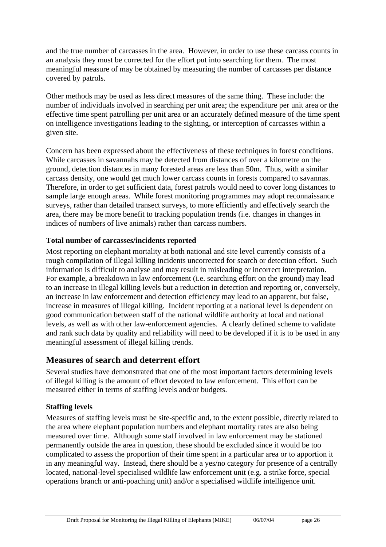and the true number of carcasses in the area. However, in order to use these carcass counts in an analysis they must be corrected for the effort put into searching for them. The most meaningful measure of may be obtained by measuring the number of carcasses per distance covered by patrols.

Other methods may be used as less direct measures of the same thing. These include: the number of individuals involved in searching per unit area; the expenditure per unit area or the effective time spent patrolling per unit area or an accurately defined measure of the time spent on intelligence investigations leading to the sighting, or interception of carcasses within a given site.

Concern has been expressed about the effectiveness of these techniques in forest conditions. While carcasses in savannahs may be detected from distances of over a kilometre on the ground, detection distances in many forested areas are less than 50m. Thus, with a similar carcass density, one would get much lower carcass counts in forests compared to savannas. Therefore, in order to get sufficient data, forest patrols would need to cover long distances to sample large enough areas. While forest monitoring programmes may adopt reconnaissance surveys, rather than detailed transect surveys, to more efficiently and effectively search the area, there may be more benefit to tracking population trends (i.e. changes in changes in indices of numbers of live animals) rather than carcass numbers.

### **Total number of carcasses/incidents reported**

Most reporting on elephant mortality at both national and site level currently consists of a rough compilation of illegal killing incidents uncorrected for search or detection effort. Such information is difficult to analyse and may result in misleading or incorrect interpretation. For example, a breakdown in law enforcement (i.e. searching effort on the ground) may lead to an increase in illegal killing levels but a reduction in detection and reporting or, conversely, an increase in law enforcement and detection efficiency may lead to an apparent, but false, increase in measures of illegal killing. Incident reporting at a national level is dependent on good communication between staff of the national wildlife authority at local and national levels, as well as with other law-enforcement agencies. A clearly defined scheme to validate and rank such data by quality and reliability will need to be developed if it is to be used in any meaningful assessment of illegal killing trends.

### **Measures of search and deterrent effort**

Several studies have demonstrated that one of the most important factors determining levels of illegal killing is the amount of effort devoted to law enforcement. This effort can be measured either in terms of staffing levels and/or budgets.

### **Staffing levels**

Measures of staffing levels must be site-specific and, to the extent possible, directly related to the area where elephant population numbers and elephant mortality rates are also being measured over time. Although some staff involved in law enforcement may be stationed permanently outside the area in question, these should be excluded since it would be too complicated to assess the proportion of their time spent in a particular area or to apportion it in any meaningful way. Instead, there should be a yes/no category for presence of a centrally located, national-level specialised wildlife law enforcement unit (e.g. a strike force, special operations branch or anti-poaching unit) and/or a specialised wildlife intelligence unit.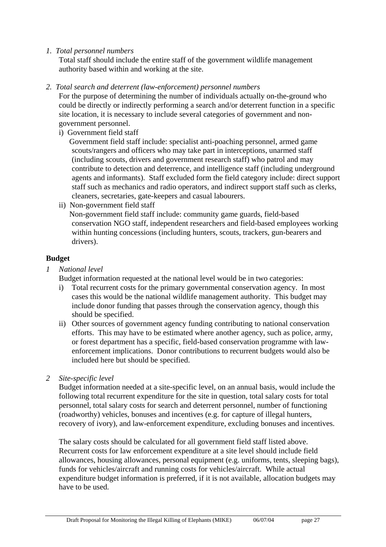*1. Total personnel numbers* 

Total staff should include the entire staff of the government wildlife management authority based within and working at the site.

*2. Total search and deterrent (law-enforcement) personnel numbers* 

For the purpose of determining the number of individuals actually on-the-ground who could be directly or indirectly performing a search and/or deterrent function in a specific site location, it is necessary to include several categories of government and nongovernment personnel.

i) Government field staff

Government field staff include: specialist anti-poaching personnel, armed game scouts/rangers and officers who may take part in interceptions, unarmed staff (including scouts, drivers and government research staff) who patrol and may contribute to detection and deterrence, and intelligence staff (including underground agents and informants). Staff excluded form the field category include: direct support staff such as mechanics and radio operators, and indirect support staff such as clerks, cleaners, secretaries, gate-keepers and casual labourers.

ii) Non-government field staff

Non-government field staff include: community game guards, field-based conservation NGO staff, independent researchers and field-based employees working within hunting concessions (including hunters, scouts, trackers, gun-bearers and drivers).

#### **Budget**

*1 National level* 

Budget information requested at the national level would be in two categories:

- i) Total recurrent costs for the primary governmental conservation agency. In most cases this would be the national wildlife management authority. This budget may include donor funding that passes through the conservation agency, though this should be specified.
- ii) Other sources of government agency funding contributing to national conservation efforts. This may have to be estimated where another agency, such as police, army, or forest department has a specific, field-based conservation programme with lawenforcement implications. Donor contributions to recurrent budgets would also be included here but should be specified.
- *2 Site-specific level*

Budget information needed at a site-specific level, on an annual basis, would include the following total recurrent expenditure for the site in question, total salary costs for total personnel, total salary costs for search and deterrent personnel, number of functioning (roadworthy) vehicles, bonuses and incentives (e.g. for capture of illegal hunters, recovery of ivory), and law-enforcement expenditure, excluding bonuses and incentives.

The salary costs should be calculated for all government field staff listed above. Recurrent costs for law enforcement expenditure at a site level should include field allowances, housing allowances, personal equipment (e.g. uniforms, tents, sleeping bags), funds for vehicles/aircraft and running costs for vehicles/aircraft. While actual expenditure budget information is preferred, if it is not available, allocation budgets may have to be used.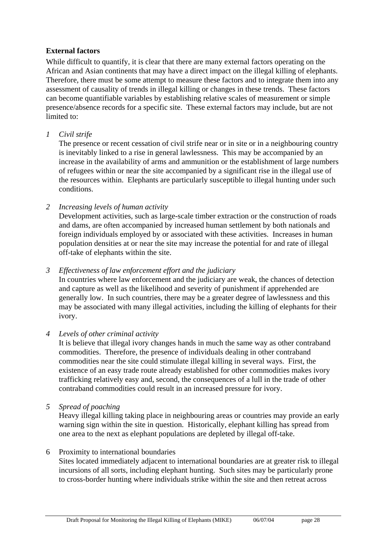#### **External factors**

While difficult to quantify, it is clear that there are many external factors operating on the African and Asian continents that may have a direct impact on the illegal killing of elephants. Therefore, there must be some attempt to measure these factors and to integrate them into any assessment of causality of trends in illegal killing or changes in these trends. These factors can become quantifiable variables by establishing relative scales of measurement or simple presence/absence records for a specific site. These external factors may include, but are not limited to:

#### *1 Civil strife*

The presence or recent cessation of civil strife near or in site or in a neighbouring country is inevitably linked to a rise in general lawlessness. This may be accompanied by an increase in the availability of arms and ammunition or the establishment of large numbers of refugees within or near the site accompanied by a significant rise in the illegal use of the resources within. Elephants are particularly susceptible to illegal hunting under such conditions.

#### *2 Increasing levels of human activity*

Development activities, such as large-scale timber extraction or the construction of roads and dams, are often accompanied by increased human settlement by both nationals and foreign individuals employed by or associated with these activities. Increases in human population densities at or near the site may increase the potential for and rate of illegal off-take of elephants within the site.

### *3 Effectiveness of law enforcement effort and the judiciary*

In countries where law enforcement and the judiciary are weak, the chances of detection and capture as well as the likelihood and severity of punishment if apprehended are generally low. In such countries, there may be a greater degree of lawlessness and this may be associated with many illegal activities, including the killing of elephants for their ivory.

#### *4 Levels of other criminal activity*

It is believe that illegal ivory changes hands in much the same way as other contraband commodities. Therefore, the presence of individuals dealing in other contraband commodities near the site could stimulate illegal killing in several ways. First, the existence of an easy trade route already established for other commodities makes ivory trafficking relatively easy and, second, the consequences of a lull in the trade of other contraband commodities could result in an increased pressure for ivory.

*5 Spread of poaching* 

Heavy illegal killing taking place in neighbouring areas or countries may provide an early warning sign within the site in question. Historically, elephant killing has spread from one area to the next as elephant populations are depleted by illegal off-take.

#### 6 Proximity to international boundaries

Sites located immediately adjacent to international boundaries are at greater risk to illegal incursions of all sorts, including elephant hunting. Such sites may be particularly prone to cross-border hunting where individuals strike within the site and then retreat across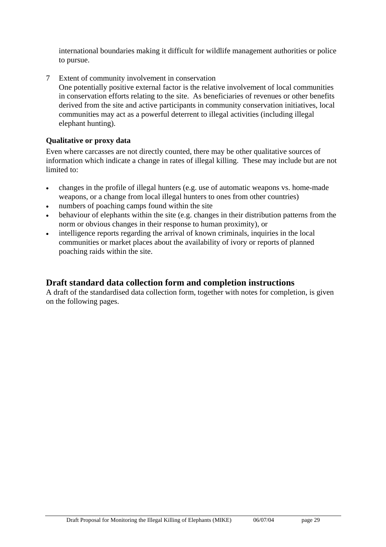international boundaries making it difficult for wildlife management authorities or police to pursue.

7 Extent of community involvement in conservation One potentially positive external factor is the relative involvement of local communities in conservation efforts relating to the site. As beneficiaries of revenues or other benefits derived from the site and active participants in community conservation initiatives, local communities may act as a powerful deterrent to illegal activities (including illegal elephant hunting).

### **Qualitative or proxy data**

Even where carcasses are not directly counted, there may be other qualitative sources of information which indicate a change in rates of illegal killing. These may include but are not limited to:

- changes in the profile of illegal hunters (e.g. use of automatic weapons vs. home-made weapons, or a change from local illegal hunters to ones from other countries)
- numbers of poaching camps found within the site
- behaviour of elephants within the site (e.g. changes in their distribution patterns from the norm or obvious changes in their response to human proximity), or
- intelligence reports regarding the arrival of known criminals, inquiries in the local communities or market places about the availability of ivory or reports of planned poaching raids within the site.

### **Draft standard data collection form and completion instructions**

A draft of the standardised data collection form, together with notes for completion, is given on the following pages.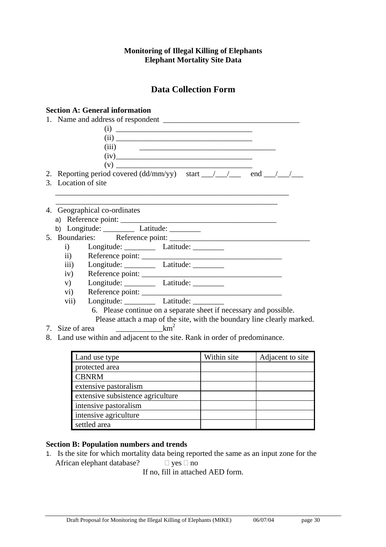#### **Monitoring of Illegal Killing of Elephants Elephant Mortality Site Data**

### **Data Collection Form**

### **Section A: General information**

|    | (i)                                                                                        |  |
|----|--------------------------------------------------------------------------------------------|--|
|    |                                                                                            |  |
|    | (iii)<br><u> 1989 - Johann Barnett, fransk politiker (d. 1989)</u>                         |  |
|    |                                                                                            |  |
|    |                                                                                            |  |
|    | 2. Reporting period covered (dd/mm/yy) start $\frac{1}{\sqrt{2}}$ end $\frac{1}{\sqrt{2}}$ |  |
|    | 3. Location of site                                                                        |  |
|    |                                                                                            |  |
|    |                                                                                            |  |
|    | 4. Geographical co-ordinates                                                               |  |
|    |                                                                                            |  |
|    | b) Longitude: $\_\_\_\_\_\$ Latitude: $\_\_\_\_\_\_\_\_\_\_\$                              |  |
|    |                                                                                            |  |
|    | i) Longitude: Latitude: Latitude:                                                          |  |
|    | $\mathbf{ii}$ )<br>Reference point:                                                        |  |
|    | iii) Longitude: Latitude: __________                                                       |  |
|    |                                                                                            |  |
|    | v) Longitude: Latitude: __________                                                         |  |
|    |                                                                                            |  |
|    | Longitude: ____________ Latitude: _________<br>vii)                                        |  |
|    | 6. Please continue on a separate sheet if necessary and possible.                          |  |
|    | Please attach a map of the site, with the boundary line clearly marked.                    |  |
| 7. | km <sup>2</sup><br>Size of area                                                            |  |

8. Land use within and adjacent to the site. Rank in order of predominance.

| Land use type                     | Within site | Adjacent to site |
|-----------------------------------|-------------|------------------|
| protected area                    |             |                  |
| <b>CBNRM</b>                      |             |                  |
| extensive pastoralism             |             |                  |
| extensive subsistence agriculture |             |                  |
| intensive pastoralism             |             |                  |
| intensive agriculture             |             |                  |
| settled area                      |             |                  |

#### **Section B: Population numbers and trends**

1. Is the site for which mortality data being reported the same as an input zone for the African elephant database?  $\Box$  yes  $\Box$  no

If no, fill in attached AED form.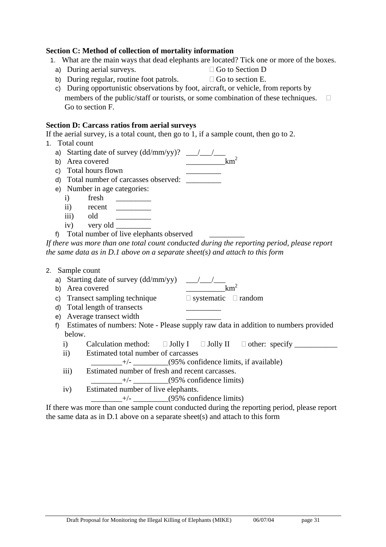#### **Section C: Method of collection of mortality information**

- 1. What are the main ways that dead elephants are located? Tick one or more of the boxes.
	- a) During aerial surveys.  $\Box$  Go to Section D

b) During regular, routine foot patrols.  $\Box$  Go to section E.

c) During opportunistic observations by foot, aircraft, or vehicle, from reports by members of the public/staff or tourists, or some combination of these techniques.  $\square$ 

Go to section F.

#### **Section D: Carcass ratios from aerial surveys**

If the aerial survey, is a total count, then go to 1, if a sample count, then go to 2.

- 1. Total count
	- a) Starting date of survey  $(dd/mm/yy)$ ? \_\_\_/\_\_\_/\_\_\_\_ b) Area covered  $km^2$
	-
	- c) Total hours flown \_\_\_\_\_\_\_\_\_

d) Total number of carcasses observed: \_\_\_\_\_\_\_\_\_

- e) Number in age categories:
	- i) fresh
	- ii) recent \_\_\_\_\_\_\_\_\_
	- iii) old
	- iv) very old
- f) Total number of live elephants observed

*If there was more than one total count conducted during the reporting period, please report the same data as in D.1 above on a separate sheet(s) and attach to this form* 

- 2. Sample count
	- a) Starting date of survey (dd/mm/yy) \_\_\_/\_\_\_/\_\_\_
	-
	- c) Transect sampling technique  $\Box$  systematic  $\Box$  random
	- d) Total length of transects \_\_\_\_\_\_\_\_\_
	- e) Average transect width \_\_\_\_\_\_\_\_\_
	- f) Estimates of numbers: Note Please supply raw data in addition to numbers provided below.
		- i) Calculation method:  $\square$  Jolly I  $\square$  Jolly II  $\square$  other: specify
		- ii) Estimated total number of carcasses
			- $+/-$  (95% confidence limits, if available)
		- iii) Estimated number of fresh and recent carcasses.

 $+/-$  (95% confidence limits)

iv) Estimated number of live elephants.

 $+/-$  (95% confidence limits)

If there was more than one sample count conducted during the reporting period, please report the same data as in D.1 above on a separate sheet(s) and attach to this form

- 
- 

# b) Area covered  $km^2$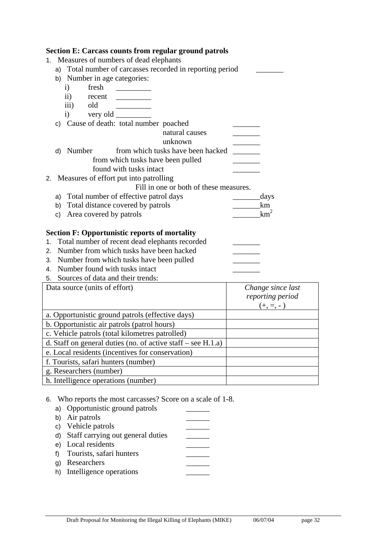| <b>Section E: Carcass counts from regular ground patrols</b>   |                   |  |  |  |
|----------------------------------------------------------------|-------------------|--|--|--|
| Measures of numbers of dead elephants<br>1.                    |                   |  |  |  |
| a) Total number of carcasses recorded in reporting period      |                   |  |  |  |
| b) Number in age categories:                                   |                   |  |  |  |
| fresh<br>$\mathbf{i}$                                          |                   |  |  |  |
| $\rm ii)$<br>recent                                            |                   |  |  |  |
| old<br>$\overline{iii}$ )                                      |                   |  |  |  |
| $\mathbf{i}$<br>c) Cause of death: total number poached        |                   |  |  |  |
| natural causes                                                 |                   |  |  |  |
| unknown                                                        |                   |  |  |  |
| from which tusks have been hacked<br>d) Number                 |                   |  |  |  |
| from which tusks have been pulled                              |                   |  |  |  |
| found with tusks intact                                        |                   |  |  |  |
| 2. Measures of effort put into patrolling                      |                   |  |  |  |
| Fill in one or both of these measures.                         |                   |  |  |  |
| a) Total number of effective patrol days                       | days              |  |  |  |
| b) Total distance covered by patrols                           | km                |  |  |  |
| c) Area covered by patrols                                     | km <sup>2</sup>   |  |  |  |
| <b>Section F: Opportunistic reports of mortality</b>           |                   |  |  |  |
| Total number of recent dead elephants recorded<br>1.           |                   |  |  |  |
| 2. Number from which tusks have been hacked                    |                   |  |  |  |
| 3. Number from which tusks have been pulled                    |                   |  |  |  |
| 4. Number found with tusks intact                              |                   |  |  |  |
| 5. Sources of data and their trends:                           |                   |  |  |  |
| Data source (units of effort)                                  | Change since last |  |  |  |
|                                                                | reporting period  |  |  |  |
|                                                                | $(+, =, -)$       |  |  |  |
| a. Opportunistic ground patrols (effective days)               |                   |  |  |  |
| b. Opportunistic air patrols (patrol hours)                    |                   |  |  |  |
| c. Vehicle patrols (total kilometres patrolled)                |                   |  |  |  |
| d. Staff on general duties (no. of active staff $-$ see H.1.a) |                   |  |  |  |
| e. Local residents (incentives for conservation)               |                   |  |  |  |
| f. Tourists, safari hunters (number)                           |                   |  |  |  |
| g. Researchers (number)                                        |                   |  |  |  |
| h. Intelligence operations (number)                            |                   |  |  |  |

6. Who reports the most carcasses? Score on a scale of 1-8.

a) Opportunistic ground patrols b) Air patrols  $\qquad \qquad \qquad$ c) Vehicle patrols d) Staff carrying out general duties e) Local residents f) Tourists, safari hunters g) Researchers \_\_\_\_\_\_ h) Intelligence operations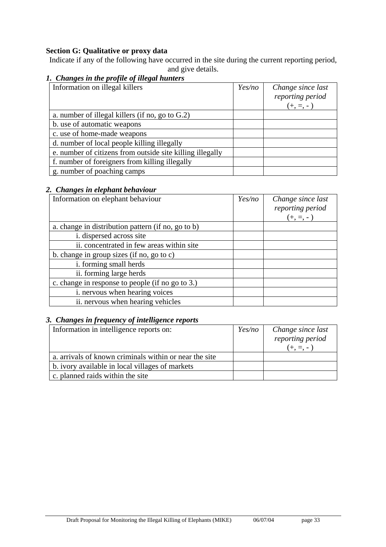### **Section G: Qualitative or proxy data**

Indicate if any of the following have occurred in the site during the current reporting period, and give details.

### *1. Changes in the profile of illegal hunters*

| Information on illegal killers                            | Yes/no | Change since last |
|-----------------------------------------------------------|--------|-------------------|
|                                                           |        | reporting period  |
|                                                           |        | $(+, =, -)$       |
| a. number of illegal killers (if no, go to $G(2)$ )       |        |                   |
| b. use of automatic weapons                               |        |                   |
| c. use of home-made weapons                               |        |                   |
| d. number of local people killing illegally               |        |                   |
| e. number of citizens from outside site killing illegally |        |                   |
| f. number of foreigners from killing illegally            |        |                   |
| g. number of poaching camps                               |        |                   |

#### *2. Changes in elephant behaviour*

| Information on elephant behaviour                  | Yes/no | Change since last<br>reporting period |
|----------------------------------------------------|--------|---------------------------------------|
|                                                    |        | $(+, =, -)$                           |
| a. change in distribution pattern (if no, go to b) |        |                                       |
| i. dispersed across site                           |        |                                       |
| ii. concentrated in few areas within site          |        |                                       |
| b. change in group sizes (if no, go to c)          |        |                                       |
| i. forming small herds                             |        |                                       |
| ii. forming large herds                            |        |                                       |
| c. change in response to people (if no go to 3.)   |        |                                       |
| i. nervous when hearing voices                     |        |                                       |
| ii. nervous when hearing vehicles                  |        |                                       |

### *3. Changes in frequency of intelligence reports*

| Information in intelligence reports on:                | Yes/no | Change since last |
|--------------------------------------------------------|--------|-------------------|
|                                                        |        | reporting period  |
|                                                        |        |                   |
| a. arrivals of known criminals within or near the site |        |                   |
| b. ivory available in local villages of markets        |        |                   |
| c. planned raids within the site                       |        |                   |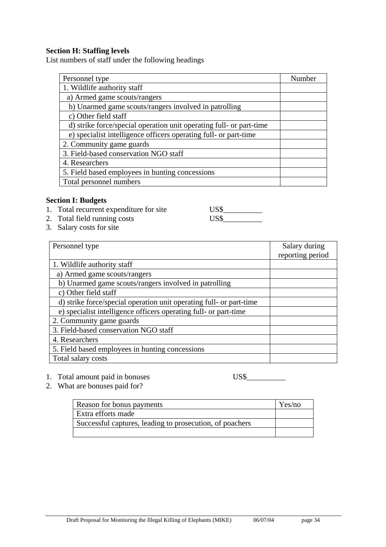#### **Section H: Staffing levels**

List numbers of staff under the following headings

| Personnel type                                                      | Number |
|---------------------------------------------------------------------|--------|
| 1. Wildlife authority staff                                         |        |
| a) Armed game scouts/rangers                                        |        |
| b) Unarmed game scouts/rangers involved in patrolling               |        |
| c) Other field staff                                                |        |
| d) strike force/special operation unit operating full- or part-time |        |
| e) specialist intelligence officers operating full- or part-time    |        |
| 2. Community game guards                                            |        |
| 3. Field-based conservation NGO staff                               |        |
| 4. Researchers                                                      |        |
| 5. Field based employees in hunting concessions                     |        |
| Total personnel numbers                                             |        |

#### **Section I: Budgets**

- 1. Total recurrent expenditure for site US\$<br>2. Total field running costs US\$
- 2. Total field running costs
- 3. Salary costs for site

| Personnel type                                                      | Salary during    |
|---------------------------------------------------------------------|------------------|
|                                                                     | reporting period |
| 1. Wildlife authority staff                                         |                  |
| a) Armed game scouts/rangers                                        |                  |
| b) Unarmed game scouts/rangers involved in patrolling               |                  |
| c) Other field staff                                                |                  |
| d) strike force/special operation unit operating full- or part-time |                  |
| e) specialist intelligence officers operating full- or part-time    |                  |
| 2. Community game guards                                            |                  |
| 3. Field-based conservation NGO staff                               |                  |
| 4. Researchers                                                      |                  |
| 5. Field based employees in hunting concessions                     |                  |
| Total salary costs                                                  |                  |

#### 1. Total amount paid in bonuses US\$\_\_\_\_\_\_\_\_\_\_

2. What are bonuses paid for?

| Reason for bonus payments                                | Yes/no |
|----------------------------------------------------------|--------|
| Extra efforts made                                       |        |
| Successful captures, leading to prosecution, of poachers |        |
|                                                          |        |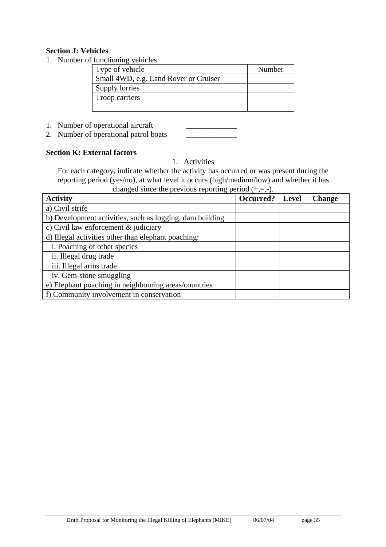#### **Section J: Vehicles**

1. Number of functioning vehicles

| .                                     |        |
|---------------------------------------|--------|
| Type of vehicle                       | Number |
| Small 4WD, e.g. Land Rover or Cruiser |        |
| Supply lorries                        |        |
| Troop carriers                        |        |
|                                       |        |

1. Number of operational aircraft

2. Number of operational patrol boats \_\_\_\_\_\_\_\_\_\_\_\_\_

#### **Section K: External factors**

1. Activities

For each category, indicate whether the activity has occurred or was present during the reporting period (yes/no), at what level it occurs (high/medium/low) and whether it has changed since the previous reporting period  $(+,-)$ .

| $\epsilon$ of the case of $\epsilon$ is the subset of $\epsilon$ of $\epsilon$ is $\epsilon$ in $\epsilon$ is $\epsilon$ if $\epsilon$ is a set of $\epsilon$ is $\epsilon$ is a set of $\epsilon$ is a set of $\epsilon$ is a set of $\epsilon$ is a set of $\epsilon$ is a set of $\epsilon$ is a set of $\epsilon$ is a se<br><b>Activity</b> | Occurred? | <b>Level</b> | <b>Change</b> |
|--------------------------------------------------------------------------------------------------------------------------------------------------------------------------------------------------------------------------------------------------------------------------------------------------------------------------------------------------|-----------|--------------|---------------|
| a) Civil strife                                                                                                                                                                                                                                                                                                                                  |           |              |               |
| b) Development activities, such as logging, dam building                                                                                                                                                                                                                                                                                         |           |              |               |
| c) Civil law enforcement $\&$ judiciary                                                                                                                                                                                                                                                                                                          |           |              |               |
| d) Illegal activities other than elephant poaching:                                                                                                                                                                                                                                                                                              |           |              |               |
| i. Poaching of other species                                                                                                                                                                                                                                                                                                                     |           |              |               |
| ii. Illegal drug trade                                                                                                                                                                                                                                                                                                                           |           |              |               |
| iii. Illegal arms trade                                                                                                                                                                                                                                                                                                                          |           |              |               |
| iv. Gem-stone smuggling                                                                                                                                                                                                                                                                                                                          |           |              |               |
| e) Elephant poaching in neighbouring areas/countries                                                                                                                                                                                                                                                                                             |           |              |               |
| f) Community involvement in conservation                                                                                                                                                                                                                                                                                                         |           |              |               |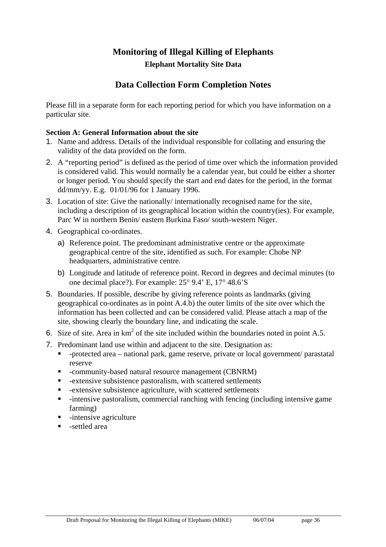# **Monitoring of Illegal Killing of Elephants Elephant Mortality Site Data**

## **Data Collection Form Completion Notes**

Please fill in a separate form for each reporting period for which you have information on a particular site.

#### **Section A: General Information about the site**

- 1. Name and address. Details of the individual responsible for collating and ensuring the validity of the data provided on the form.
- 2. A "reporting period" is defined as the period of time over which the information provided is considered valid. This would normally be a calendar year, but could be either a shorter or longer period. You should specify the start and end dates for the period, in the format dd/mm/yy. E.g. 01/01/96 for 1 January 1996.
- 3. Location of site: Give the nationally/ internationally recognised name for the site, including a description of its geographical location within the country(ies). For example, Parc W in northern Benin/ eastern Burkina Faso/ south-western Niger.
- 4. Geographical co-ordinates.
	- a) Reference point. The predominant administrative centre or the approximate geographical centre of the site, identified as such. For example: Chobe NP headquarters, administrative centre.
	- b) Longitude and latitude of reference point. Record in degrees and decimal minutes (to one decimal place?). For example: 25° 9.4' E, 17° 48.6'S
- 5. Boundaries. If possible, describe by giving reference points as landmarks (giving geographical co-ordinates as in point A.4.b) the outer limits of the site over which the information has been collected and can be considered valid. Please attach a map of the site, showing clearly the boundary line, and indicating the scale.
- 6. Size of site. Area in  $km^2$  of the site included within the boundaries noted in point A.5.
- 7. Predominant land use within and adjacent to the site. Designation as:
	- -protected area national park, game reserve, private or local government/ parastatal reserve
	- -community-based natural resource management (CBNRM)
	- -extensive subsistence pastoralism, with scattered settlements
	- -extensive subsistence agriculture, with scattered settlements
	- -intensive pastoralism, commercial ranching with fencing (including intensive game farming)
	- $\blacksquare$  -intensive agriculture
	- -settled area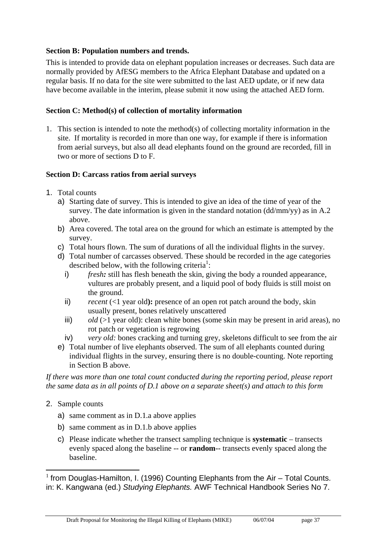#### **Section B: Population numbers and trends.**

This is intended to provide data on elephant population increases or decreases. Such data are normally provided by AfESG members to the Africa Elephant Database and updated on a regular basis. If no data for the site were submitted to the last AED update, or if new data have become available in the interim, please submit it now using the attached AED form.

#### **Section C: Method(s) of collection of mortality information**

1. This section is intended to note the method(s) of collecting mortality information in the site. If mortality is recorded in more than one way, for example if there is information from aerial surveys, but also all dead elephants found on the ground are recorded, fill in two or more of sections D to F.

#### **Section D: Carcass ratios from aerial surveys**

- 1. Total counts
	- a) Starting date of survey. This is intended to give an idea of the time of year of the survey. The date information is given in the standard notation (dd/mm/yy) as in A.2 above.
	- b) Area covered. The total area on the ground for which an estimate is attempted by the survey.
	- c) Total hours flown. The sum of durations of all the individual flights in the survey.
	- d) Total number of carcasses observed. These should be recorded in the age categories described below, with the following criteria<sup>1</sup>:
		- i) *fresh:* still has flesh beneath the skin, giving the body a rounded appearance, vultures are probably present, and a liquid pool of body fluids is still moist on the ground.
		- ii) *recent* (<1 year old): presence of an open rot patch around the body, skin usually present, bones relatively unscattered
		- iii) *old* (>1 year old): clean white bones (some skin may be present in arid areas), no rot patch or vegetation is regrowing
		- iv) *very old:* bones cracking and turning grey, skeletons difficult to see from the air
	- e) Total number of live elephants observed. The sum of all elephants counted during individual flights in the survey, ensuring there is no double-counting. Note reporting in Section B above.

*If there was more than one total count conducted during the reporting period, please report the same data as in all points of D.1 above on a separate sheet(s) and attach to this form* 

- 2. Sample counts
	- a) same comment as in D.1.a above applies
	- b) same comment as in D.1.b above applies
	- c) Please indicate whether the transect sampling technique is **systematic** transects evenly spaced along the baseline -- or **random**-- transects evenly spaced along the baseline.

 $\overline{a}$  $1$  from Douglas-Hamilton, I. (1996) Counting Elephants from the Air – Total Counts. in: K. Kangwana (ed.) *Studying Elephants.* AWF Technical Handbook Series No 7.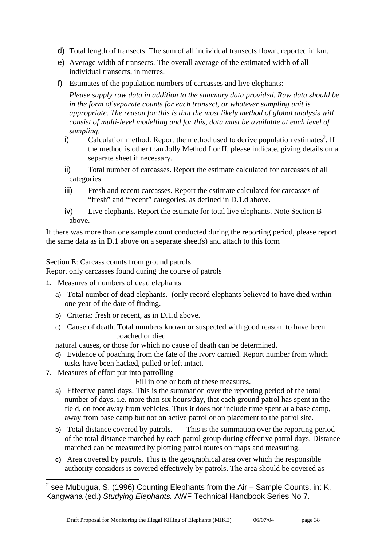- d) Total length of transects. The sum of all individual transects flown, reported in km.
- e) Average width of transects. The overall average of the estimated width of all individual transects, in metres.
- f) Estimates of the population numbers of carcasses and live elephants:

*Please supply raw data in addition to the summary data provided. Raw data should be in the form of separate counts for each transect, or whatever sampling unit is appropriate. The reason for this is that the most likely method of global analysis will consist of multi-level modelling and for this, data must be available at each level of sampling.* 

- $i)$  Calculation method. Report the method used to derive population estimates<sup>2</sup>. If the method is other than Jolly Method I or II, please indicate, giving details on a separate sheet if necessary.
- ii) Total number of carcasses. Report the estimate calculated for carcasses of all categories.
- iii) Fresh and recent carcasses. Report the estimate calculated for carcasses of "fresh" and "recent" categories, as defined in D.1.d above.
- iv) Live elephants. Report the estimate for total live elephants. Note Section B above.

If there was more than one sample count conducted during the reporting period, please report the same data as in D.1 above on a separate sheet(s) and attach to this form

Section E: Carcass counts from ground patrols

Report only carcasses found during the course of patrols

- 1. Measures of numbers of dead elephants
	- a) Total number of dead elephants. (only record elephants believed to have died within one year of the date of finding.
	- b) Criteria: fresh or recent, as in D.1.d above.
	- c) Cause of death. Total numbers known or suspected with good reason to have been poached or died

natural causes, or those for which no cause of death can be determined.

- d) Evidence of poaching from the fate of the ivory carried. Report number from which tusks have been hacked, pulled or left intact.
- 7. Measures of effort put into patrolling

Fill in one or both of these measures.

- a) Effective patrol days. This is the summation over the reporting period of the total number of days, i.e. more than six hours/day, that each ground patrol has spent in the field, on foot away from vehicles. Thus it does not include time spent at a base camp, away from base camp but not on active patrol or on placement to the patrol site.
- b) Total distance covered by patrols. This is the summation over the reporting period of the total distance marched by each patrol group during effective patrol days. Distance marched can be measured by plotting patrol routes on maps and measuring.
- **c)** Area covered by patrols. This is the geographical area over which the responsible authority considers is covered effectively by patrols. The area should be covered as

 2 see Mubugua, S. (1996) Counting Elephants from the Air – Sample Counts. in: K. Kangwana (ed.) *Studying Elephants.* AWF Technical Handbook Series No 7.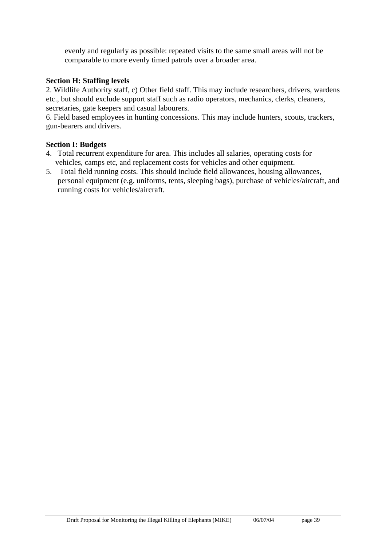evenly and regularly as possible: repeated visits to the same small areas will not be comparable to more evenly timed patrols over a broader area.

#### **Section H: Staffing levels**

2. Wildlife Authority staff, c) Other field staff. This may include researchers, drivers, wardens etc., but should exclude support staff such as radio operators, mechanics, clerks, cleaners, secretaries, gate keepers and casual labourers.

6. Field based employees in hunting concessions. This may include hunters, scouts, trackers, gun-bearers and drivers.

#### **Section I: Budgets**

- 4. Total recurrent expenditure for area. This includes all salaries, operating costs for vehicles, camps etc, and replacement costs for vehicles and other equipment.
- 5. Total field running costs. This should include field allowances, housing allowances, personal equipment (e.g. uniforms, tents, sleeping bags), purchase of vehicles/aircraft, and running costs for vehicles/aircraft.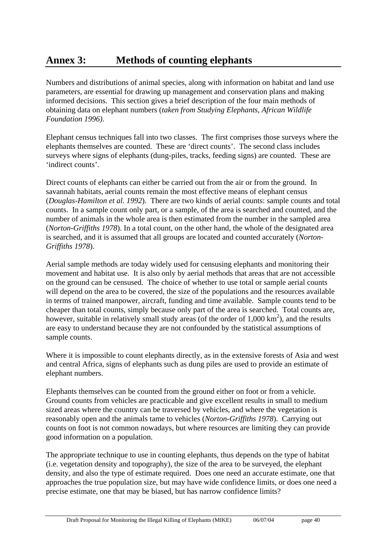# **Annex 3: Methods of counting elephants**

Numbers and distributions of animal species, along with information on habitat and land use parameters, are essential for drawing up management and conservation plans and making informed decisions. This section gives a brief description of the four main methods of obtaining data on elephant numbers (*taken from Studying Elephants, African Wildlife Foundation 1996)*.

Elephant census techniques fall into two classes. The first comprises those surveys where the elephants themselves are counted. These are 'direct counts'. The second class includes surveys where signs of elephants (dung-piles, tracks, feeding signs) are counted. These are 'indirect counts'.

Direct counts of elephants can either be carried out from the air or from the ground. In savannah habitats, aerial counts remain the most effective means of elephant census (*Douglas-Hamilton et al. 1992*). There are two kinds of aerial counts: sample counts and total counts. In a sample count only part, or a sample, of the area is searched and counted, and the number of animals in the whole area is then estimated from the number in the sampled area (*Norton-Griffiths 1978*). In a total count, on the other hand, the whole of the designated area is searched, and it is assumed that all groups are located and counted accurately (*Norton-Griffiths 1978*).

Aerial sample methods are today widely used for censusing elephants and monitoring their movement and habitat use. It is also only by aerial methods that areas that are not accessible on the ground can be censused. The choice of whether to use total or sample aerial counts will depend on the area to be covered, the size of the populations and the resources available in terms of trained manpower, aircraft, funding and time available. Sample counts tend to be cheaper than total counts, simply because only part of the area is searched. Total counts are, however, suitable in relatively small study areas (of the order of  $1,000 \text{ km}^2$ ), and the results are easy to understand because they are not confounded by the statistical assumptions of sample counts.

Where it is impossible to count elephants directly, as in the extensive forests of Asia and west and central Africa, signs of elephants such as dung piles are used to provide an estimate of elephant numbers.

Elephants themselves can be counted from the ground either on foot or from a vehicle. Ground counts from vehicles are practicable and give excellent results in small to medium sized areas where the country can be traversed by vehicles, and where the vegetation is reasonably open and the animals tame to vehicles (*Norton-Griffiths 1978*). Carrying out counts on foot is not common nowadays, but where resources are limiting they can provide good information on a population.

The appropriate technique to use in counting elephants, thus depends on the type of habitat (i.e. vegetation density and topography), the size of the area to be surveyed, the elephant density, and also the type of estimate required. Does one need an accurate estimate, one that approaches the true population size, but may have wide confidence limits, or does one need a precise estimate, one that may be biased, but has narrow confidence limits?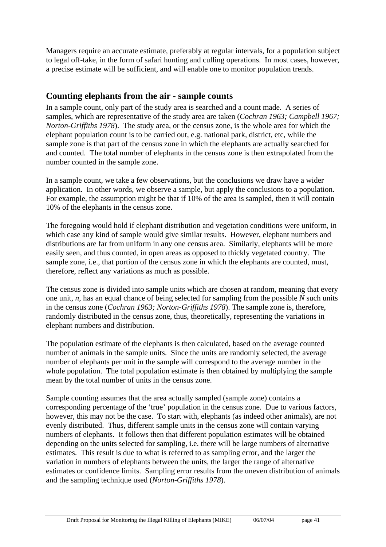Managers require an accurate estimate, preferably at regular intervals, for a population subject to legal off-take, in the form of safari hunting and culling operations. In most cases, however, a precise estimate will be sufficient, and will enable one to monitor population trends.

### **Counting elephants from the air - sample counts**

In a sample count, only part of the study area is searched and a count made. A series of samples, which are representative of the study area are taken (*Cochran 1963; Campbell 1967; Norton-Griffiths 1978*). The study area, or the census zone, is the whole area for which the elephant population count is to be carried out, e.g. national park, district, etc, while the sample zone is that part of the census zone in which the elephants are actually searched for and counted. The total number of elephants in the census zone is then extrapolated from the number counted in the sample zone.

In a sample count, we take a few observations, but the conclusions we draw have a wider application. In other words, we observe a sample, but apply the conclusions to a population. For example, the assumption might be that if 10% of the area is sampled, then it will contain 10% of the elephants in the census zone.

The foregoing would hold if elephant distribution and vegetation conditions were uniform, in which case any kind of sample would give similar results. However, elephant numbers and distributions are far from uniform in any one census area. Similarly, elephants will be more easily seen, and thus counted, in open areas as opposed to thickly vegetated country. The sample zone, i.e., that portion of the census zone in which the elephants are counted, must, therefore, reflect any variations as much as possible.

The census zone is divided into sample units which are chosen at random, meaning that every one unit, *n*, has an equal chance of being selected for sampling from the possible *N* such units in the census zone (*Cochran 1963; Norton-Griffiths 1978*). The sample zone is, therefore, randomly distributed in the census zone, thus, theoretically, representing the variations in elephant numbers and distribution.

The population estimate of the elephants is then calculated, based on the average counted number of animals in the sample units. Since the units are randomly selected, the average number of elephants per unit in the sample will correspond to the average number in the whole population. The total population estimate is then obtained by multiplying the sample mean by the total number of units in the census zone.

Sample counting assumes that the area actually sampled (sample zone) contains a corresponding percentage of the 'true' population in the census zone. Due to various factors, however, this may not be the case. To start with, elephants (as indeed other animals), are not evenly distributed. Thus, different sample units in the census zone will contain varying numbers of elephants. It follows then that different population estimates will be obtained depending on the units selected for sampling, i.e. there will be large numbers of alternative estimates. This result is due to what is referred to as sampling error, and the larger the variation in numbers of elephants between the units, the larger the range of alternative estimates or confidence limits. Sampling error results from the uneven distribution of animals and the sampling technique used (*Norton-Griffiths 1978*).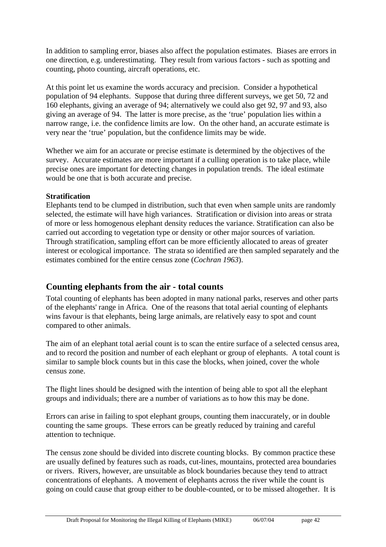In addition to sampling error, biases also affect the population estimates. Biases are errors in one direction, e.g. underestimating. They result from various factors - such as spotting and counting, photo counting, aircraft operations, etc.

At this point let us examine the words accuracy and precision. Consider a hypothetical population of 94 elephants. Suppose that during three different surveys, we get 50, 72 and 160 elephants, giving an average of 94; alternatively we could also get 92, 97 and 93, also giving an average of 94. The latter is more precise, as the 'true' population lies within a narrow range, i.e. the confidence limits are low. On the other hand, an accurate estimate is very near the 'true' population, but the confidence limits may be wide.

Whether we aim for an accurate or precise estimate is determined by the objectives of the survey. Accurate estimates are more important if a culling operation is to take place, while precise ones are important for detecting changes in population trends. The ideal estimate would be one that is both accurate and precise.

### **Stratification**

Elephants tend to be clumped in distribution, such that even when sample units are randomly selected, the estimate will have high variances. Stratification or division into areas or strata of more or less homogenous elephant density reduces the variance. Stratification can also be carried out according to vegetation type or density or other major sources of variation. Through stratification, sampling effort can be more efficiently allocated to areas of greater interest or ecological importance. The strata so identified are then sampled separately and the estimates combined for the entire census zone (*Cochran 1963*).

### **Counting elephants from the air - total counts**

Total counting of elephants has been adopted in many national parks, reserves and other parts of the elephants' range in Africa. One of the reasons that total aerial counting of elephants wins favour is that elephants, being large animals, are relatively easy to spot and count compared to other animals.

The aim of an elephant total aerial count is to scan the entire surface of a selected census area, and to record the position and number of each elephant or group of elephants. A total count is similar to sample block counts but in this case the blocks, when joined, cover the whole census zone.

The flight lines should be designed with the intention of being able to spot all the elephant groups and individuals; there are a number of variations as to how this may be done.

Errors can arise in failing to spot elephant groups, counting them inaccurately, or in double counting the same groups. These errors can be greatly reduced by training and careful attention to technique.

The census zone should be divided into discrete counting blocks. By common practice these are usually defined by features such as roads, cut-lines, mountains, protected area boundaries or rivers. Rivers, however, are unsuitable as block boundaries because they tend to attract concentrations of elephants. A movement of elephants across the river while the count is going on could cause that group either to be double-counted, or to be missed altogether. It is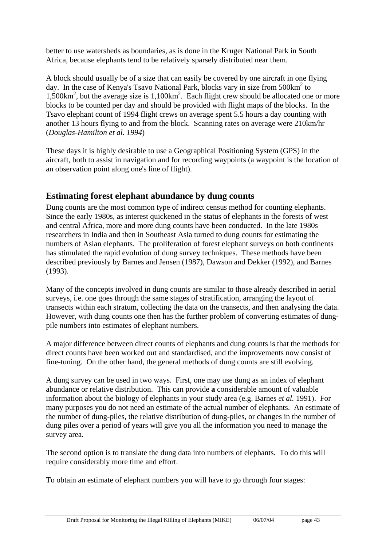better to use watersheds as boundaries, as is done in the Kruger National Park in South Africa, because elephants tend to be relatively sparsely distributed near them.

A block should usually be of a size that can easily be covered by one aircraft in one flying day. In the case of Kenya's Tsavo National Park, blocks vary in size from 500km<sup>2</sup> to 1,500km<sup>2</sup>, but the average size is 1,100km<sup>2</sup>. Each flight crew should be allocated one or more blocks to be counted per day and should be provided with flight maps of the blocks. In the Tsavo elephant count of 1994 flight crews on average spent 5.5 hours a day counting with another 13 hours flying to and from the block. Scanning rates on average were 210km/hr (*Douglas-Hamilton et al. 1994*)

These days it is highly desirable to use a Geographical Positioning System (GPS) in the aircraft, both to assist in navigation and for recording waypoints (a waypoint is the location of an observation point along one's line of flight).

## **Estimating forest elephant abundance by dung counts**

Dung counts are the most common type of indirect census method for counting elephants. Since the early 1980s, as interest quickened in the status of elephants in the forests of west and central Africa, more and more dung counts have been conducted. In the late 1980s researchers in India and then in Southeast Asia turned to dung counts for estimating the numbers of Asian elephants. The proliferation of forest elephant surveys on both continents has stimulated the rapid evolution of dung survey techniques. These methods have been described previously by Barnes and Jensen (1987), Dawson and Dekker (1992), and Barnes (1993).

Many of the concepts involved in dung counts are similar to those already described in aerial surveys, i.e. one goes through the same stages of stratification, arranging the layout of transects within each stratum, collecting the data on the transects, and then analysing the data. However, with dung counts one then has the further problem of converting estimates of dungpile numbers into estimates of elephant numbers.

A major difference between direct counts of elephants and dung counts is that the methods for direct counts have been worked out and standardised, and the improvements now consist of fine-tuning. On the other hand, the general methods of dung counts are still evolving.

A dung survey can be used in two ways. First, one may use dung as an index of elephant abundance or relative distribution. This can provide **a** considerable amount of valuable information about the biology of elephants in your study area (e.g. Barnes *et al.* 1991). For many purposes you do not need an estimate of the actual number of elephants. An estimate of the number of dung-piles, the relative distribution of dung-piles, or changes in the number of dung piles over a period of years will give you all the information you need to manage the survey area.

The second option is to translate the dung data into numbers of elephants. To do this will require considerably more time and effort.

To obtain an estimate of elephant numbers you will have to go through four stages: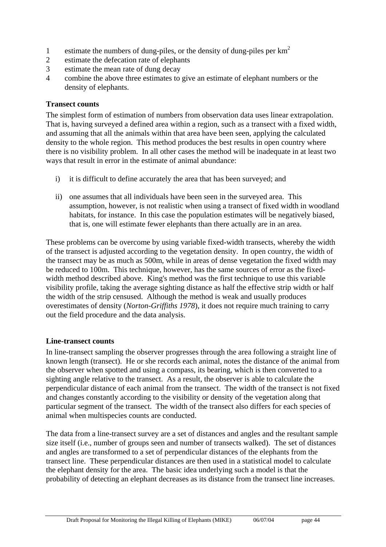- 1 estimate the numbers of dung-piles, or the density of dung-piles per  $km<sup>2</sup>$
- 2 estimate the defecation rate of elephants
- 3 estimate the mean rate of dung decay
- 4 combine the above three estimates to give an estimate of elephant numbers or the density of elephants.

#### **Transect counts**

The simplest form of estimation of numbers from observation data uses linear extrapolation. That is, having surveyed a defined area within a region, such as a transect with a fixed width, and assuming that all the animals within that area have been seen, applying the calculated density to the whole region. This method produces the best results in open country where there is no visibility problem. In all other cases the method will be inadequate in at least two ways that result in error in the estimate of animal abundance:

- i) it is difficult to define accurately the area that has been surveyed; and
- ii) one assumes that all individuals have been seen in the surveyed area. This assumption, however, is not realistic when using a transect of fixed width in woodland habitats, for instance. In this case the population estimates will be negatively biased, that is, one will estimate fewer elephants than there actually are in an area.

These problems can be overcome by using variable fixed-width transects, whereby the width of the transect is adjusted according to the vegetation density. In open country, the width of the transect may be as much as 500m, while in areas of dense vegetation the fixed width may be reduced to 100m. This technique, however, has the same sources of error as the fixedwidth method described above. King's method was the first technique to use this variable visibility profile, taking the average sighting distance as half the effective strip width or half the width of the strip censused. Although the method is weak and usually produces overestimates of density (*Norton-Griffiths 1978*), it does not require much training to carry out the field procedure and the data analysis.

#### **Line-transect counts**

In line-transect sampling the observer progresses through the area following a straight line of known length (transect). He or she records each animal, notes the distance of the animal from the observer when spotted and using a compass, its bearing, which is then converted to a sighting angle relative to the transect. As a result, the observer is able to calculate the perpendicular distance of each animal from the transect. The width of the transect is not fixed and changes constantly according to the visibility or density of the vegetation along that particular segment of the transect. The width of the transect also differs for each species of animal when multispecies counts are conducted.

The data from a line-transect survey are a set of distances and angles and the resultant sample size itself (i.e., number of groups seen and number of transects walked). The set of distances and angles are transformed to a set of perpendicular distances of the elephants from the transect line. These perpendicular distances are then used in a statistical model to calculate the elephant density for the area. The basic idea underlying such a model is that the probability of detecting an elephant decreases as its distance from the transect line increases.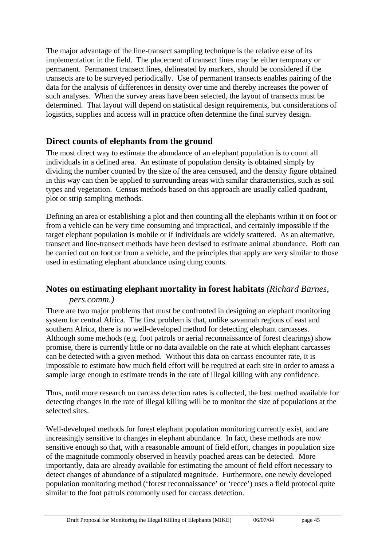The major advantage of the line-transect sampling technique is the relative ease of its implementation in the field. The placement of transect lines may be either temporary or permanent. Permanent transect lines, delineated by markers, should be considered if the transects are to be surveyed periodically. Use of permanent transects enables pairing of the data for the analysis of differences in density over time and thereby increases the power of such analyses. When the survey areas have been selected, the layout of transects must be determined. That layout will depend on statistical design requirements, but considerations of logistics, supplies and access will in practice often determine the final survey design.

### **Direct counts of elephants from the ground**

The most direct way to estimate the abundance of an elephant population is to count all individuals in a defined area. An estimate of population density is obtained simply by dividing the number counted by the size of the area censused, and the density figure obtained in this way can then be applied to surrounding areas with similar characteristics, such as soil types and vegetation. Census methods based on this approach are usually called quadrant, plot or strip sampling methods.

Defining an area or establishing a plot and then counting all the elephants within it on foot or from a vehicle can be very time consuming and impractical, and certainly impossible if the target elephant population is mobile or if individuals are widely scattered. As an alternative, transect and line-transect methods have been devised to estimate animal abundance. Both can be carried out on foot or from a vehicle, and the principles that apply are very similar to those used in estimating elephant abundance using dung counts.

### **Notes on estimating elephant mortality in forest habitats** *(Richard Barnes,*

### *pers.comm.)*

There are two major problems that must be confronted in designing an elephant monitoring system for central Africa. The first problem is that, unlike savannah regions of east and southern Africa, there is no well-developed method for detecting elephant carcasses. Although some methods (e.g. foot patrols or aerial reconnaissance of forest clearings) show promise, there is currently little or no data available on the rate at which elephant carcasses can be detected with a given method. Without this data on carcass encounter rate, it is impossible to estimate how much field effort will be required at each site in order to amass a sample large enough to estimate trends in the rate of illegal killing with any confidence.

Thus, until more research on carcass detection rates is collected, the best method available for detecting changes in the rate of illegal killing will be to monitor the size of populations at the selected sites.

Well-developed methods for forest elephant population monitoring currently exist, and are increasingly sensitive to changes in elephant abundance. In fact, these methods are now sensitive enough so that, with a reasonable amount of field effort, changes in population size of the magnitude commonly observed in heavily poached areas can be detected. More importantly, data are already available for estimating the amount of field effort necessary to detect changes of abundance of a stipulated magnitude. Furthermore, one newly developed population monitoring method ('forest reconnaissance' or 'recce') uses a field protocol quite similar to the foot patrols commonly used for carcass detection.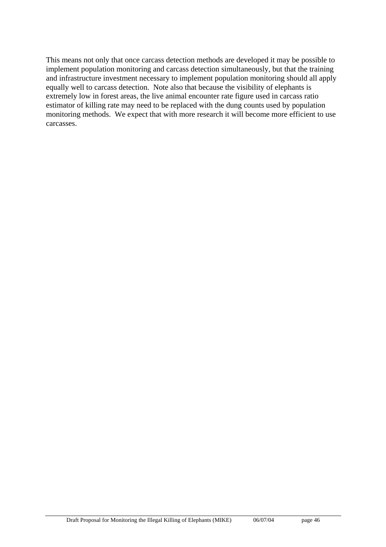This means not only that once carcass detection methods are developed it may be possible to implement population monitoring and carcass detection simultaneously, but that the training and infrastructure investment necessary to implement population monitoring should all apply equally well to carcass detection. Note also that because the visibility of elephants is extremely low in forest areas, the live animal encounter rate figure used in carcass ratio estimator of killing rate may need to be replaced with the dung counts used by population monitoring methods. We expect that with more research it will become more efficient to use carcasses.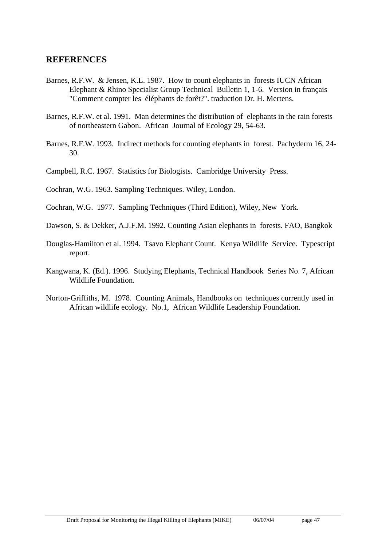### **REFERENCES**

- Barnes, R.F.W. & Jensen, K.L. 1987. How to count elephants in forests IUCN African Elephant & Rhino Specialist Group Technical Bulletin 1, 1-6. Version in français "Comment compter les éléphants de forêt?". traduction Dr. H. Mertens.
- Barnes, R.F.W. et al. 1991. Man determines the distribution of elephants in the rain forests of northeastern Gabon. African Journal of Ecology 29, 54-63.
- Barnes, R.F.W. 1993. Indirect methods for counting elephants in forest. Pachyderm 16, 24- 30.
- Campbell, R.C. 1967. Statistics for Biologists. Cambridge University Press.
- Cochran, W.G. 1963. Sampling Techniques. Wiley, London.
- Cochran, W.G. 1977. Sampling Techniques (Third Edition), Wiley, New York.
- Dawson, S. & Dekker, A.J.F.M. 1992. Counting Asian elephants in forests. FAO, Bangkok
- Douglas-Hamilton et al. 1994. Tsavo Elephant Count. Kenya Wildlife Service. Typescript report.
- Kangwana, K. (Ed.). 1996. Studying Elephants, Technical Handbook Series No. 7, African Wildlife Foundation.
- Norton-Griffiths, M. 1978. Counting Animals, Handbooks on techniques currently used in African wildlife ecology. No.1, African Wildlife Leadership Foundation.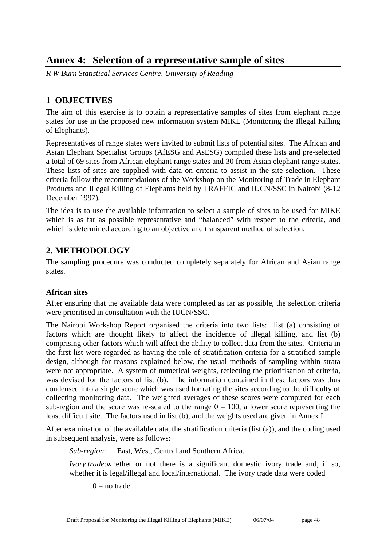# **Annex 4: Selection of a representative sample of sites**

*R W Burn Statistical Services Centre, University of Reading* 

## **1 OBJECTIVES**

The aim of this exercise is to obtain a representative samples of sites from elephant range states for use in the proposed new information system MIKE (Monitoring the Illegal Killing of Elephants).

Representatives of range states were invited to submit lists of potential sites. The African and Asian Elephant Specialist Groups (AfESG and AsESG) compiled these lists and pre-selected a total of 69 sites from African elephant range states and 30 from Asian elephant range states. These lists of sites are supplied with data on criteria to assist in the site selection. These criteria follow the recommendations of the Workshop on the Monitoring of Trade in Elephant Products and Illegal Killing of Elephants held by TRAFFIC and IUCN/SSC in Nairobi (8-12 December 1997).

The idea is to use the available information to select a sample of sites to be used for MIKE which is as far as possible representative and "balanced" with respect to the criteria, and which is determined according to an objective and transparent method of selection.

# **2. METHODOLOGY**

The sampling procedure was conducted completely separately for African and Asian range states.

### **African sites**

After ensuring that the available data were completed as far as possible, the selection criteria were prioritised in consultation with the IUCN/SSC.

The Nairobi Workshop Report organised the criteria into two lists: list (a) consisting of factors which are thought likely to affect the incidence of illegal killing, and list (b) comprising other factors which will affect the ability to collect data from the sites. Criteria in the first list were regarded as having the role of stratification criteria for a stratified sample design, although for reasons explained below, the usual methods of sampling within strata were not appropriate. A system of numerical weights, reflecting the prioritisation of criteria, was devised for the factors of list (b). The information contained in these factors was thus condensed into a single score which was used for rating the sites according to the difficulty of collecting monitoring data. The weighted averages of these scores were computed for each sub-region and the score was re-scaled to the range  $0 - 100$ , a lower score representing the least difficult site. The factors used in list (b), and the weights used are given in Annex I.

After examination of the available data, the stratification criteria (list (a)), and the coding used in subsequent analysis, were as follows:

*Sub-region*: East, West, Central and Southern Africa.

*Ivory trade*: whether or not there is a significant domestic ivory trade and, if so, whether it is legal/illegal and local/international. The ivory trade data were coded

 $0 =$  no trade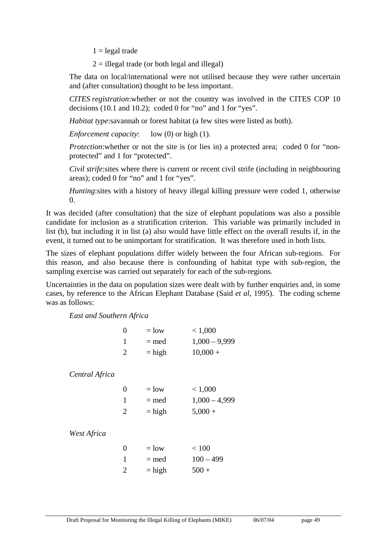$1 =$  legal trade

 $2 =$  illegal trade (or both legal and illegal)

The data on local/international were not utilised because they were rather uncertain and (after consultation) thought to be less important.

*CITES registration*:whether or not the country was involved in the CITES COP 10 decisions (10.1 and 10.2); coded 0 for "no" and 1 for "yes".

*Habitat type*:savannah or forest habitat (a few sites were listed as both).

*Enforcement capacity*: low (0) or high (1).

*Protection*: whether or not the site is (or lies in) a protected area; coded 0 for "nonprotected" and 1 for "protected".

*Civil strife*:sites where there is current or recent civil strife (including in neighbouring areas); coded 0 for "no" and 1 for "yes".

*Hunting*:sites with a history of heavy illegal killing pressure were coded 1, otherwise  $\Omega$ .

It was decided (after consultation) that the size of elephant populations was also a possible candidate for inclusion as a stratification criterion. This variable was primarily included in list (b), but including it in list (a) also would have little effect on the overall results if, in the event, it turned out to be unimportant for stratification. It was therefore used in both lists.

The sizes of elephant populations differ widely between the four African sub-regions. For this reason, and also because there is confounding of habitat type with sub-region, the sampling exercise was carried out separately for each of the sub-regions.

Uncertainties in the data on population sizes were dealt with by further enquiries and, in some cases, by reference to the African Elephant Database (Said *et al*, 1995). The coding scheme was as follows:

*East and Southern Africa*

|                | 0              | $=$ low  | < 1,000         |
|----------------|----------------|----------|-----------------|
|                | 1              | $=$ med  | $1,000 - 9,999$ |
|                | $\overline{2}$ | $=$ high | $10,000 +$      |
|                |                |          |                 |
| Central Africa |                |          |                 |
|                | 0              | $=$ low  | < 1,000         |
|                | 1              | $=$ med  | $1,000 - 4,999$ |
|                | 2              | $=$ high | $5,000 +$       |
|                |                |          |                 |
| West Africa    |                |          |                 |
|                | 0              | $=$ low  | < 100           |
|                | 1              | $=$ med  | $100 - 499$     |
|                | $\overline{2}$ | $=$ high | $500 +$         |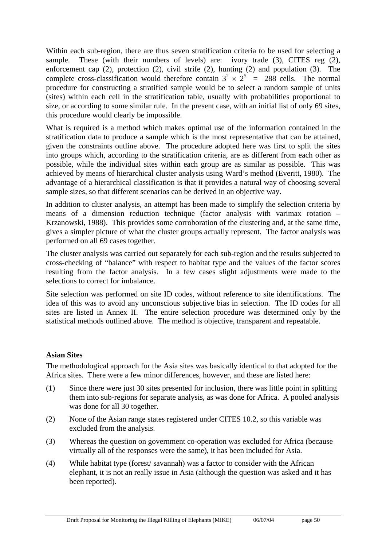Within each sub-region, there are thus seven stratification criteria to be used for selecting a sample. These (with their numbers of levels) are: ivory trade (3), CITES reg (2), enforcement cap (2), protection (2), civil strife (2), hunting (2) and population (3). The complete cross-classification would therefore contain  $3^2 \times 2^5$  = 288 cells. The normal procedure for constructing a stratified sample would be to select a random sample of units (sites) within each cell in the stratification table, usually with probabilities proportional to size, or according to some similar rule. In the present case, with an initial list of only 69 sites, this procedure would clearly be impossible.

What is required is a method which makes optimal use of the information contained in the stratification data to produce a sample which is the most representative that can be attained, given the constraints outline above. The procedure adopted here was first to split the sites into groups which, according to the stratification criteria, are as different from each other as possible, while the individual sites within each group are as similar as possible. This was achieved by means of hierarchical cluster analysis using Ward's method (Everitt, 1980). The advantage of a hierarchical classification is that it provides a natural way of choosing several sample sizes, so that different scenarios can be derived in an objective way.

In addition to cluster analysis, an attempt has been made to simplify the selection criteria by means of a dimension reduction technique (factor analysis with varimax rotation – Krzanowski, 1988). This provides some corroboration of the clustering and, at the same time, gives a simpler picture of what the cluster groups actually represent. The factor analysis was performed on all 69 cases together.

The cluster analysis was carried out separately for each sub-region and the results subjected to cross-checking of "balance" with respect to habitat type and the values of the factor scores resulting from the factor analysis. In a few cases slight adjustments were made to the selections to correct for imbalance.

Site selection was performed on site ID codes, without reference to site identifications. The idea of this was to avoid any unconscious subjective bias in selection. The ID codes for all sites are listed in Annex II. The entire selection procedure was determined only by the statistical methods outlined above. The method is objective, transparent and repeatable.

#### **Asian Sites**

The methodological approach for the Asia sites was basically identical to that adopted for the Africa sites. There were a few minor differences, however, and these are listed here:

- (1) Since there were just 30 sites presented for inclusion, there was little point in splitting them into sub-regions for separate analysis, as was done for Africa. A pooled analysis was done for all 30 together.
- (2) None of the Asian range states registered under CITES 10.2, so this variable was excluded from the analysis.
- (3) Whereas the question on government co-operation was excluded for Africa (because virtually all of the responses were the same), it has been included for Asia.
- (4) While habitat type (forest/ savannah) was a factor to consider with the African elephant, it is not an really issue in Asia (although the question was asked and it has been reported).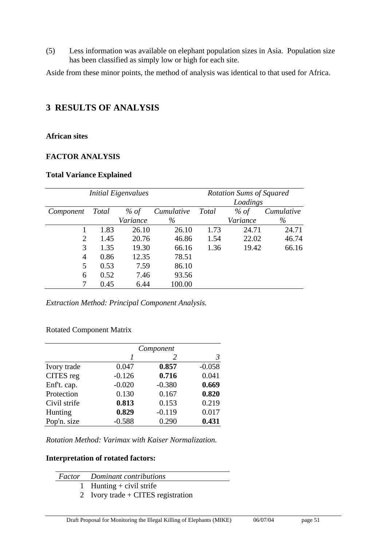(5) Less information was available on elephant population sizes in Asia. Population size has been classified as simply low or high for each site.

Aside from these minor points, the method of analysis was identical to that used for Africa.

### **3 RESULTS OF ANALYSIS**

#### **African sites**

#### **FACTOR ANALYSIS**

#### **Total Variance Explained**

|           |              | <b>Initial Eigenvalues</b> | <b>Rotation Sums of Squared</b> |              |          |            |
|-----------|--------------|----------------------------|---------------------------------|--------------|----------|------------|
|           |              |                            |                                 |              | Loadings |            |
| Component | <b>Total</b> | % of                       | Cumulative                      | <b>Total</b> | % of     | Cumulative |
|           |              | Variance                   | $\%$                            |              | Variance | $\%$       |
|           | 1.83         | 26.10                      | 26.10                           | 1.73         | 24.71    | 24.71      |
| 2         | 1.45         | 20.76                      | 46.86                           | 1.54         | 22.02    | 46.74      |
| 3         | 1.35         | 19.30                      | 66.16                           | 1.36         | 19.42    | 66.16      |
| 4         | 0.86         | 12.35                      | 78.51                           |              |          |            |
| 5         | 0.53         | 7.59                       | 86.10                           |              |          |            |
| 6         | 0.52         | 7.46                       | 93.56                           |              |          |            |
|           | 0.45         | 6.44                       | 100.00                          |              |          |            |

*Extraction Method: Principal Component Analysis.* 

#### Rotated Component Matrix

|              |          | Component |          |
|--------------|----------|-----------|----------|
|              | 1        | 2         | 3        |
| Ivory trade  | 0.047    | 0.857     | $-0.058$ |
| CITES reg    | $-0.126$ | 0.716     | 0.041    |
| Enf't. cap.  | $-0.020$ | $-0.380$  | 0.669    |
| Protection   | 0.130    | 0.167     | 0.820    |
| Civil strife | 0.813    | 0.153     | 0.219    |
| Hunting      | 0.829    | $-0.119$  | 0.017    |
| Pop'n. size  | $-0.588$ | 0.290     | 0.431    |

*Rotation Method: Varimax with Kaiser Normalization.* 

#### **Interpretation of rotated factors:**

| <b>Factor</b> Dominant contributions |
|--------------------------------------|
| 1 Hunting $+$ civil strife           |
| 2 Ivory trade + CITES registration   |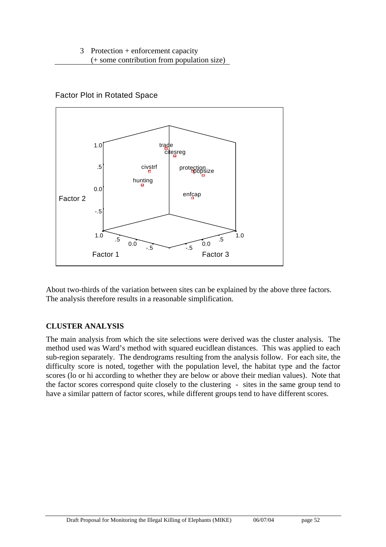### Factor Plot in Rotated Space



About two-thirds of the variation between sites can be explained by the above three factors. The analysis therefore results in a reasonable simplification.

### **CLUSTER ANALYSIS**

The main analysis from which the site selections were derived was the cluster analysis. The method used was Ward's method with squared eucidlean distances. This was applied to each sub-region separately. The dendrograms resulting from the analysis follow. For each site, the difficulty score is noted, together with the population level, the habitat type and the factor scores (lo or hi according to whether they are below or above their median values). Note that the factor scores correspond quite closely to the clustering - sites in the same group tend to have a similar pattern of factor scores, while different groups tend to have different scores.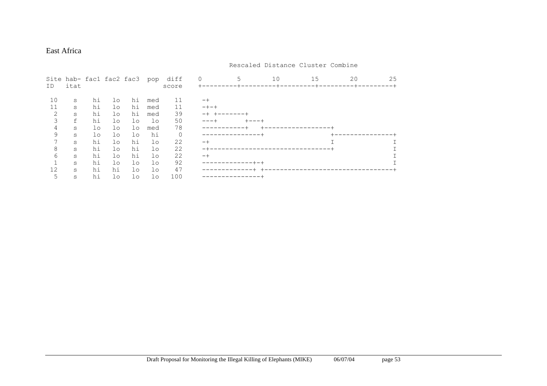#### East Africa

| ID | itat |          |          | Site hab- fac1 fac2 fac3 | pop      | diff<br>score | 0    | 10 | 15 | 20 | 25 |
|----|------|----------|----------|--------------------------|----------|---------------|------|----|----|----|----|
| 10 | S    | hi       | $1\circ$ | hi                       | med      | 11            |      |    |    |    |    |
| 11 | S    | hi       | lo       | hi                       | med      | 11            | -+-+ |    |    |    |    |
| 2  | S    | hi       | lo       | hi                       | med      | 39            |      |    |    |    |    |
| 3  | f    | hi       | $1\circ$ | lo                       | $1\circ$ | 50            |      |    |    |    |    |
| 4  | S    | $1\circ$ | $1\circ$ | $1\circ$                 | med      | 78            |      |    |    |    |    |
| 9  | S    | $1\circ$ | $1\circ$ | lo                       | hi       | $\mathbf 0$   |      |    |    |    |    |
|    | S    | hi       | $1\circ$ | hi                       | $1\circ$ | 22            | -+   |    |    |    |    |
| 8  | S    | hi       | $1\circ$ | hi                       | lo       | 22            |      |    |    |    |    |
| 6  | S    | hi       | $1\circ$ | hi                       | $1\circ$ | 22            | -+   |    |    |    |    |
|    | S    | hi       | $1\circ$ | $1\circ$                 | $1\circ$ | 92            |      |    |    |    |    |
| 12 | S    | hi       | hi       | $1\circ$                 | lo       | 47            |      |    |    |    |    |
| 5  | S    | hi       | $1\circ$ | $1\circ$                 | lo       | 100           |      |    |    |    |    |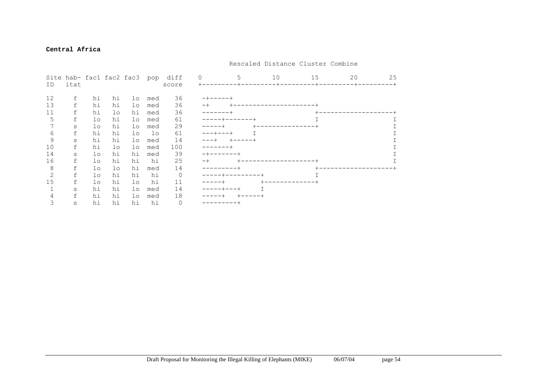#### **Central Africa**

|    |         |          |          |          |          | Site hab- fac1 fac2 fac3 pop diff | $\Omega$   |               | 10        | 15      | 20 | 25 |
|----|---------|----------|----------|----------|----------|-----------------------------------|------------|---------------|-----------|---------|----|----|
| ID | itat    |          |          |          |          | score                             |            |               | -+------- | $- + -$ |    |    |
| 12 | f       | hi       | hi       | lo       | med      | 36                                | -+-----+   |               |           |         |    |    |
| 13 | f       | hi       | hi       | lo       | med      | 36                                |            |               |           |         |    |    |
| 11 | f       | hi       | $1\circ$ | hi       | med      | 36                                | ------     |               |           |         |    |    |
| 5  | f       | lo       | hi       | lo       | med      | 61                                | $----++-$  |               |           |         |    |    |
|    | $\rm s$ | lo       | hi       | lo       | med      | 29                                | -----+     |               |           |         |    |    |
| 6  | f       | hi       | hi       | $1\circ$ | $1\circ$ | 61                                | $--++--++$ |               |           |         |    |    |
| 9  | $\rm s$ | hi       | hi       | lo       | med      | 14                                |            | $+ - - - - +$ |           |         |    |    |
| 10 | f       | hi       | lo       | $1\circ$ | med      | 100                               |            |               |           |         |    |    |
| 14 | S       | lo       | hi       | hi       | med      | 39                                |            |               |           |         |    |    |
| 16 | f       | $1\circ$ | hi       | hi       | hi       | 25                                |            |               |           |         |    |    |
| 8  | f       | lo       | $1\circ$ | hi       | med      | 14                                |            |               |           |         |    |    |
| 2  | f       | $1\circ$ | hi       | hi       | hi       | $\circ$                           |            |               |           |         |    |    |
| 15 | f       | $1\circ$ | hi       | $1\circ$ | hi       | 11                                |            |               |           |         |    |    |
|    | $\rm s$ | hi       | hi       | $1\circ$ | med      | 14                                |            |               |           |         |    |    |
|    | f       | hi       | hi       | lo       | med      | 18                                |            |               |           |         |    |    |
| 3  | $\rm s$ | hi       | hi       | hi       | hi       | $\mathbf{0}$                      |            |               |           |         |    |    |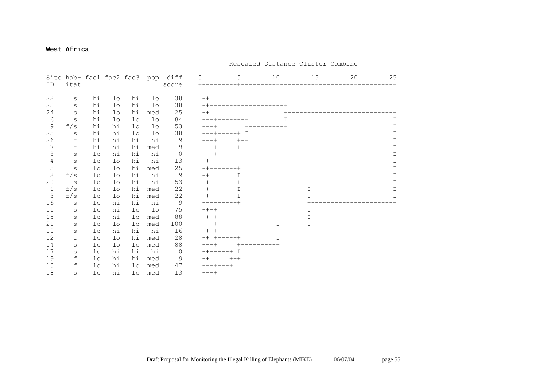#### **West Africa**

|              |             |          |          |          |          | Site hab- fac1 fac2 fac3 pop diff | $\Omega$  | 5 | 10 | 15      | 20 | 25          |
|--------------|-------------|----------|----------|----------|----------|-----------------------------------|-----------|---|----|---------|----|-------------|
| ID           | itat        |          |          |          |          | score                             | $+ - -$   |   |    | $- + -$ |    | $-+$        |
| 22           | S           | hi       | $1\circ$ | hi       | $1\circ$ | 38                                | $-+$      |   |    |         |    |             |
| 23           | S           | hi       | $1\circ$ | hi       | $1\circ$ | 38                                |           |   |    |         |    |             |
| 24           | S           | hi       | $1\circ$ | hi       | med      | 25                                | -+        |   |    |         |    |             |
| 6            | S           | hi       | $1\circ$ | $1\circ$ | lo       | 84                                |           |   |    |         |    |             |
| 9            | f/s         | hi       | hi       | $1\circ$ | lo       | 53                                |           |   |    |         |    | Τ           |
| 25           | S           | hi       | hi       | $1\circ$ | $1\circ$ | 38                                |           |   |    |         |    | T           |
| 26           | $\verb f $  | hi       | hi       | hi       | hi       | 9                                 |           |   |    |         |    | I           |
| 7            | $\mathbf f$ | hi       | hi       | hi       | med      | 9                                 |           |   |    |         |    | $\top$      |
| 8            | S           | $1\circ$ | hi       | hi       | hi       | $\circ$                           |           |   |    |         |    | I           |
| 4            | $\rm s$     | $1\circ$ | lo       | hi       | hi       | 13                                |           |   |    |         |    | T           |
| 5            | S           | $1\circ$ | lo       | hi       | med      | 25                                |           |   |    |         |    | $\mathbf I$ |
| $\mathbf{2}$ | f/s         | $1\circ$ | $1\circ$ | hi       | hi       | 9                                 |           | T |    |         |    | T           |
| 20           | S           | $1\circ$ | lo       | hi       | hi       | 53                                | -+        |   |    |         |    | Τ           |
| $\mathbf{1}$ | f/s         | $1\circ$ | lo       | hi       | med      | 22                                | $-+$      | T |    |         |    | T           |
| 3            | f/s         | $1\circ$ | $1\circ$ | hi       | med      | 22                                | $-+$      | T |    |         |    | T           |
| 16           | $\rm s$     | $1\circ$ | hi       | hi       | hi       | 9                                 |           |   |    |         |    |             |
| 11           | S           | $1\circ$ | hi       | $1\circ$ | $1\circ$ | 75                                | $- + - +$ |   |    |         |    |             |
| 15           | S           | $1\circ$ | hi       | $1\circ$ | med      | 88                                |           |   |    |         |    |             |
| 21           | S           | $1\circ$ | $1\circ$ | lo       | med      | 100                               |           |   | T. | I       |    |             |
| 10           | S           | $1\circ$ | hi       | hi       | hi       | 16                                |           |   |    |         |    |             |
| 12           | f           | $1\circ$ | lo       | hi       | med      | 28                                |           |   | Τ  |         |    |             |
| 14           | S           | $1\circ$ | $1\circ$ | $1\circ$ | med      | 88                                |           |   |    |         |    |             |
| 17           | S           | $1\circ$ | hi       | hi       | hi       | $\circ$                           |           |   |    |         |    |             |
| 19           | f           | $1\circ$ | hi       | hi       | med      | 9                                 |           |   |    |         |    |             |
| 13           | $\mathbf f$ | $1\circ$ | hi       | $1\circ$ | med      | 47                                |           |   |    |         |    |             |
| 18           | S           | $1\circ$ | hi       | $1\circ$ | med      | 13                                |           |   |    |         |    |             |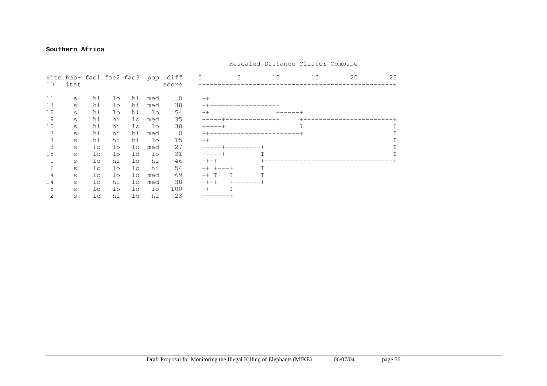#### **Southern Africa**

|    |         |          |          | Site hab- fac1 fac2 fac3 |          | pop diff | $\Omega$  | 10 | 15 | 20 | 25 |
|----|---------|----------|----------|--------------------------|----------|----------|-----------|----|----|----|----|
| ID | itat    |          |          |                          |          | score    |           |    |    |    |    |
| 11 | S       | hi       | $1\circ$ | hi                       | med      | $\circ$  | $-+$      |    |    |    |    |
| 13 | $\rm s$ | hi       | $1\circ$ | hi                       | med      | 38       |           |    |    |    |    |
| 12 | $\rm s$ | hi       | $1\circ$ | hi                       | lo       | 54       | $-+$      |    |    |    |    |
| 9  | $\rm s$ | hi       | hi       | lo                       | med      | 35       |           |    |    |    |    |
| 10 | $\rm s$ | hi       | hi       | $1\circ$                 | lo       | 38       |           |    |    |    |    |
|    | $\rm s$ | hi       | hi       | hi                       | med      | 0        |           |    |    |    |    |
| 8  | $\rm s$ | hi       | hi       | hi                       | lo       | 15       | $-+$      |    |    |    |    |
| 3  | $\rm s$ | $1\circ$ | $1\circ$ | lo                       | med      | 27       |           |    |    |    |    |
| 15 | $\rm s$ | lo       | lo       | lo                       | $1\circ$ | 31       |           |    |    |    |    |
|    | S       | lo       | hi       | $1\circ$                 | hi       | 46       | $- + - +$ |    |    |    |    |
| 6  | $\rm s$ | lo       | $1\circ$ | $1\circ$                 | hi       | 54       |           |    |    |    |    |
| 4  | S       | lo       | $1\circ$ | lo                       | med      | 69       | $-+$ T    |    |    |    |    |
| 14 | S       | $1\circ$ | hi       | $1\circ$                 | med      | 38       | $-+ - +$  |    |    |    |    |
| 5  | $\rm s$ | lo       | lo       | $1\circ$                 | lo       | 100      | $-+$      |    |    |    |    |
|    | S       | $1\circ$ | hi       | $1\circ$                 | hi       | 23       |           |    |    |    |    |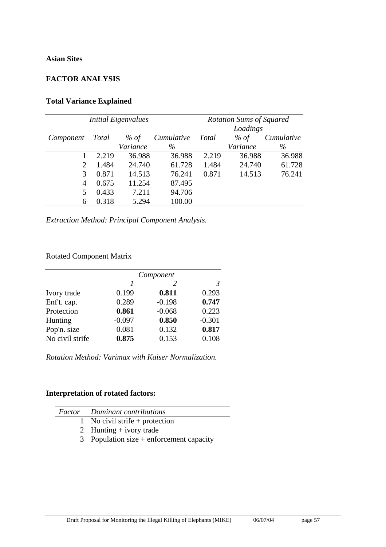#### **Asian Sites**

### **FACTOR ANALYSIS**

### **Total Variance Explained**

|                |              | <b>Initial Eigenvalues</b> | <b>Rotation Sums of Squared</b> |              |          |            |
|----------------|--------------|----------------------------|---------------------------------|--------------|----------|------------|
|                |              |                            |                                 |              | Loadings |            |
| Component      | <b>Total</b> | % of                       | Cumulative                      | <b>Total</b> | % of     | Cumulative |
|                |              | Variance                   | $\%$                            |              | Variance | $\%$       |
|                | 2.219        | 36.988                     | 36.988                          | 2.219        | 36.988   | 36.988     |
| 2              | 1.484        | 24.740                     | 61.728                          | 1.484        | 24.740   | 61.728     |
| 3              | 0.871        | 14.513                     | 76.241                          | 0.871        | 14.513   | 76.241     |
| $\overline{4}$ | 0.675        | 11.254                     | 87.495                          |              |          |            |
| 5              | 0.433        | 7.211                      | 94.706                          |              |          |            |
| 6              | 0.318        | 5.294                      | 100.00                          |              |          |            |

*Extraction Method: Principal Component Analysis.* 

### Rotated Component Matrix

|                 | Component |          |          |  |  |
|-----------------|-----------|----------|----------|--|--|
|                 |           |          | 3        |  |  |
| Ivory trade     | 0.199     | 0.811    | 0.293    |  |  |
| Enf't. cap.     | 0.289     | $-0.198$ | 0.747    |  |  |
| Protection      | 0.861     | $-0.068$ | 0.223    |  |  |
| Hunting         | $-0.097$  | 0.850    | $-0.301$ |  |  |
| Pop'n. size     | 0.081     | 0.132    | 0.817    |  |  |
| No civil strife | 0.875     | 0.153    | 0.108    |  |  |

*Rotation Method: Varimax with Kaiser Normalization.* 

### **Interpretation of rotated factors:**

| <b>Factor</b> Dominant contributions       |
|--------------------------------------------|
| 1 No civil strife + protection             |
| 2 Hunting $+$ ivory trade                  |
| 3 Population size $+$ enforcement capacity |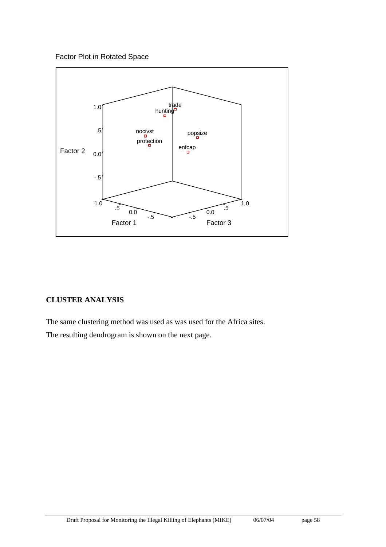Factor Plot in Rotated Space



### **CLUSTER ANALYSIS**

The same clustering method was used as was used for the Africa sites.

The resulting dendrogram is shown on the next page.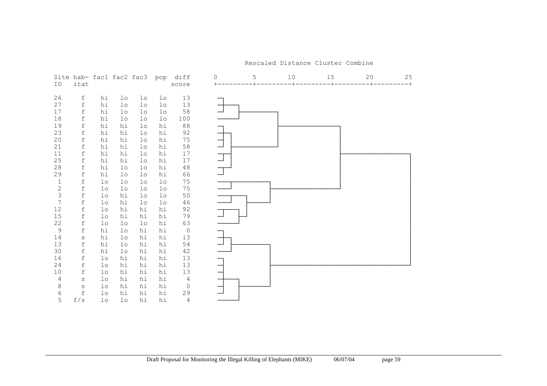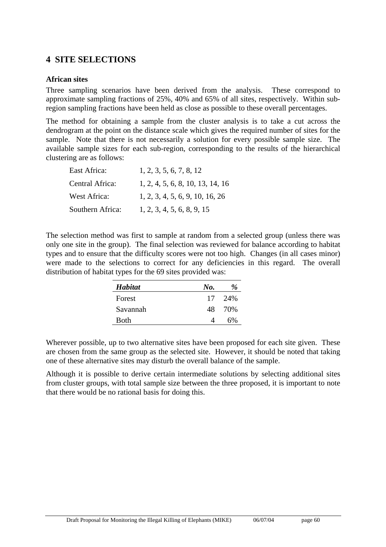### **4 SITE SELECTIONS**

#### **African sites**

Three sampling scenarios have been derived from the analysis. These correspond to approximate sampling fractions of 25%, 40% and 65% of all sites, respectively. Within subregion sampling fractions have been held as close as possible to these overall percentages.

The method for obtaining a sample from the cluster analysis is to take a cut across the dendrogram at the point on the distance scale which gives the required number of sites for the sample. Note that there is not necessarily a solution for every possible sample size. The available sample sizes for each sub-region, corresponding to the results of the hierarchical clustering are as follows:

| East Africa:     | 1, 2, 3, 5, 6, 7, 8, 12          |
|------------------|----------------------------------|
| Central Africa:  | 1, 2, 4, 5, 6, 8, 10, 13, 14, 16 |
| West Africa:     | 1, 2, 3, 4, 5, 6, 9, 10, 16, 26  |
| Southern Africa: | 1, 2, 3, 4, 5, 6, 8, 9, 15       |

The selection method was first to sample at random from a selected group (unless there was only one site in the group). The final selection was reviewed for balance according to habitat types and to ensure that the difficulty scores were not too high. Changes (in all cases minor) were made to the selections to correct for any deficiencies in this regard. The overall distribution of habitat types for the 69 sites provided was:

| <b>Habitat</b> | No. | $\%$  |
|----------------|-----|-------|
| Forest         | 17  | - 24% |
| Savannah       | 48. | 70%   |
| <b>Both</b>    |     | 6%    |

Wherever possible, up to two alternative sites have been proposed for each site given. These are chosen from the same group as the selected site. However, it should be noted that taking one of these alternative sites may disturb the overall balance of the sample.

Although it is possible to derive certain intermediate solutions by selecting additional sites from cluster groups, with total sample size between the three proposed, it is important to note that there would be no rational basis for doing this.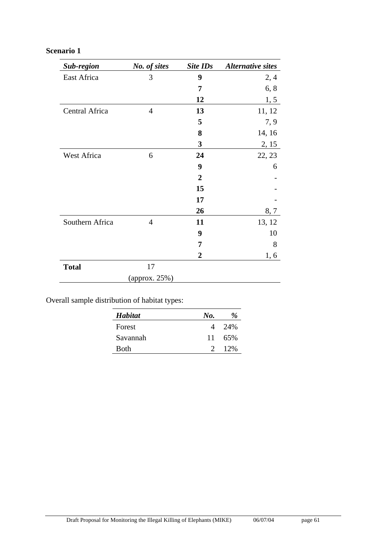### **Scenario 1**

| Sub-region      | No. of sites   | Site IDs         | <b>Alternative sites</b> |
|-----------------|----------------|------------------|--------------------------|
| East Africa     | 3              | 9                | 2,4                      |
|                 |                | 7                | 6, 8                     |
|                 |                | 12               | 1, 5                     |
| Central Africa  | $\overline{4}$ | 13               | 11, 12                   |
|                 |                | 5                | 7, 9                     |
|                 |                | 8                | 14, 16                   |
|                 |                | 3                | 2, 15                    |
| West Africa     | 6              | 24               | 22, 23                   |
|                 |                | 9                | 6                        |
|                 |                | $\boldsymbol{2}$ |                          |
|                 |                | 15               |                          |
|                 |                | 17               |                          |
|                 |                | 26               | 8, 7                     |
| Southern Africa | $\overline{4}$ | 11               | 13, 12                   |
|                 |                | 9                | 10                       |
|                 |                | 7                | 8                        |
|                 |                | 2                | 1, 6                     |
| <b>Total</b>    | 17             |                  |                          |
|                 | (approx. 25%)  |                  |                          |

Overall sample distribution of habitat types:

| <b>Habitat</b> | No.           | %      |
|----------------|---------------|--------|
| Forest         |               | 4 2.4% |
| Savannah       | 11            | .65%   |
| Both           | $\mathcal{L}$ | $12\%$ |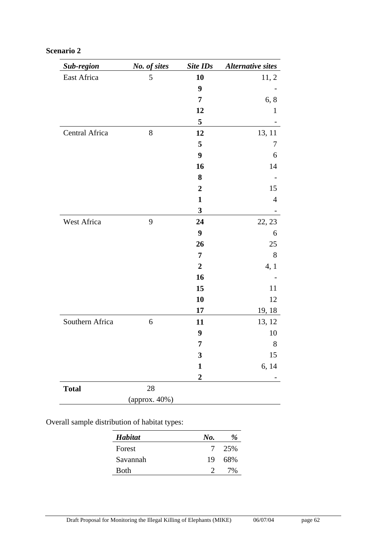| Sub-region      | No. of sites  | Site IDs         | <b>Alternative sites</b> |
|-----------------|---------------|------------------|--------------------------|
| East Africa     | 5             | 10               | 11, 2                    |
|                 |               | 9                |                          |
|                 |               | 7                | 6, 8                     |
|                 |               | 12               | 1                        |
|                 |               | 5                |                          |
| Central Africa  | 8             | 12               | 13, 11                   |
|                 |               | 5                | 7                        |
|                 |               | 9                | 6                        |
|                 |               | 16               | 14                       |
|                 |               | 8                |                          |
|                 |               | $\boldsymbol{2}$ | 15                       |
|                 |               | $\mathbf{1}$     | $\overline{4}$           |
|                 |               | $\mathbf{3}$     |                          |
| West Africa     | 9             | 24               | 22, 23                   |
|                 |               | 9                | 6                        |
|                 |               | 26               | 25                       |
|                 |               | 7                | 8                        |
|                 |               | $\boldsymbol{2}$ | 4, 1                     |
|                 |               | 16               |                          |
|                 |               | 15               | 11                       |
|                 |               | 10               | 12                       |
|                 |               | 17               | 19, 18                   |
| Southern Africa | 6             | 11               | 13, 12                   |
|                 |               | 9                | 10                       |
|                 |               | 7                | 8                        |
|                 |               | 3                | 15                       |
|                 |               | $\mathbf{1}$     | 6, 14                    |
|                 |               | $\overline{2}$   |                          |
| <b>Total</b>    | $28\,$        |                  |                          |
|                 | (approx. 40%) |                  |                          |

### **Scenario 2**

Overall sample distribution of habitat types:

| <b>Habitat</b> | No. | $\frac{a}{2}$ |
|----------------|-----|---------------|
| Forest         |     | 7 25%         |
| Savannah       | 19  | 68%           |
| Both           |     | 7%            |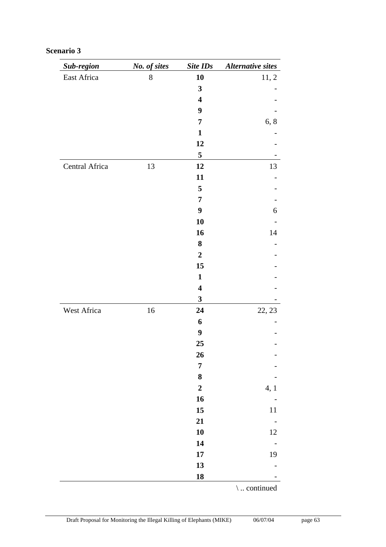| Sub-region     | No. of sites | Site IDs                | <b>Alternative sites</b> |
|----------------|--------------|-------------------------|--------------------------|
| East Africa    | $8\,$        | 10                      | 11, 2                    |
|                |              | $\mathbf{3}$            |                          |
|                |              | $\overline{\mathbf{4}}$ |                          |
|                |              | 9                       |                          |
|                |              | 7                       | 6, 8                     |
|                |              | $\mathbf{1}$            |                          |
|                |              | 12                      |                          |
|                |              | 5                       |                          |
| Central Africa | 13           | 12                      | 13                       |
|                |              | 11                      |                          |
|                |              | 5                       |                          |
|                |              | 7                       |                          |
|                |              | $\boldsymbol{9}$        | 6                        |
|                |              | 10                      |                          |
|                |              | 16                      | 14                       |
|                |              | 8                       |                          |
|                |              | $\boldsymbol{2}$        |                          |
|                |              | 15                      |                          |
|                |              | $\mathbf{1}$            |                          |
|                |              | $\overline{\mathbf{4}}$ |                          |
|                |              | $\mathbf{3}$            |                          |
| West Africa    | 16           | 24                      | 22, 23                   |
|                |              | 6                       |                          |
|                |              | $\boldsymbol{9}$        |                          |
|                |              | 25                      |                          |
|                |              | 26                      |                          |
|                |              | $\overline{7}$          |                          |
|                |              | $\bf 8$                 |                          |
|                |              | $\mathbf 2$             | 4, 1                     |
|                |              | 16                      |                          |
|                |              | 15                      | $11\,$                   |
|                |              | 21                      | $\qquad \qquad -$        |
|                |              | 10                      | $12\,$                   |
|                |              | 14                      |                          |
|                |              | $17\phantom{.}$         | 19                       |
|                |              | 13                      |                          |
|                |              | 18                      |                          |
|                |              |                         | $\backslash$ continued   |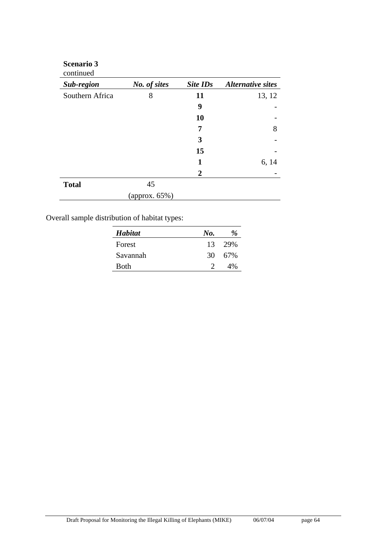| <b>Scenario 3</b><br>continued |               |                 |                          |
|--------------------------------|---------------|-----------------|--------------------------|
| Sub-region                     | No. of sites  | <b>Site IDs</b> | <b>Alternative sites</b> |
| Southern Africa                | 8             | 11              | 13, 12                   |
|                                |               | 9               |                          |
|                                |               | <b>10</b>       |                          |
|                                |               | 7               | 8                        |
|                                |               | 3               |                          |
|                                |               | 15              |                          |
|                                |               | 1               | 6, 14                    |
|                                |               | 2               |                          |
| <b>Total</b>                   | 45            |                 |                          |
|                                | (approx. 65%) |                 |                          |

Overall sample distribution of habitat types:

| Habitat  | No. | $\frac{\partial}{\partial \rho}$ |
|----------|-----|----------------------------------|
| Forest   | 13  | 29%                              |
| Savannah | 30  | 67%                              |
| Both     |     | 4%                               |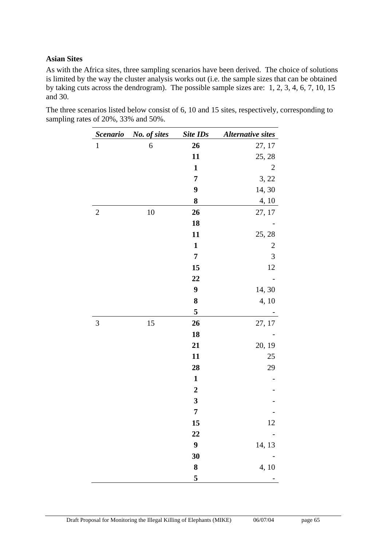#### **Asian Sites**

As with the Africa sites, three sampling scenarios have been derived. The choice of solutions is limited by the way the cluster analysis works out (i.e. the sample sizes that can be obtained by taking cuts across the dendrogram). The possible sample sizes are: 1, 2, 3, 4, 6, 7, 10, 15 and 30.

The three scenarios listed below consist of 6, 10 and 15 sites, respectively, corresponding to sampling rates of 20%, 33% and 50%.

| <b>Scenario</b> | No. of sites | <b>Site IDs</b>  | <b>Alternative sites</b> |
|-----------------|--------------|------------------|--------------------------|
| $\mathbf{1}$    | 6            | 26               | 27, 17                   |
|                 |              | 11               | 25, 28                   |
|                 |              | $\mathbf{1}$     | $\overline{c}$           |
|                 |              | 7                | 3, 22                    |
|                 |              | 9                | 14, 30                   |
|                 |              | 8                | 4, 10                    |
| $\overline{2}$  | 10           | 26               | 27, 17                   |
|                 |              | 18               |                          |
|                 |              | 11               | 25, 28                   |
|                 |              | $\mathbf{1}$     | $\overline{c}$           |
|                 |              | 7                | $\mathfrak{Z}$           |
|                 |              | 15               | 12                       |
|                 |              | 22               |                          |
|                 |              | 9                | 14, 30                   |
|                 |              | 8                | 4, 10                    |
|                 |              | 5                |                          |
| 3               | 15           | 26               | 27, 17                   |
|                 |              | 18               |                          |
|                 |              | 21               | 20, 19                   |
|                 |              | 11               | 25                       |
|                 |              | 28               | 29                       |
|                 |              | $\mathbf{1}$     |                          |
|                 |              | $\boldsymbol{2}$ |                          |
|                 |              | 3                |                          |
|                 |              | 7                |                          |
|                 |              | 15               | 12                       |
|                 |              | 22               |                          |
|                 |              | $\boldsymbol{9}$ | 14, 13                   |
|                 |              | 30               |                          |
|                 |              | 8                | 4, 10                    |
|                 |              | 5                |                          |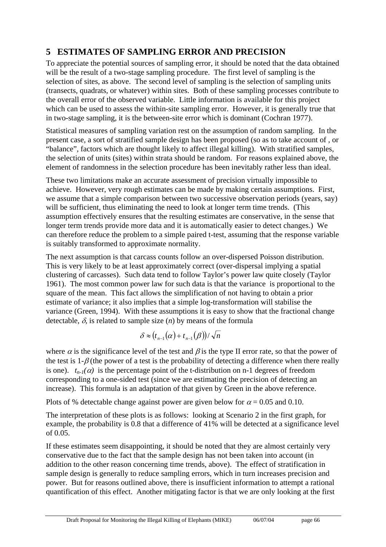# **5 ESTIMATES OF SAMPLING ERROR AND PRECISION**

To appreciate the potential sources of sampling error, it should be noted that the data obtained will be the result of a two-stage sampling procedure. The first level of sampling is the selection of sites, as above. The second level of sampling is the selection of sampling units (transects, quadrats, or whatever) within sites. Both of these sampling processes contribute to the overall error of the observed variable. Little information is available for this project which can be used to assess the within-site sampling error. However, it is generally true that in two-stage sampling, it is the between-site error which is dominant (Cochran 1977).

Statistical measures of sampling variation rest on the assumption of random sampling. In the present case, a sort of stratified sample design has been proposed (so as to take account of , or "balance", factors which are thought likely to affect illegal killing). With stratified samples, the selection of units (sites) within strata should be random. For reasons explained above, the element of randomness in the selection procedure has been inevitably rather less than ideal.

These two limitations make an accurate assessment of precision virtually impossible to achieve. However, very rough estimates can be made by making certain assumptions. First, we assume that a simple comparison between two successive observation periods (years, say) will be sufficient, thus eliminating the need to look at longer term time trends. (This assumption effectively ensures that the resulting estimates are conservative, in the sense that longer term trends provide more data and it is automatically easier to detect changes.) We can therefore reduce the problem to a simple paired t-test, assuming that the response variable is suitably transformed to approximate normality.

The next assumption is that carcass counts follow an over-dispersed Poisson distribution. This is very likely to be at least approximately correct (over-dispersal implying a spatial clustering of carcasses). Such data tend to follow Taylor's power law quite closely (Taylor 1961). The most common power law for such data is that the variance is proportional to the square of the mean. This fact allows the simplification of not having to obtain a prior estimate of variance; it also implies that a simple log-transformation will stabilise the variance (Green, 1994). With these assumptions it is easy to show that the fractional change detectable,  $\delta$ , is related to sample size  $(n)$  by means of the formula

$$
\delta \approx (t_{n-1}(\alpha) + t_{n-1}(\beta))/\sqrt{n}
$$

where  $\alpha$  is the significance level of the test and  $\beta$  is the type II error rate, so that the power of the test is  $1-\beta$  (the power of a test is the probability of detecting a difference when there really is one).  $t_{n-1}(\alpha)$  is the percentage point of the t-distribution on n-1 degrees of freedom corresponding to a one-sided test (since we are estimating the precision of detecting an increase). This formula is an adaptation of that given by Green in the above reference.

Plots of % detectable change against power are given below for  $\alpha = 0.05$  and 0.10.

The interpretation of these plots is as follows: looking at Scenario 2 in the first graph, for example, the probability is 0.8 that a difference of 41% will be detected at a significance level of 0.05.

If these estimates seem disappointing, it should be noted that they are almost certainly very conservative due to the fact that the sample design has not been taken into account (in addition to the other reason concerning time trends, above). The effect of stratification in sample design is generally to reduce sampling errors, which in turn increases precision and power. But for reasons outlined above, there is insufficient information to attempt a rational quantification of this effect. Another mitigating factor is that we are only looking at the first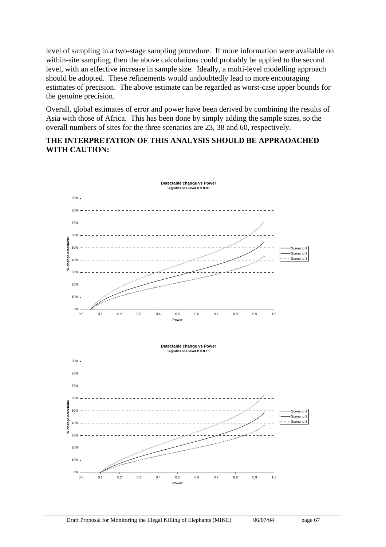level of sampling in a two-stage sampling procedure. If more information were available on within-site sampling, then the above calculations could probably be applied to the second level, with an effective increase in sample size. Ideally, a multi-level modelling approach should be adopted. These refinements would undoubtedly lead to more encouraging estimates of precision. The above estimate can be regarded as worst-case upper bounds for the genuine precision.

Overall, global estimates of error and power have been derived by combining the results of Asia with those of Africa. This has been done by simply adding the sample sizes, so the overall numbers of sites for the three scenarios are 23, 38 and 60, respectively.

#### **THE INTERPRETATION OF THIS ANALYSIS SHOULD BE APPRAOACHED WITH CAUTION:**

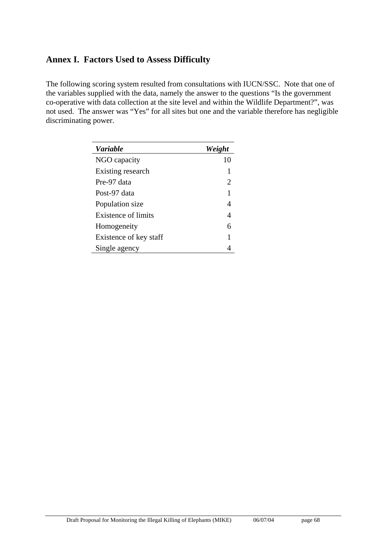### **Annex I. Factors Used to Assess Difficulty**

The following scoring system resulted from consultations with IUCN/SSC. Note that one of the variables supplied with the data, namely the answer to the questions "Is the government co-operative with data collection at the site level and within the Wildlife Department?", was not used. The answer was "Yes" for all sites but one and the variable therefore has negligible discriminating power.

| <b>Variable</b>            | Weight |
|----------------------------|--------|
| NGO capacity               | 10     |
| Existing research          |        |
| Pre-97 data                | 2      |
| Post-97 data               | 1      |
| Population size            | 4      |
| <b>Existence of limits</b> | 4      |
| Homogeneity                | 6      |
| Existence of key staff     | 1      |
| Single agency              |        |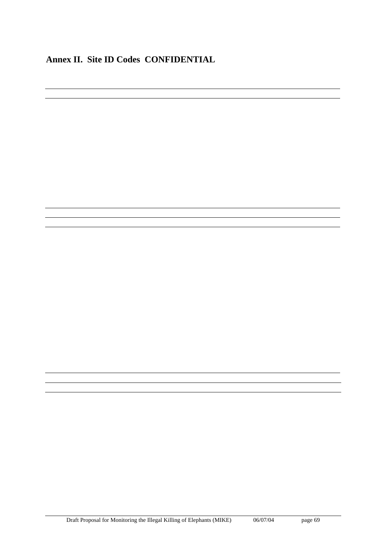## **Annex II. Site ID Codes CONFIDENTIAL**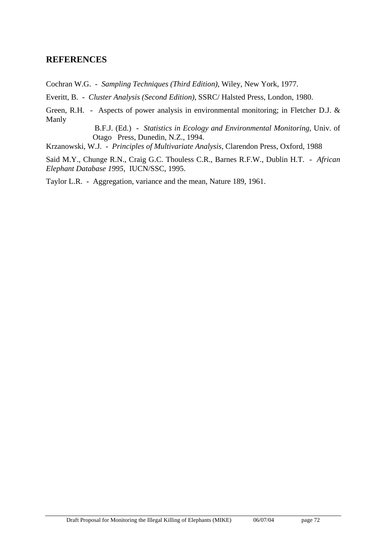### **REFERENCES**

Cochran W.G. - *Sampling Techniques (Third Edition)*, Wiley, New York, 1977.

Everitt, B. - *Cluster Analysis (Second Edition)*, SSRC/ Halsted Press, London, 1980.

Green, R.H. - Aspects of power analysis in environmental monitoring; in Fletcher D.J. & Manly

> B.F.J. (Ed.) - *Statistics in Ecology and Environmental Monitoring*, Univ. of Otago Press, Dunedin, N.Z., 1994.

Krzanowski, W.J. - *Principles of Multivariate Analysis*, Clarendon Press, Oxford, 1988

Said M.Y., Chunge R.N., Craig G.C. Thouless C.R., Barnes R.F.W., Dublin H.T. - *African Elephant Database 1995*, IUCN/SSC, 1995.

Taylor L.R. - Aggregation, variance and the mean, Nature 189, 1961.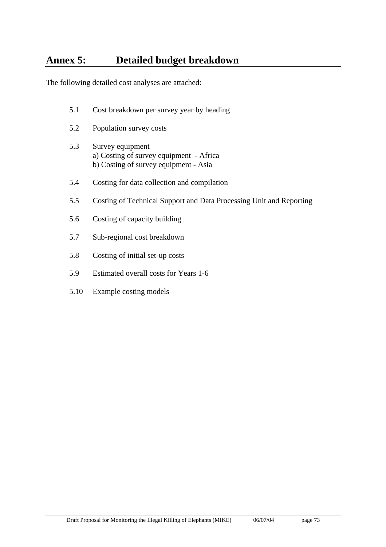# **Annex 5: Detailed budget breakdown**

The following detailed cost analyses are attached:

- 5.1 Cost breakdown per survey year by heading
- 5.2 Population survey costs
- 5.3 Survey equipment a) Costing of survey equipment - Africa b) Costing of survey equipment - Asia
- 5.4 Costing for data collection and compilation
- 5.5 Costing of Technical Support and Data Processing Unit and Reporting
- 5.6 Costing of capacity building
- 5.7 Sub-regional cost breakdown
- 5.8 Costing of initial set-up costs
- 5.9 Estimated overall costs for Years 1-6
- 5.10 Example costing models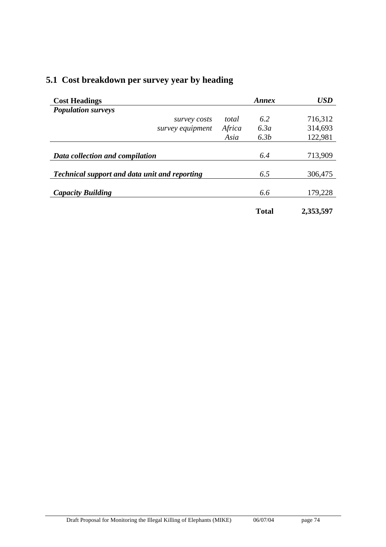| <b>Cost Headings</b>                                 |        | Annex        | <b>USD</b> |
|------------------------------------------------------|--------|--------------|------------|
| <b>Population surveys</b>                            |        |              |            |
| survey costs                                         | total  | 6.2          | 716,312    |
| survey equipment                                     | Africa | 6.3a         | 314,693    |
|                                                      | Asia   | 6.3b         | 122,981    |
| Data collection and compilation                      |        | 6.4          | 713,909    |
| <b>Technical support and data unit and reporting</b> |        | 6.5          | 306,475    |
| <b>Capacity Building</b>                             |        | 6.6          | 179,228    |
|                                                      |        | <b>Total</b> | 2,353,597  |

# **5.1 Cost breakdown per survey year by heading**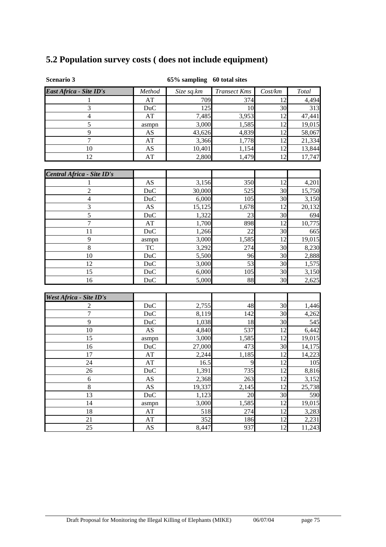# **5.2 Population survey costs ( does not include equipment)**

| <b>Scenario 3</b> |  |
|-------------------|--|
|                   |  |

### **Scenario 3 65% sampling 60 total sites**

| East Africa - Site ID's    | Method                 | Size sq.km | <b>Transect Kms</b> | Cost/km | Total  |
|----------------------------|------------------------|------------|---------------------|---------|--------|
| 1                          | AT                     | 709        | 374                 | 12      | 4,494  |
| 3                          | DuC                    | 125        | 10                  | 30      | 313    |
| $\overline{4}$             | $\mathbf{A}\mathbf{T}$ | 7,485      | 3,953               | 12      | 47,441 |
| 5                          | asmpn                  | 3,000      | 1,585               | 12      | 19,015 |
| 9                          | AS                     | 43,626     | 4,839               | 12      | 58,067 |
| $\overline{7}$             | AT                     | 3,366      | 1,778               | 12      | 21,334 |
| 10                         | AS                     | 10,401     | 1,154               | 12      | 13,844 |
| 12                         | AT                     | 2,800      | 1,479               | 12      | 17,747 |
|                            |                        |            |                     |         |        |
| Central Africa - Site ID's |                        |            |                     |         |        |
|                            | AS                     | 3,156      | 350                 | 12      | 4,201  |
| $\overline{2}$             | DuC                    | 30,000     | 525                 | 30      | 15,750 |
| $\overline{4}$             | DuC                    | 6,000      | 105                 | 30      | 3,150  |
| 3                          | AS                     | 15,125     | 1,678               | 12      | 20,132 |
| 5                          | DuC                    | 1,322      | 23                  | 30      | 694    |
| $\overline{7}$             | AT                     | 1,700      | 898                 | 12      | 10,775 |
| 11                         | <b>DuC</b>             | 1,266      | 22                  | 30      | 665    |
| 9                          | asmpn                  | 3,000      | 1,585               | 12      | 19,015 |
| $\,8\,$                    | <b>TC</b>              | 3,292      | 274                 | 30      | 8,230  |
| 10                         | <b>DuC</b>             | 5,500      | 96                  | 30      | 2,888  |
| 12                         | <b>DuC</b>             | 3,000      | 53                  | 30      | 1,575  |
| 15                         | DuC                    | 6,000      | 105                 | 30      | 3,150  |
| 16                         | <b>DuC</b>             | 5,000      | 88                  | 30      | 2,625  |
|                            |                        |            |                     |         |        |
| West Africa - Site ID's    |                        |            |                     |         |        |
| 2                          | DuC                    | 2,755      | 48                  | 30      | 1,446  |
| 7                          | <b>DuC</b>             | 8,119      | 142                 | 30      | 4,262  |
| 9                          | <b>DuC</b>             | 1,038      | 18                  | 30      | 545    |
| 10                         | AS                     | 4,840      | 537                 | 12      | 6,442  |
| 15                         | asmpn                  | 3,000      | 1,585               | 12      | 19,015 |
| 16                         | <b>DuC</b>             | 27,000     | 473                 | 30      | 14,175 |
| 17                         | $\mathbf{A}\mathbf{T}$ | 2,244      | 1,185               | 12      | 14,223 |
| 24                         | AT                     | 16.5       | 9                   | 12      | 105    |
| 26                         | DuC                    | 1,391      | 735                 | 12      | 8,816  |
| 6                          | AS                     | 2,368      | 263                 | 12      | 3,152  |
| $8\,$                      | AS                     | 19,337     | 2,145               | 12      | 25,738 |
| 13                         | <b>DuC</b>             | 1,123      | 20                  | 30      | 590    |
| 14                         | asmpn                  | 3,000      | 1,585               | 12      | 19,015 |
| 18                         | AT                     | 518        | 274                 | 12      | 3,283  |
| 21                         | $\mathbf{A}\mathbf{T}$ | 352        | 186                 | 12      | 2,231  |
| 25                         | AS                     | 8,447      | 937                 | 12      | 11,243 |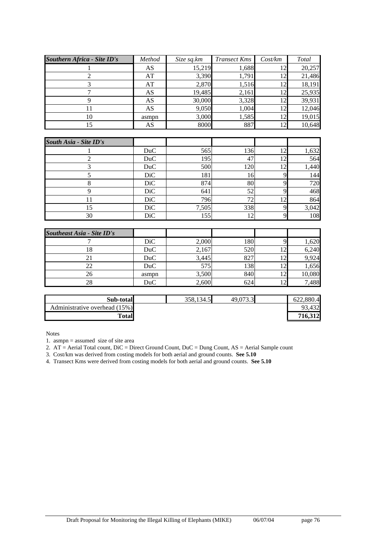| <b>Southern Africa - Site ID's</b> | Method | Size sq.km | <b>Transect Kms</b> | Cost/km | Total  |
|------------------------------------|--------|------------|---------------------|---------|--------|
|                                    | AS     | 15,219     | 1.688               |         | 20,257 |
|                                    | AT     | 3,390      | 1.791               |         | 21,486 |
|                                    | AT     | 2,870      | 1.516               | 12      | 18,191 |
|                                    | AS     | 19,485     | 2,161               | 12      | 25,935 |
|                                    | AS     | 30,000     | 3,328               | 12      | 39,931 |
| 11                                 | AS     | 9,050      | 1,004               | 12      | 12,046 |
| 10                                 | asmpn  | 3,000      | 1,585               | 12      | 19,015 |
| 15                                 | AS     | 8000       | 887                 |         | 10,648 |

| South Asia - Site ID's |            |       |     |       |
|------------------------|------------|-------|-----|-------|
|                        | DuC        | 565   | 136 | 1,632 |
|                        | DuC        | 195   | 47  | 564   |
|                        | DuC        | 500   | 120 | 1,440 |
|                        | <b>DiC</b> | 181   | 16  | 144   |
|                        | <b>DiC</b> | 874   | 80  | 720   |
|                        | <b>DiC</b> | 641   | 52  | 468   |
|                        | DiC        | 796   | 72  | 864   |
| 15                     | <b>DiC</b> | 7,505 | 338 | 3,042 |
| 30                     | DiC        | 155   | 12  | 108   |

| <b>Southeast Asia - Site ID's</b> |            |       |     |        |
|-----------------------------------|------------|-------|-----|--------|
|                                   | DiC        | 2,000 | 180 | 1,620  |
| 18                                | <b>DuC</b> | 2,167 | 520 | 6,240  |
|                                   | <b>DuC</b> | 3,445 | 827 | 9,924  |
| 22                                | <b>DuC</b> | 575   | 138 | 1,656  |
| 26                                | asmpn      | 3,500 | 840 | 10,080 |
| 28                                | DuC        | 2,600 | 624 | 7,488  |

| Sub-total                     | 358,134.5 | 49,073.3 | 622,880.4 |
|-------------------------------|-----------|----------|-----------|
| Administrative overhead (15%) |           |          | 93.432    |
| <b>Total</b>                  |           |          | 716.312   |

Notes

1. asmpn = assumed size of site area

2. AT = Aerial Total count, DiC = Direct Ground Count, DuC = Dung Count, AS = Aerial Sample count

3. Cost/km was derived from costing models for both aerial and ground counts. **See 5.10** 

4. Transect Kms were derived from costing models for both aerial and ground counts. **See 5.10**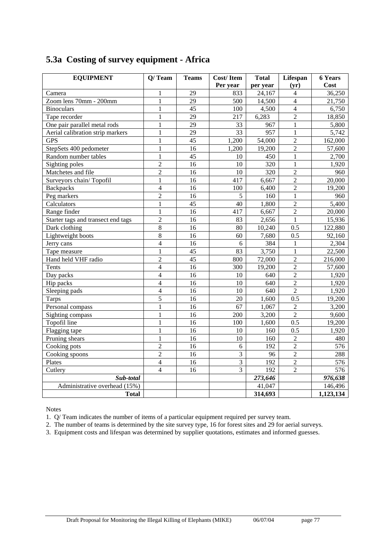| <b>EQUIPMENT</b>                   | $Q/$ Team                | <b>Teams</b>    | Cost/Item       | <b>Total</b>       | Lifespan       | <b>6 Years</b> |
|------------------------------------|--------------------------|-----------------|-----------------|--------------------|----------------|----------------|
|                                    |                          |                 | Per year        | per year           | (yr)           | Cost           |
| Camera                             | $\mathbf{1}$             | 29              | 833             | 24,167             | 4              | 36,250         |
| Zoom lens 70mm - 200mm             | $\mathbf{1}$             | $\overline{29}$ | 500             | 14,500             | $\overline{4}$ | 21,750         |
| <b>Binoculars</b>                  | $\mathbf{1}$             | 45              | 100             | 4,500              | $\overline{4}$ | 6,750          |
| Tape recorder                      | 1                        | 29              | 217             | 6,283              | $\overline{c}$ | 18,850         |
| One pair parallel metal rods       | $\mathbf{1}$             | 29              | 33              | 967                | $\mathbf{1}$   | 5,800          |
| Aerial calibration strip markers   | $\mathbf{1}$             | $\overline{29}$ | $\overline{33}$ | 957                | $\mathbf{1}$   | 5,742          |
| <b>GPS</b>                         | $\mathbf{1}$             | $\overline{45}$ | 1,200           | 54,000             | $\overline{2}$ | 162,000        |
| StepSets 400 pedometer             | $\mathbf{1}$             | 16              | 1,200           | 19,200             | $\overline{2}$ | 57,600         |
| Random number tables               | $\mathbf{1}$             | 45              | 10              | 450                | $\mathbf{1}$   | 2,700          |
| Sighting poles                     | $\overline{2}$           | 16              | 10              | 320                | $\mathbf{1}$   | 1,920          |
| Matchetes and file                 | $\overline{2}$           | 16              | 10              | 320                | $\overline{c}$ | 960            |
| Surveyors chain/Topofil            | $\mathbf{1}$             | 16              | 417             | 6,667              | $\overline{2}$ | 20,000         |
| <b>Backpacks</b>                   | $\overline{4}$           | $\overline{16}$ | 100             | 6,400              | $\overline{2}$ | 19,200         |
| Peg markers                        | $\overline{2}$           | 16              | 5               | 160                | $\mathbf{1}$   | 960            |
| Calculators                        | 1                        | 45              | 40              | 1,800              | $\overline{2}$ | 5,400          |
| Range finder                       | $\mathbf{1}$             | 16              | 417             | 6,667              | $\overline{2}$ | 20,000         |
| Starter tags and transect end tags | $\overline{2}$           | $\overline{16}$ | 83              | 2,656              | $\mathbf{1}$   | 15,936         |
| Dark clothing                      | 8                        | 16              | 80              | 10,240             | 0.5            | 122,880        |
| Lightweight boots                  | $\overline{8}$           | 16              | 60              | 7,680              | 0.5            | 92,160         |
| Jerry cans                         | $\overline{4}$           | 16              | 6               | 384                | 1              | 2,304          |
| Tape measure                       | $\mathbf{1}$             | $\overline{45}$ | 83              | 3,750              | $\mathbf{1}$   | 22,500         |
| Hand held VHF radio                | $\overline{2}$           | $\overline{45}$ | 800             | 72,000             | $\overline{c}$ | 216,000        |
| Tents                              | $\overline{4}$           | 16              | 300             | 19,200             | $\overline{2}$ | 57,600         |
| Day packs                          | $\overline{4}$           | 16              | 10              | 640                | $\overline{2}$ | 1,920          |
| Hip packs                          | $\overline{4}$           | 16              | 10              | 640                | $\overline{2}$ | 1,920          |
| Sleeping pads                      | $\overline{\mathcal{L}}$ | 16              | 10              | 640                | $\overline{2}$ | 1,920          |
| <b>Tarps</b>                       | $\overline{5}$           | 16              | 20              | 1,600              | 0.5            | 19,200         |
| Personal compass                   | $\mathbf{1}$             | 16              | 67              | 1,067              | $\overline{2}$ | 3,200          |
| Sighting compass                   | $\mathbf{1}$             | 16              | 200             | $\overline{3,200}$ | $\overline{2}$ | 9,600          |
| Topofil line                       | $\mathbf{1}$             | 16              | 100             | 1,600              | 0.5            | 19,200         |
| Flagging tape                      | $\mathbf{1}$             | 16              | 10              | 160                | 0.5            | 1,920          |
| Pruning shears                     | $\mathbf{1}$             | 16              | 10              | 160                | $\overline{2}$ | 480            |
| Cooking pots                       | $\overline{2}$           | 16              | 6               | 192                | $\overline{2}$ | 576            |
| Cooking spoons                     | $\overline{2}$           | 16              | $\mathfrak{Z}$  | 96                 | $\overline{2}$ | 288            |
| Plates                             | $\overline{4}$           | 16              | 3               | 192                | $\overline{2}$ | 576            |
| Cutlery                            | $\overline{4}$           | 16              | $\overline{3}$  | 192                | $\overline{2}$ | 576            |
| Sub-total                          |                          |                 |                 | 273,646            |                | 976,638        |
| Administrative overhead (15%)      |                          |                 |                 | 41,047             |                | 146,496        |
| <b>Total</b>                       |                          |                 |                 | 314,693            |                | 1,123,134      |

## **5.3a Costing of survey equipment - Africa**

Notes

1. Q/ Team indicates the number of items of a particular equipment required per survey team.

2. The number of teams is determined by the site survey type, 16 for forest sites and 29 for aerial surveys.

3. Equipment costs and lifespan was determined by supplier quotations, estimates and informed guesses.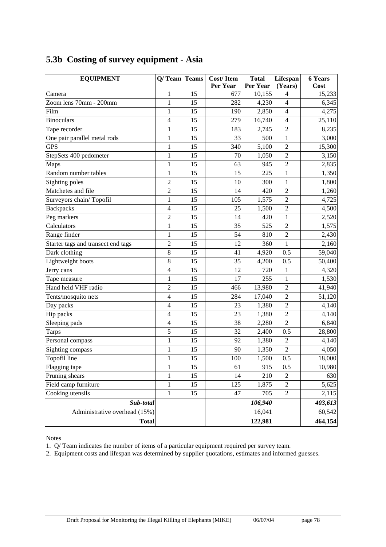| <b>EQUIPMENT</b>                   | $Q/$ Team Teams          |    | Cost/Item | <b>Total</b> | Lifespan                | <b>6 Years</b> |
|------------------------------------|--------------------------|----|-----------|--------------|-------------------------|----------------|
|                                    |                          |    | Per Year  | Per Year     | (Years)                 | Cost           |
| Camera                             | 1                        | 15 | 677       | 10,155       | 4                       | 15,233         |
| Zoom lens 70mm - 200mm             | $\mathbf{1}$             | 15 | 282       | 4,230        | 4                       | 6,345          |
| Film                               | $\mathbf{1}$             | 15 | 190       | 2,850        | 4                       | 4,275          |
| <b>Binoculars</b>                  | $\overline{4}$           | 15 | 279       | 16,740       | $\overline{\mathbf{4}}$ | 25,110         |
| Tape recorder                      | $\mathbf{1}$             | 15 | 183       | 2,745        | $\overline{c}$          | 8,235          |
| One pair parallel metal rods       | $\mathbf{1}$             | 15 | 33        | 500          | $\mathbf{1}$            | 3,000          |
| <b>GPS</b>                         | $\mathbf{1}$             | 15 | 340       | 5,100        | $\overline{2}$          | 15,300         |
| StepSets 400 pedometer             | $\mathbf{1}$             | 15 | 70        | 1,050        | $\overline{2}$          | 3,150          |
| Maps                               | $\mathbf{1}$             | 15 | 63        | 945          | $\overline{2}$          | 2,835          |
| Random number tables               | $\mathbf{1}$             | 15 | 15        | 225          | $\mathbf{1}$            | 1,350          |
| Sighting poles                     | $\overline{c}$           | 15 | 10        | 300          | $\mathbf{1}$            | 1,800          |
| Matchetes and file                 | $\overline{2}$           | 15 | 14        | 420          | $\overline{2}$          | 1,260          |
| Surveyors chain/Topofil            | $\mathbf{1}$             | 15 | 105       | 1,575        | $\overline{2}$          | 4,725          |
| <b>Backpacks</b>                   | 4                        | 15 | 25        | 1,500        | $\overline{c}$          | 4,500          |
| Peg markers                        | $\overline{c}$           | 15 | 14        | 420          | $\mathbf{1}$            | 2,520          |
| Calculators                        | $\mathbf{1}$             | 15 | 35        | 525          | $\overline{2}$          | 1,575          |
| Range finder                       | $\mathbf{1}$             | 15 | 54        | 810          | $\overline{2}$          | 2,430          |
| Starter tags and transect end tags | $\overline{c}$           | 15 | 12        | 360          | $\mathbf{1}$            | 2,160          |
| Dark clothing                      | 8                        | 15 | 41        | 4,920        | 0.5                     | 59,040         |
| Lightweight boots                  | 8                        | 15 | 35        | 4,200        | 0.5                     | 50,400         |
| Jerry cans                         | $\overline{\mathcal{L}}$ | 15 | 12        | 720          | $\mathbf{1}$            | 4,320          |
| Tape measure                       | $\mathbf{1}$             | 15 | 17        | 255          | $\mathbf{1}$            | 1,530          |
| Hand held VHF radio                | $\overline{c}$           | 15 | 466       | 13,980       | $\overline{2}$          | 41,940         |
| Tents/mosquito nets                | 4                        | 15 | 284       | 17,040       | $\overline{2}$          | 51,120         |
| Day packs                          | 4                        | 15 | 23        | 1,380        | $\overline{c}$          | 4,140          |
| Hip packs                          | 4                        | 15 | 23        | 1,380        | $\overline{2}$          | 4,140          |
| Sleeping pads                      | $\overline{\mathcal{L}}$ | 15 | 38        | 2,280        | $\overline{c}$          | 6,840          |
| <b>Tarps</b>                       | 5                        | 15 | 32        | 2,400        | 0.5                     | 28,800         |
| Personal compass                   | $\mathbf{1}$             | 15 | 92        | 1,380        | $\sqrt{2}$              | 4,140          |
| Sighting compass                   | $\mathbf{1}$             | 15 | 90        | 1,350        | $\overline{2}$          | 4,050          |
| Topofil line                       | $\mathbf{1}$             | 15 | 100       | 1,500        | 0.5                     | 18,000         |
| Flagging tape                      | $\mathbf{1}$             | 15 | 61        | 915          | 0.5                     | 10,980         |
| Pruning shears                     | $\mathbf{1}$             | 15 | 14        | 210          | $\overline{2}$          | 630            |
| Field camp furniture               | $\mathbf 1$              | 15 | 125       | 1,875        | $\sqrt{2}$              | 5,625          |
| Cooking utensils                   | $\mathbf{1}$             | 15 | 47        | 705          | $\overline{2}$          | 2,115          |
| Sub-total                          |                          |    |           | 106,940      |                         | 403,613        |
| Administrative overhead (15%)      |                          |    |           | 16,041       |                         | 60,542         |
| <b>Total</b>                       |                          |    |           | 122,981      |                         | 464,154        |

# **5.3b Costing of survey equipment - Asia**

Notes

1. Q/ Team indicates the number of items of a particular equipment required per survey team.

2. Equipment costs and lifespan was determined by supplier quotations, estimates and informed guesses.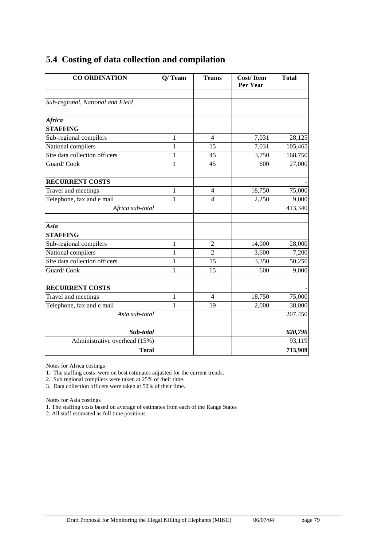| <b>CO ORDINATION</b>             | $Q/$ Team    | <b>Teams</b>   | <b>Cost/Item</b><br>Per Year | <b>Total</b> |
|----------------------------------|--------------|----------------|------------------------------|--------------|
|                                  |              |                |                              |              |
| Sub-regional, National and Field |              |                |                              |              |
| Africa                           |              |                |                              |              |
| <b>STAFFING</b>                  |              |                |                              |              |
| Sub-regional compilers           | $\mathbf{1}$ | $\overline{4}$ | 7,031                        | 28,125       |
| National compilers               | 1            | 15             | 7,031                        | 105,465      |
| Site data collection officers    | $\mathbf{1}$ | 45             | 3,750                        | 168,750      |
| Guard/Cook                       | $\mathbf{1}$ | 45             | 600                          | 27,000       |
| <b>RECURRENT COSTS</b>           |              |                |                              |              |
| Travel and meetings              | 1            | $\overline{4}$ | 18,750                       | 75,000       |
| Telephone, fax and e mail        | 1            | $\overline{4}$ | 2,250                        | 9,000        |
| Africa sub-total                 |              |                |                              | 413,340      |
| Asia                             |              |                |                              |              |
| <b>STAFFING</b>                  |              |                |                              |              |
| Sub-regional compilers           | $\mathbf{1}$ | $\overline{2}$ | 14,000                       | 28,000       |
| National compilers               | 1            | $\overline{2}$ | 3,600                        | 7,200        |
| Site data collection officers    | $\mathbf{1}$ | 15             | 3,350                        | 50,250       |
| Guard/Cook                       | 1            | 15             | 600                          | 9,000        |
| <b>RECURRENT COSTS</b>           |              |                |                              |              |
| Travel and meetings              | $\mathbf{1}$ | $\overline{4}$ | 18,750                       | 75,000       |
| Telephone, fax and e mail        | 1            | 19             | 2,000                        | 38,000       |
| Asia sub-total                   |              |                |                              | 207,450      |
| Sub-total                        |              |                |                              | 620,790      |
| Administrative overhead (15%)    |              |                |                              | 93,119       |
| <b>Total</b>                     |              |                |                              | 713,909      |

### **5.4 Costing of data collection and compilation**

Notes for Africa costings

1. The staffing costs were on best estimates adjusted for the current trends.

2. Sub regional compilers were taken at 25% of their time.

3. Data collection officers were taken at 50% of their time.

Notes for Asia costings

1. The staffing costs based on average of estimates from each of the Range States

2. All staff estimated as full time positions.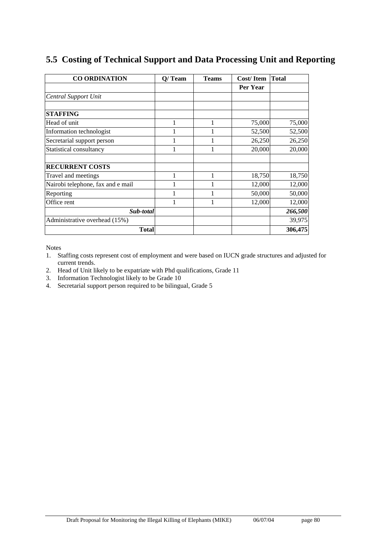| <b>CO ORDINATION</b>              | $Q/$ Team | <b>Teams</b> | Cost/Item | Total   |
|-----------------------------------|-----------|--------------|-----------|---------|
|                                   |           |              | Per Year  |         |
| <b>Central Support Unit</b>       |           |              |           |         |
|                                   |           |              |           |         |
| <b>STAFFING</b>                   |           |              |           |         |
| Head of unit                      | 1         | 1            | 75,000    | 75,000  |
| Information technologist          |           |              | 52,500    | 52,500  |
| Secretarial support person        |           |              | 26,250    | 26,250  |
| Statistical consultancy           |           | 1            | 20,000    | 20,000  |
|                                   |           |              |           |         |
| <b>RECURRENT COSTS</b>            |           |              |           |         |
| Travel and meetings               | 1         | 1            | 18,750    | 18,750  |
| Nairobi telephone, fax and e mail |           |              | 12,000    | 12,000  |
| Reporting                         |           |              | 50,000    | 50,000  |
| Office rent                       |           |              | 12,000    | 12,000  |
| Sub-total                         |           |              |           | 266,500 |
| Administrative overhead (15%)     |           |              |           | 39,975  |
| Total                             |           |              |           | 306,475 |

### **5.5 Costing of Technical Support and Data Processing Unit and Reporting**

Notes

- 1. Staffing costs represent cost of employment and were based on IUCN grade structures and adjusted for current trends.
- 2. Head of Unit likely to be expatriate with Phd qualifications, Grade 11
- 3. Information Technologist likely to be Grade 10
- 4. Secretarial support person required to be bilingual, Grade 5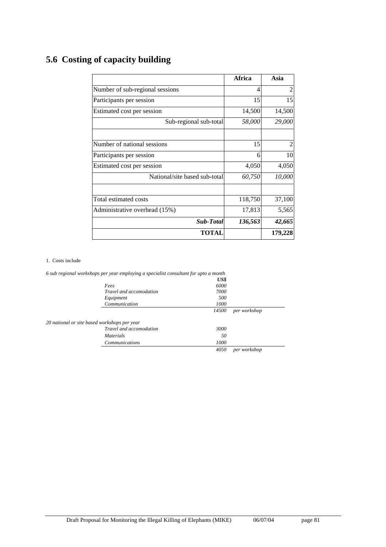|                                 | Africa  | Asia           |
|---------------------------------|---------|----------------|
| Number of sub-regional sessions | 4       | $\overline{2}$ |
| Participants per session        | 15      | 15             |
| Estimated cost per session      | 14,500  | 14,500         |
| Sub-regional sub-total          | 58,000  | 29,000         |
|                                 |         |                |
| Number of national sessions     | 15      |                |
| Participants per session        | 6       | 10             |
| Estimated cost per session      | 4,050   | 4,050          |
| National/site based sub-total   | 60,750  | 10,000         |
| Total estimated costs           | 118,750 | 37,100         |
| Administrative overhead (15%)   | 17,813  | 5,565          |
| Sub-Total                       | 136,563 | 42,665         |
| TOTAL                           |         | 179,228        |

# **5.6 Costing of capacity building**

#### 1. Costs include

|                                              | 6 sub regional workshops per year employing a specialist consultant for upto a month |       |              |
|----------------------------------------------|--------------------------------------------------------------------------------------|-------|--------------|
|                                              |                                                                                      | US\$  |              |
|                                              | Fees                                                                                 | 6000  |              |
|                                              | <i>Travel and accomodation</i>                                                       | 7000  |              |
|                                              | Equipment                                                                            | 500   |              |
|                                              | Communication                                                                        | 1000  |              |
|                                              |                                                                                      | 14500 | per workshop |
| 20 national or site based workshops per year |                                                                                      |       |              |
|                                              | Travel and accomodation                                                              | 3000  |              |
|                                              | <i>Materials</i>                                                                     | 50    |              |
|                                              | <b>Communications</b>                                                                | 1000  |              |
|                                              |                                                                                      | 4050  | per workshop |

Draft Proposal for Monitoring the Illegal Killing of Elephants (MIKE) 06/07/04 page 81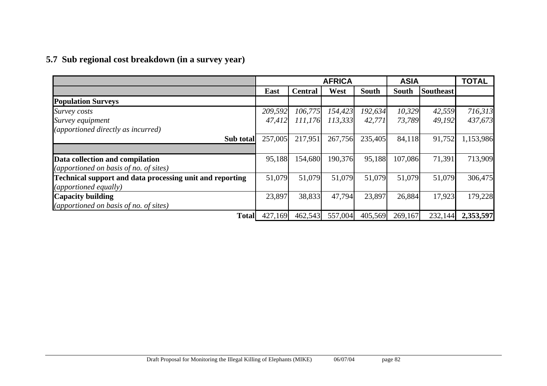# **5.7 Sub regional cost breakdown (in a survey year)**

|                                                          | <b>AFRICA</b><br><b>ASIA</b> |                |         | <b>TOTAL</b> |         |                  |           |
|----------------------------------------------------------|------------------------------|----------------|---------|--------------|---------|------------------|-----------|
|                                                          | East                         | <b>Central</b> | West    | <b>South</b> | South   | <b>Southeast</b> |           |
| <b>Population Surveys</b>                                |                              |                |         |              |         |                  |           |
| Survey costs                                             | 209,592                      | 106,775        | 154,423 | 192,634      | 10,329  | 42,559           | 716,313   |
| Survey equipment                                         | 47,412                       | 111,176        | 113,333 | 42,771       | 73,789  | 49,192           | 437,673   |
| (apportioned directly as incurred)                       |                              |                |         |              |         |                  |           |
| Sub total                                                | 257,005                      | 217,951        | 267,756 | 235,405      | 84,118  | 91,752           | 1,153,986 |
|                                                          |                              |                |         |              |         |                  |           |
| Data collection and compilation                          | 95,188                       | 154,680        | 190,376 | 95,188       | 107,086 | 71,391           | 713,909   |
| (apportioned on basis of no. of sites)                   |                              |                |         |              |         |                  |           |
| Technical support and data processing unit and reporting | 51,079                       | 51,079         | 51,079  | 51,079       | 51,079  | 51,079           | 306,475   |
| (apportioned equally)                                    |                              |                |         |              |         |                  |           |
| <b>Capacity building</b>                                 | 23,897                       | 38,833         | 47,794  | 23,897       | 26,884  | 17,923           | 179,228   |
| (apportioned on basis of no. of sites)                   |                              |                |         |              |         |                  |           |
| <b>Total</b>                                             | 427,169                      | 462,543        | 557,004 | 405,569      | 269,167 | 232,144          | 2,353,597 |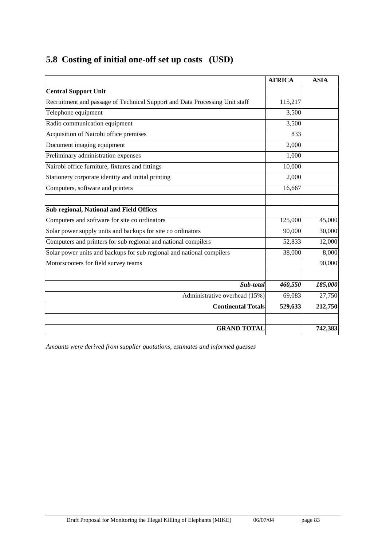|  | 5.8 Costing of initial one-off set up costs (USD) |  |
|--|---------------------------------------------------|--|
|  |                                                   |  |

|                                                                             | <b>AFRICA</b> | <b>ASIA</b> |
|-----------------------------------------------------------------------------|---------------|-------------|
| <b>Central Support Unit</b>                                                 |               |             |
| Recruitment and passage of Technical Support and Data Processing Unit staff | 115,217       |             |
| Telephone equipment                                                         | 3,500         |             |
| Radio communication equipment                                               | 3,500         |             |
| Acquisition of Nairobi office premises                                      | 833           |             |
| Document imaging equipment                                                  | 2,000         |             |
| Preliminary administration expenses                                         | 1,000         |             |
| Nairobi office furniture, fixtures and fittings                             | 10,000        |             |
| Stationery corporate identity and initial printing                          | 2,000         |             |
| Computers, software and printers                                            | 16,667        |             |
|                                                                             |               |             |
| Sub regional, National and Field Offices                                    |               |             |
| Computers and software for site co ordinators                               | 125,000       | 45,000      |
| Solar power supply units and backups for site co ordinators                 | 90,000        | 30,000      |
| Computers and printers for sub regional and national compilers              | 52,833        | 12,000      |
| Solar power units and backups for sub regional and national compilers       | 38,000        | 8,000       |
| Motorscooters for field survey teams                                        |               | 90,000      |
|                                                                             |               |             |
| Sub-total                                                                   | 460,550       | 185,000     |
| Administrative overhead (15%)                                               | 69,083        | 27,750      |
| <b>Continental Totals</b>                                                   | 529,633       | 212,750     |
|                                                                             |               |             |
| <b>GRAND TOTAL</b>                                                          |               | 742,383     |

*Amounts were derived from supplier quotations, estimates and informed guesses*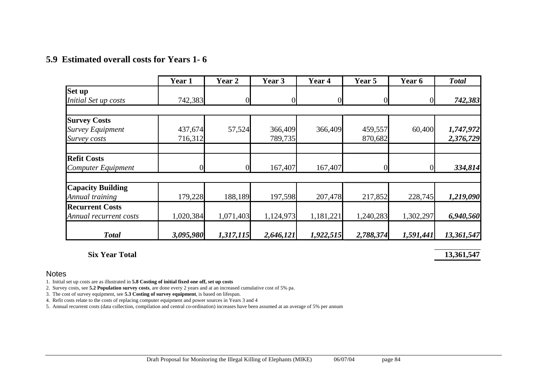### **5.9 Estimated overall costs for Years 1- 6**

|                          | Year 1         | Year 2    | Year 3    | Year 4    | Year 5    | Year 6    | <b>Total</b> |
|--------------------------|----------------|-----------|-----------|-----------|-----------|-----------|--------------|
| Set up                   |                |           |           |           |           |           |              |
| Initial Set up costs     | 742,383        |           |           |           |           |           | 742,383      |
|                          |                |           |           |           |           |           |              |
| <b>Survey Costs</b>      |                |           |           |           |           |           |              |
| <b>Survey Equipment</b>  | 437,674        | 57,524    | 366,409   | 366,409   | 459,557   | 60,400    | 1,747,972    |
| Survey costs             | 716,312        |           | 789,735   |           | 870,682   |           | 2,376,729    |
| <b>Refit Costs</b>       |                |           |           |           |           |           |              |
| Computer Equipment       | $\overline{0}$ |           | 167,407   | 167,407   |           |           | 334,814      |
| <b>Capacity Building</b> |                |           |           |           |           |           |              |
| Annual training          | 179,228        | 188,189   | 197,598   | 207,478   | 217,852   | 228,745   | 1,219,090    |
| <b>Recurrent Costs</b>   |                |           |           |           |           |           |              |
| Annual recurrent costs   | 1,020,384      | 1,071,403 | 1,124,973 | 1,181,221 | 1,240,283 | 1,302,297 | 6,940,560    |
|                          |                |           |           |           |           |           |              |
| <b>Total</b>             | 3,095,980      | 1,317,115 | 2,646,121 | 1,922,515 | 2,788,374 | 1,591,441 | 13,361,547   |

### **Six Year Total 13,361,547 13,361,547**

#### Notes

1. Initial set up costs are as illustrated in **5.8 Costing of initial fixed one off, set up costs**

2. Survey costs, see **5.2 Population survey costs**, are done every 2 years and at an increased cumulative cost of 5% pa.

3. The cost of survey equipment, see **5.3 Costing of survey equipment**, is based on lifespan.

4. Refit costs relate to the costs of replacing computer equipment and power sources in Years 3 and 4

5. Annual recurrent costs (data collection, compilation and central co-ordination) increases have been assumed at an average of 5% per annum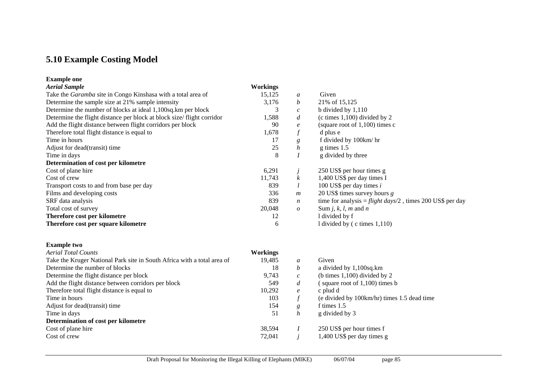# **5.10 Example Costing Model**

#### **Example one**

| <b>Aerial Sample</b>                                                  | <b>Workings</b> |                  |                                                            |
|-----------------------------------------------------------------------|-----------------|------------------|------------------------------------------------------------|
| Take the <i>Garamba</i> site in Congo Kinshasa with a total area of   | 15,125          | $\mathfrak a$    | Given                                                      |
| Determine the sample size at 21% sample intensity                     | 3,176           | $\mathfrak{b}$   | 21\% of 15,125                                             |
| Determine the number of blocks at ideal 1,100sq.km per block          |                 | $\mathcal{C}$    | b divided by $1,110$                                       |
| Determine the flight distance per block at block size/flight corridor | 1,588           | d                | (c times $1,100$ ) divided by 2                            |
| Add the flight distance between flight corridors per block            | 90              | $\ell$           | (square root of $1,100$ ) times c                          |
| Therefore total flight distance is equal to                           | 1,678           |                  | d plus e                                                   |
| Time in hours                                                         | 17              | g                | f divided by 100 km/hr                                     |
| Adjust for dead(transit) time                                         | 25              | h                | $g \times 1.5$                                             |
| Time in days                                                          | 8               |                  | g divided by three                                         |
| Determination of cost per kilometre                                   |                 |                  |                                                            |
| Cost of plane hire                                                    | 6,291           |                  | 250 US\$ per hour times g                                  |
| Cost of crew                                                          | 11,743          |                  | 1,400 US\$ per day times I                                 |
| Transport costs to and from base per day                              | 839             |                  | 100 US\$ per day times $i$                                 |
| Films and developing costs                                            | 336             | $\boldsymbol{m}$ | 20 US\$ times survey hours $g$                             |
| SRF data analysis                                                     | 839             | n                | time for analysis = flight days/2, times 200 US\$ per day  |
| Total cost of survey                                                  | 20,048          | $\overline{o}$   | Sum <i>j</i> , <i>k</i> , <i>l</i> , <i>m</i> and <i>n</i> |
| Therefore cost per kilometre                                          | 12              |                  | I divided by f                                             |
| Therefore cost per square kilometre                                   | 6               |                  | l divided by $($ c times $1,110)$                          |

#### **Example two**

| <b>Aerial Total Counts</b>                                              | <b>Workings</b> |                  |                                             |
|-------------------------------------------------------------------------|-----------------|------------------|---------------------------------------------|
| Take the Kruger National Park site in South Africa with a total area of | 19,485          | a                | Given                                       |
| Determine the number of blocks                                          | 18              | b                | a divided by 1,100sq.km                     |
| Determine the flight distance per block                                 | 9,743           | $\mathcal{C}$    | (b times $1,100$ ) divided by 2             |
| Add the flight distance between corridors per block                     | 549             | $\boldsymbol{d}$ | square root of $1,100$ times b              |
| Therefore total flight distance is equal to                             | 10,292          | $\boldsymbol{e}$ | c plud d                                    |
| Time in hours                                                           | 103             |                  | (e divided by 100km/hr) times 1.5 dead time |
| Adjust for dead(transit) time                                           | 154             | g                | f times 1.5                                 |
| Time in days                                                            | 51              | h                | g divided by 3                              |
| Determination of cost per kilometre                                     |                 |                  |                                             |
| Cost of plane hire                                                      | 38.594          |                  | 250 US\$ per hour times f                   |
| Cost of crew                                                            | 72,041          |                  | 1,400 US\$ per day times g                  |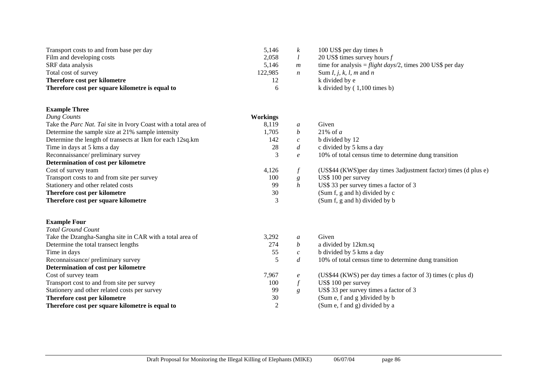| Transport costs to and from base per day                        | 5,146           | $\boldsymbol{k}$ | 100 US\$ per day times $h$                                       |
|-----------------------------------------------------------------|-----------------|------------------|------------------------------------------------------------------|
| Film and developing costs                                       | 2,058           | l                | 20 US\$ times survey hours $f$                                   |
| SRF data analysis                                               | 5,146           | m                | time for analysis = flight days/2, times 200 US\$ per day        |
| Total cost of survey                                            | 122,985         | $\boldsymbol{n}$ | Sum I, j, k, l, m and n                                          |
| Therefore cost per kilometre                                    | 12              |                  | k divided by e                                                   |
| Therefore cost per square kilometre is equal to                 | 6               |                  | k divided by $(1,100$ times b)                                   |
| <b>Example Three</b>                                            |                 |                  |                                                                  |
| Dung Counts                                                     | <b>Workings</b> |                  |                                                                  |
| Take the Parc Nat. Tai site in Ivory Coast with a total area of | 8,119           | a                | Given                                                            |
| Determine the sample size at 21% sample intensity               | 1,705           | $\boldsymbol{b}$ | 21% of $a$                                                       |
| Determine the length of transects at 1km for each 12sq.km       | 142             | $\boldsymbol{c}$ | b divided by 12                                                  |
| Time in days at 5 kms a day                                     | $28\,$          | $\boldsymbol{d}$ | c divided by 5 kms a day                                         |
| Reconnaissance/preliminary survey                               | 3               | $\boldsymbol{e}$ | 10% of total census time to determine dung transition            |
| Determination of cost per kilometre                             |                 |                  |                                                                  |
| Cost of survey team                                             | 4,126           | $\boldsymbol{f}$ | (US\$44 (KWS) per day times 3adjustment factor) times (d plus e) |
| Transport costs to and from site per survey                     | 100             | $\boldsymbol{g}$ | US\$ 100 per survey                                              |
| Stationery and other related costs                              | 99              | $\boldsymbol{h}$ | US\$ 33 per survey times a factor of 3                           |
| Therefore cost per kilometre                                    | 30              |                  | (Sum f, g and h) divided by c                                    |
| Therefore cost per square kilometre                             | 3               |                  | (Sum f, g and h) divided by b                                    |
| <b>Example Four</b>                                             |                 |                  |                                                                  |
| <b>Total Ground Count</b>                                       |                 |                  |                                                                  |
| Take the Dzangha-Sangha site in CAR with a total area of        | 3,292           | $\boldsymbol{a}$ | Given                                                            |
| Determine the total transect lengths                            | 274             | b                | a divided by 12km.sq                                             |
| Time in days                                                    | 55              | $\boldsymbol{c}$ | b divided by 5 kms a day                                         |
| Reconnaissance/ preliminary survey                              | 5               | $\boldsymbol{d}$ | 10% of total census time to determine dung transition            |
| Determination of cost per kilometre                             |                 |                  |                                                                  |
| Cost of survey team                                             | 7,967           | $\boldsymbol{e}$ | (US\$44 (KWS) per day times a factor of 3) times (c plus d)      |
| Transport cost to and from site per survey                      | 100             | $\boldsymbol{f}$ | US\$ 100 per survey                                              |
| Stationery and other related costs per survey                   | 99              | g                | US\$ 33 per survey times a factor of 3                           |
| Therefore cost per kilometre                                    | 30              |                  | (Sum e, f and g ) divided by b                                   |
| Therefore cost per square kilometre is equal to                 | $\mathfrak{2}$  |                  | (Sum e, f and g) divided by a                                    |